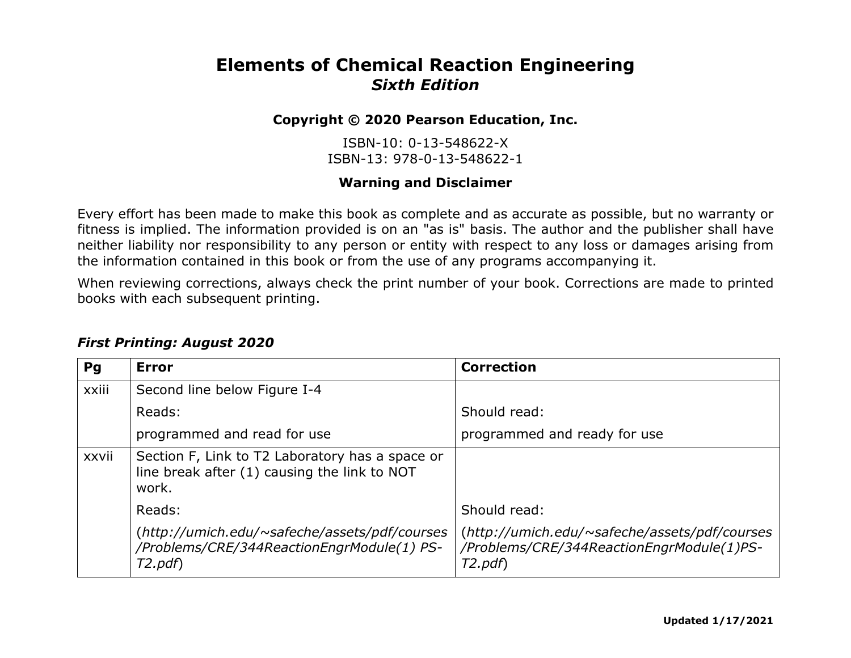## **Elements of Chemical Reaction Engineering** *Sixth Edition*

## **Copyright © 2020 Pearson Education, Inc.**

ISBN-10: 0-13-548622-X ISBN-13: 978-0-13-548622-1

## **Warning and Disclaimer**

Every effort has been made to make this book as complete and as accurate as possible, but no warranty or fitness is implied. The information provided is on an "as is" basis. The author and the publisher shall have neither liability nor responsibility to any person or entity with respect to any loss or damages arising from the information contained in this book or from the use of any programs accompanying it.

When reviewing corrections, always check the print number of your book. Corrections are made to printed books with each subsequent printing.

| Pq    | <b>Error</b>                                                                                             | <b>Correction</b>                                                                                    |
|-------|----------------------------------------------------------------------------------------------------------|------------------------------------------------------------------------------------------------------|
| xxiii | Second line below Figure I-4                                                                             |                                                                                                      |
|       | Reads:                                                                                                   | Should read:                                                                                         |
|       | programmed and read for use                                                                              | programmed and ready for use                                                                         |
| xxvii | Section F, Link to T2 Laboratory has a space or<br>line break after (1) causing the link to NOT<br>work. |                                                                                                      |
|       | Reads:                                                                                                   | Should read:                                                                                         |
|       | (http://umich.edu/~safeche/assets/pdf/courses<br>/Problems/CRE/344ReactionEngrModule(1) PS-<br>T2.pdf    | (http://umich.edu/~safeche/assets/pdf/courses<br>/Problems/CRE/344ReactionEngrModule(1)PS-<br>T2.pdf |

## *First Printing: August 2020*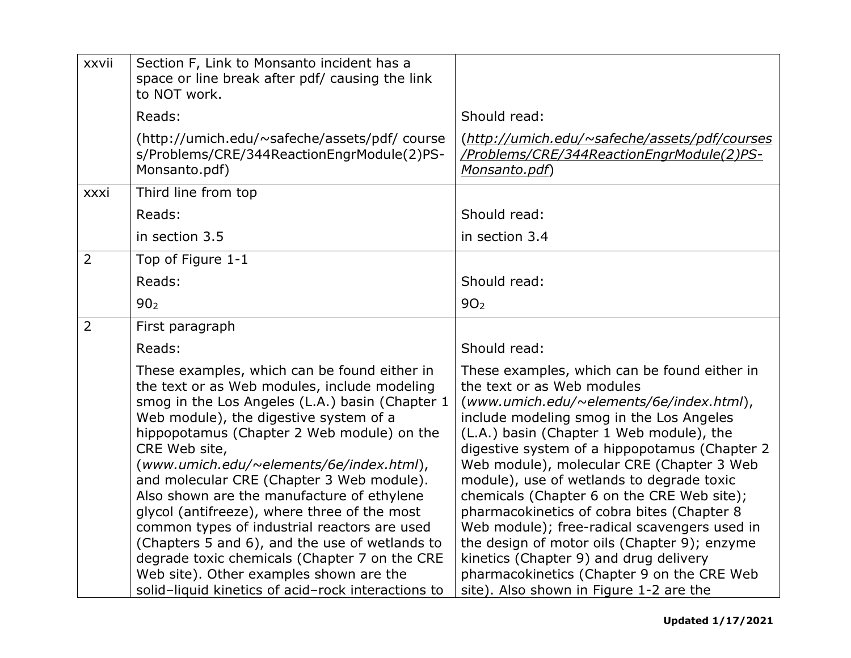| xxvii          | Section F, Link to Monsanto incident has a<br>space or line break after pdf/ causing the link<br>to NOT work.                                                                                                                                                                                                                                                                                                                                                                                                                                                                                                                                                                                       |                                                                                                                                                                                                                                                                                                                                                                                                                                                                                                                                                                                                                                                                                          |
|----------------|-----------------------------------------------------------------------------------------------------------------------------------------------------------------------------------------------------------------------------------------------------------------------------------------------------------------------------------------------------------------------------------------------------------------------------------------------------------------------------------------------------------------------------------------------------------------------------------------------------------------------------------------------------------------------------------------------------|------------------------------------------------------------------------------------------------------------------------------------------------------------------------------------------------------------------------------------------------------------------------------------------------------------------------------------------------------------------------------------------------------------------------------------------------------------------------------------------------------------------------------------------------------------------------------------------------------------------------------------------------------------------------------------------|
|                | Reads:                                                                                                                                                                                                                                                                                                                                                                                                                                                                                                                                                                                                                                                                                              | Should read:                                                                                                                                                                                                                                                                                                                                                                                                                                                                                                                                                                                                                                                                             |
|                | (http://umich.edu/~safeche/assets/pdf/ course<br>s/Problems/CRE/344ReactionEngrModule(2)PS-<br>Monsanto.pdf)                                                                                                                                                                                                                                                                                                                                                                                                                                                                                                                                                                                        | (http://umich.edu/~safeche/assets/pdf/courses<br>/Problems/CRE/344ReactionEngrModule(2)PS-<br>Monsanto.pdf)                                                                                                                                                                                                                                                                                                                                                                                                                                                                                                                                                                              |
| xxxi           | Third line from top                                                                                                                                                                                                                                                                                                                                                                                                                                                                                                                                                                                                                                                                                 |                                                                                                                                                                                                                                                                                                                                                                                                                                                                                                                                                                                                                                                                                          |
|                | Reads:                                                                                                                                                                                                                                                                                                                                                                                                                                                                                                                                                                                                                                                                                              | Should read:                                                                                                                                                                                                                                                                                                                                                                                                                                                                                                                                                                                                                                                                             |
|                | in section 3.5                                                                                                                                                                                                                                                                                                                                                                                                                                                                                                                                                                                                                                                                                      | in section 3.4                                                                                                                                                                                                                                                                                                                                                                                                                                                                                                                                                                                                                                                                           |
| $\overline{2}$ | Top of Figure 1-1                                                                                                                                                                                                                                                                                                                                                                                                                                                                                                                                                                                                                                                                                   |                                                                                                                                                                                                                                                                                                                                                                                                                                                                                                                                                                                                                                                                                          |
|                | Reads:                                                                                                                                                                                                                                                                                                                                                                                                                                                                                                                                                                                                                                                                                              | Should read:                                                                                                                                                                                                                                                                                                                                                                                                                                                                                                                                                                                                                                                                             |
|                | 90 <sub>2</sub>                                                                                                                                                                                                                                                                                                                                                                                                                                                                                                                                                                                                                                                                                     | 90 <sub>2</sub>                                                                                                                                                                                                                                                                                                                                                                                                                                                                                                                                                                                                                                                                          |
| $\overline{2}$ | First paragraph                                                                                                                                                                                                                                                                                                                                                                                                                                                                                                                                                                                                                                                                                     |                                                                                                                                                                                                                                                                                                                                                                                                                                                                                                                                                                                                                                                                                          |
|                | Reads:                                                                                                                                                                                                                                                                                                                                                                                                                                                                                                                                                                                                                                                                                              | Should read:                                                                                                                                                                                                                                                                                                                                                                                                                                                                                                                                                                                                                                                                             |
|                | These examples, which can be found either in<br>the text or as Web modules, include modeling<br>smog in the Los Angeles (L.A.) basin (Chapter 1<br>Web module), the digestive system of a<br>hippopotamus (Chapter 2 Web module) on the<br>CRE Web site,<br>(www.umich.edu/~elements/6e/index.html),<br>and molecular CRE (Chapter 3 Web module).<br>Also shown are the manufacture of ethylene<br>glycol (antifreeze), where three of the most<br>common types of industrial reactors are used<br>(Chapters 5 and 6), and the use of wetlands to<br>degrade toxic chemicals (Chapter 7 on the CRE<br>Web site). Other examples shown are the<br>solid-liquid kinetics of acid-rock interactions to | These examples, which can be found either in<br>the text or as Web modules<br>(www.umich.edu/~elements/6e/index.html),<br>include modeling smog in the Los Angeles<br>(L.A.) basin (Chapter 1 Web module), the<br>digestive system of a hippopotamus (Chapter 2<br>Web module), molecular CRE (Chapter 3 Web<br>module), use of wetlands to degrade toxic<br>chemicals (Chapter 6 on the CRE Web site);<br>pharmacokinetics of cobra bites (Chapter 8<br>Web module); free-radical scavengers used in<br>the design of motor oils (Chapter 9); enzyme<br>kinetics (Chapter 9) and drug delivery<br>pharmacokinetics (Chapter 9 on the CRE Web<br>site). Also shown in Figure 1-2 are the |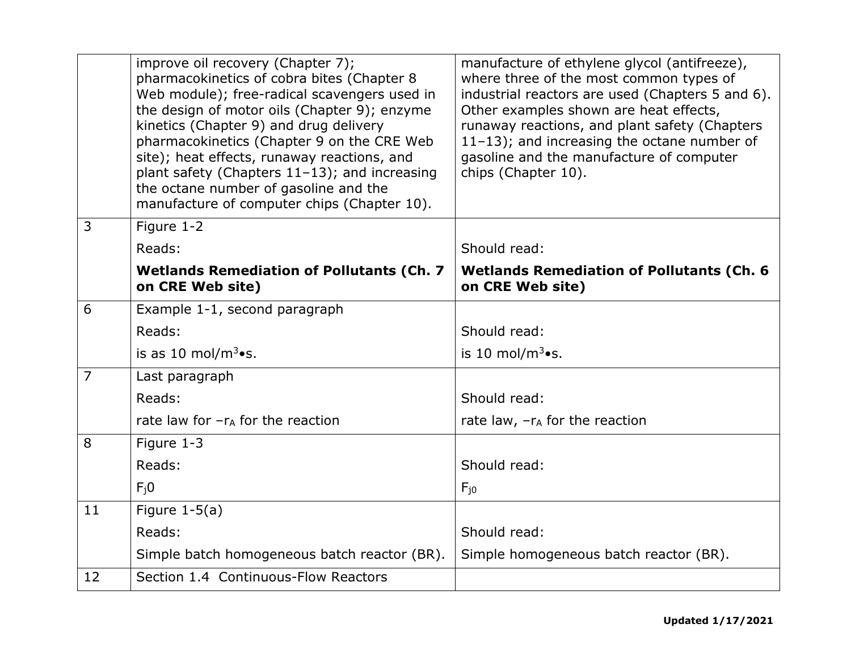|                | improve oil recovery (Chapter 7);<br>pharmacokinetics of cobra bites (Chapter 8<br>Web module); free-radical scavengers used in<br>the design of motor oils (Chapter 9); enzyme<br>kinetics (Chapter 9) and drug delivery<br>pharmacokinetics (Chapter 9 on the CRE Web<br>site); heat effects, runaway reactions, and<br>plant safety (Chapters $11-13$ ); and increasing<br>the octane number of gasoline and the<br>manufacture of computer chips (Chapter 10). | manufacture of ethylene glycol (antifreeze),<br>where three of the most common types of<br>industrial reactors are used (Chapters 5 and 6).<br>Other examples shown are heat effects,<br>runaway reactions, and plant safety (Chapters<br>$11-13$ ); and increasing the octane number of<br>gasoline and the manufacture of computer<br>chips (Chapter 10). |
|----------------|--------------------------------------------------------------------------------------------------------------------------------------------------------------------------------------------------------------------------------------------------------------------------------------------------------------------------------------------------------------------------------------------------------------------------------------------------------------------|-------------------------------------------------------------------------------------------------------------------------------------------------------------------------------------------------------------------------------------------------------------------------------------------------------------------------------------------------------------|
| 3              | Figure 1-2                                                                                                                                                                                                                                                                                                                                                                                                                                                         |                                                                                                                                                                                                                                                                                                                                                             |
|                | Reads:                                                                                                                                                                                                                                                                                                                                                                                                                                                             | Should read:                                                                                                                                                                                                                                                                                                                                                |
|                | <b>Wetlands Remediation of Pollutants (Ch. 7</b><br>on CRE Web site)                                                                                                                                                                                                                                                                                                                                                                                               | <b>Wetlands Remediation of Pollutants (Ch. 6</b><br>on CRE Web site)                                                                                                                                                                                                                                                                                        |
| 6              | Example 1-1, second paragraph                                                                                                                                                                                                                                                                                                                                                                                                                                      |                                                                                                                                                                                                                                                                                                                                                             |
|                | Reads:                                                                                                                                                                                                                                                                                                                                                                                                                                                             | Should read:                                                                                                                                                                                                                                                                                                                                                |
|                | is as 10 mol/ $m^3 \bullet s$ .                                                                                                                                                                                                                                                                                                                                                                                                                                    | is 10 mol/ $m^3 \bullet s$ .                                                                                                                                                                                                                                                                                                                                |
| $\overline{7}$ | Last paragraph                                                                                                                                                                                                                                                                                                                                                                                                                                                     |                                                                                                                                                                                                                                                                                                                                                             |
|                | Reads:                                                                                                                                                                                                                                                                                                                                                                                                                                                             | Should read:                                                                                                                                                                                                                                                                                                                                                |
|                | rate law for $-r_A$ for the reaction                                                                                                                                                                                                                                                                                                                                                                                                                               | rate law, $-r_A$ for the reaction                                                                                                                                                                                                                                                                                                                           |
| 8              | Figure 1-3                                                                                                                                                                                                                                                                                                                                                                                                                                                         |                                                                                                                                                                                                                                                                                                                                                             |
|                | Reads:                                                                                                                                                                                                                                                                                                                                                                                                                                                             | Should read:                                                                                                                                                                                                                                                                                                                                                |
|                | $F_i0$                                                                                                                                                                                                                                                                                                                                                                                                                                                             | $F_{10}$                                                                                                                                                                                                                                                                                                                                                    |
| 11             | Figure $1-5(a)$                                                                                                                                                                                                                                                                                                                                                                                                                                                    |                                                                                                                                                                                                                                                                                                                                                             |
|                | Reads:                                                                                                                                                                                                                                                                                                                                                                                                                                                             | Should read:                                                                                                                                                                                                                                                                                                                                                |
|                | Simple batch homogeneous batch reactor (BR).                                                                                                                                                                                                                                                                                                                                                                                                                       | Simple homogeneous batch reactor (BR).                                                                                                                                                                                                                                                                                                                      |
| 12             | Section 1.4 Continuous-Flow Reactors                                                                                                                                                                                                                                                                                                                                                                                                                               |                                                                                                                                                                                                                                                                                                                                                             |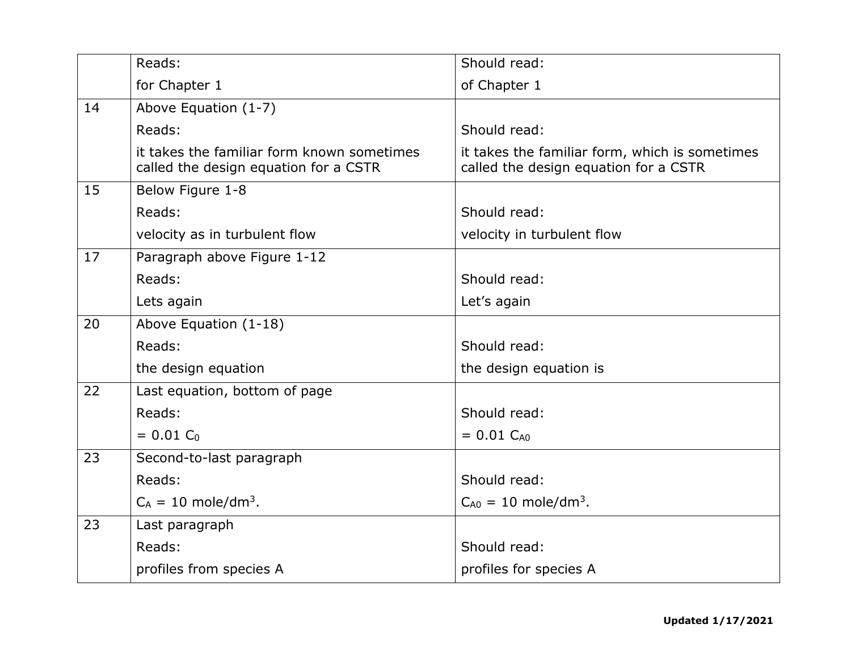|    | Reads:                                                                              | Should read:                                                                            |
|----|-------------------------------------------------------------------------------------|-----------------------------------------------------------------------------------------|
|    | for Chapter 1                                                                       | of Chapter 1                                                                            |
| 14 | Above Equation (1-7)                                                                |                                                                                         |
|    | Reads:                                                                              | Should read:                                                                            |
|    | it takes the familiar form known sometimes<br>called the design equation for a CSTR | it takes the familiar form, which is sometimes<br>called the design equation for a CSTR |
| 15 | Below Figure 1-8                                                                    |                                                                                         |
|    | Reads:                                                                              | Should read:                                                                            |
|    | velocity as in turbulent flow                                                       | velocity in turbulent flow                                                              |
| 17 | Paragraph above Figure 1-12                                                         |                                                                                         |
|    | Reads:                                                                              | Should read:                                                                            |
|    | Lets again                                                                          | Let's again                                                                             |
| 20 | Above Equation (1-18)                                                               |                                                                                         |
|    | Reads:                                                                              | Should read:                                                                            |
|    | the design equation                                                                 | the design equation is                                                                  |
| 22 | Last equation, bottom of page                                                       |                                                                                         |
|    | Reads:                                                                              | Should read:                                                                            |
|    | $= 0.01 C_0$                                                                        | $= 0.01$ C <sub>A0</sub>                                                                |
| 23 | Second-to-last paragraph                                                            |                                                                                         |
|    | Reads:                                                                              | Should read:                                                                            |
|    | $C_A = 10$ mole/dm <sup>3</sup> .                                                   | $C_{A0} = 10$ mole/dm <sup>3</sup> .                                                    |
| 23 | Last paragraph                                                                      |                                                                                         |
|    | Reads:                                                                              | Should read:                                                                            |
|    | profiles from species A                                                             | profiles for species A                                                                  |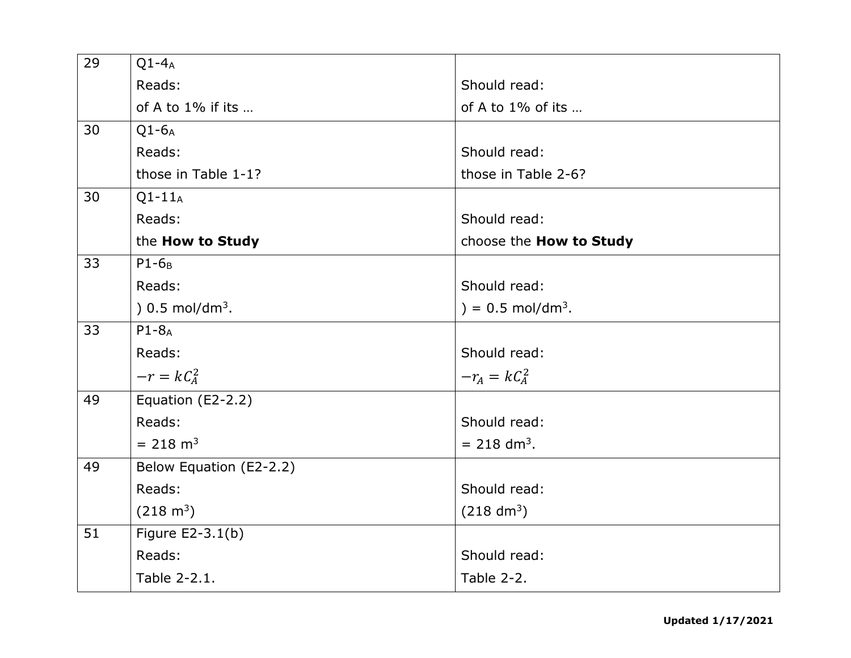| 29 | $Q1 - 4_A$                 |                                 |
|----|----------------------------|---------------------------------|
|    | Reads:                     | Should read:                    |
|    | of A to 1% if its          | of A to $1\%$ of its            |
| 30 | $Q1-6A$                    |                                 |
|    | Reads:                     | Should read:                    |
|    | those in Table 1-1?        | those in Table 2-6?             |
| 30 | $Q1-11_A$                  |                                 |
|    | Reads:                     | Should read:                    |
|    | the How to Study           | choose the How to Study         |
| 33 | $P1-6B$                    |                                 |
|    | Reads:                     | Should read:                    |
|    | $(0.5 \text{ mol/dm}^3)$ . | $) = 0.5$ mol/dm <sup>3</sup> . |
| 33 | $P1 - 8_A$                 |                                 |
|    | Reads:                     | Should read:                    |
|    | $-r = kC_A^2$              | $-r_A = kC_A^2$                 |
| 49 | Equation (E2-2.2)          |                                 |
|    | Reads:                     | Should read:                    |
|    | $= 218$ m <sup>3</sup>     | $= 218$ dm <sup>3</sup> .       |
| 49 | Below Equation (E2-2.2)    |                                 |
|    | Reads:                     | Should read:                    |
|    | $(218 \text{ m}^3)$        | $(218 \text{ dm}^3)$            |
| 51 | Figure E2-3.1(b)           |                                 |
|    | Reads:                     | Should read:                    |
|    | Table 2-2.1.               | Table 2-2.                      |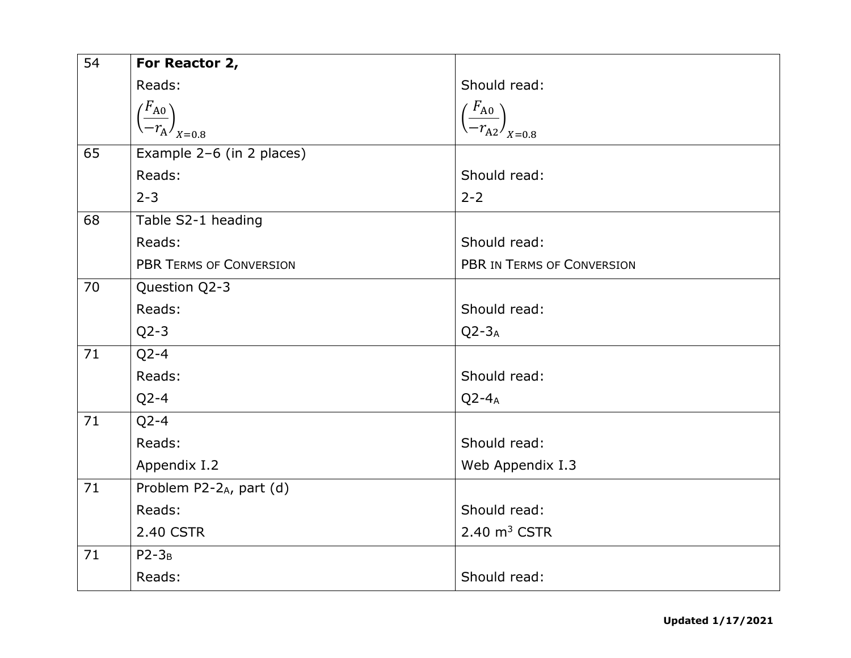| 54 | For Reactor 2,                             |                                               |
|----|--------------------------------------------|-----------------------------------------------|
|    | Reads:                                     | Should read:                                  |
|    | $\left(\frac{F_{A0}}{-r_A}\right)_{X=0.8}$ | $\left(\frac{F_{A0}}{-r_{A2}}\right)_{X=0.8}$ |
|    |                                            |                                               |
| 65 | Example 2-6 (in 2 places)                  |                                               |
|    | Reads:                                     | Should read:                                  |
|    | $2 - 3$                                    | $2 - 2$                                       |
| 68 | Table S2-1 heading                         |                                               |
|    | Reads:                                     | Should read:                                  |
|    | <b>PBR TERMS OF CONVERSION</b>             | PBR IN TERMS OF CONVERSION                    |
| 70 | Question Q2-3                              |                                               |
|    | Reads:                                     | Should read:                                  |
|    | $Q2-3$                                     | $Q2-3_A$                                      |
| 71 | $Q2 - 4$                                   |                                               |
|    | Reads:                                     | Should read:                                  |
|    | $Q2-4$                                     | $Q2 - 4A$                                     |
| 71 | $Q$ 2-4                                    |                                               |
|    | Reads:                                     | Should read:                                  |
|    | Appendix I.2                               | Web Appendix I.3                              |
| 71 | Problem P2-2A, part (d)                    |                                               |
|    | Reads:                                     | Should read:                                  |
|    | 2.40 CSTR                                  | $2.40 \text{ m}^3$ CSTR                       |
| 71 | $P2-3_B$                                   |                                               |
|    | Reads:                                     | Should read:                                  |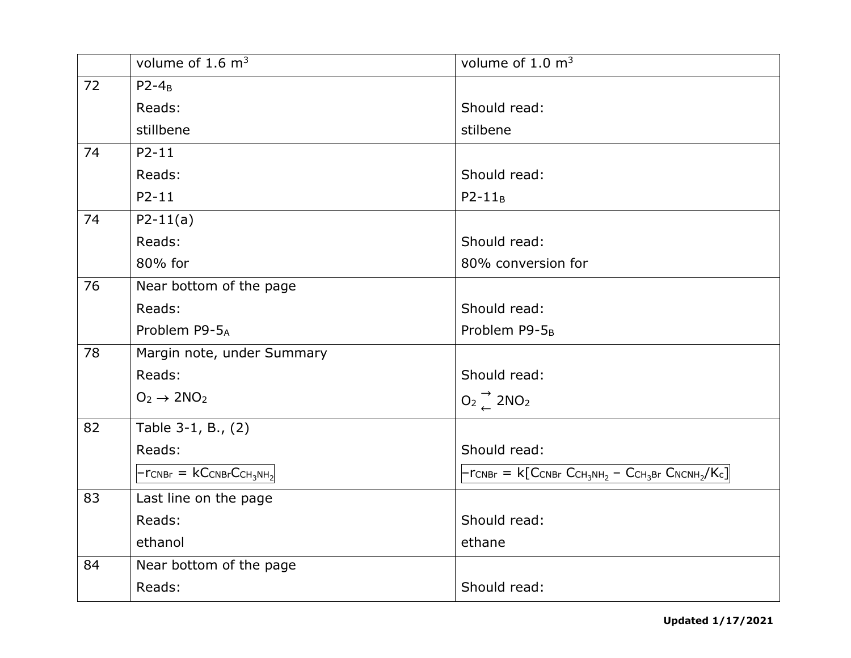|    | volume of $1.6 \text{ m}^3$          | volume of $1.0 \text{ m}^3$                                          |
|----|--------------------------------------|----------------------------------------------------------------------|
| 72 | $P2-4_B$                             |                                                                      |
|    | Reads:                               | Should read:                                                         |
|    | stillbene                            | stilbene                                                             |
| 74 | $P2 - 11$                            |                                                                      |
|    | Reads:                               | Should read:                                                         |
|    | $P2 - 11$                            | $P2-11_B$                                                            |
| 74 | $P2-11(a)$                           |                                                                      |
|    | Reads:                               | Should read:                                                         |
|    | 80% for                              | 80% conversion for                                                   |
| 76 | Near bottom of the page              |                                                                      |
|    | Reads:                               | Should read:                                                         |
|    | Problem P9-5A                        | Problem P9-5 <sub>B</sub>                                            |
| 78 | Margin note, under Summary           |                                                                      |
|    | Reads:                               | Should read:                                                         |
|    | $O_2 \rightarrow 2NO_2$              | $O_2 \nightharpoonup^{\rightarrow}$ 2NO <sub>2</sub>                 |
| 82 | Table 3-1, B., (2)                   |                                                                      |
|    | Reads:                               | Should read:                                                         |
|    | $- r_{CNBr} = kC_{CNBr}C_{CH_3NH_2}$ | $- r_{CNBr} = k [C_{CNBr} C_{CH_3NH_2} - C_{CH_3Br} C_{NCNH_2}/K_c]$ |
| 83 | Last line on the page                |                                                                      |
|    | Reads:                               | Should read:                                                         |
|    | ethanol                              | ethane                                                               |
| 84 | Near bottom of the page              |                                                                      |
|    | Reads:                               | Should read:                                                         |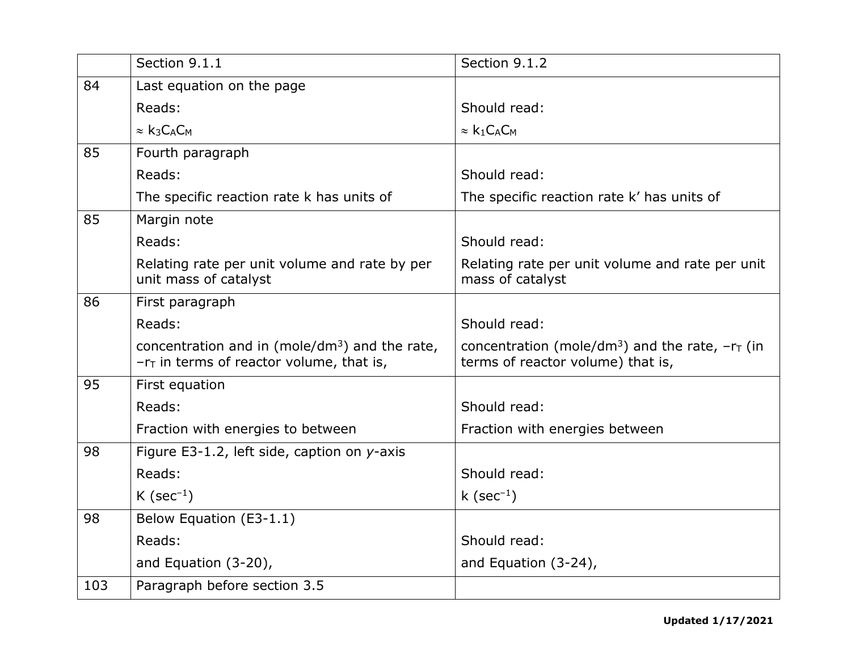|     | Section 9.1.1                                                                                    | Section 9.1.2                                                                                      |
|-----|--------------------------------------------------------------------------------------------------|----------------------------------------------------------------------------------------------------|
| 84  | Last equation on the page                                                                        |                                                                                                    |
|     | Reads:                                                                                           | Should read:                                                                                       |
|     | $\approx k_3C_AC_M$                                                                              | $\approx k_1 C_A C_M$                                                                              |
| 85  | Fourth paragraph                                                                                 |                                                                                                    |
|     | Reads:                                                                                           | Should read:                                                                                       |
|     | The specific reaction rate k has units of                                                        | The specific reaction rate k' has units of                                                         |
| 85  | Margin note                                                                                      |                                                                                                    |
|     | Reads:                                                                                           | Should read:                                                                                       |
|     | Relating rate per unit volume and rate by per<br>unit mass of catalyst                           | Relating rate per unit volume and rate per unit<br>mass of catalyst                                |
| 86  | First paragraph                                                                                  |                                                                                                    |
|     | Reads:                                                                                           | Should read:                                                                                       |
|     | concentration and in (mole/ $dm^3$ ) and the rate,<br>$-rT$ in terms of reactor volume, that is, | concentration (mole/dm <sup>3</sup> ) and the rate, $-rT$ (in<br>terms of reactor volume) that is, |
| 95  | First equation                                                                                   |                                                                                                    |
|     | Reads:                                                                                           | Should read:                                                                                       |
|     | Fraction with energies to between                                                                | Fraction with energies between                                                                     |
| 98  | Figure E3-1.2, left side, caption on y-axis                                                      |                                                                                                    |
|     | Reads:                                                                                           | Should read:                                                                                       |
|     | K (sec <sup>-1</sup> )                                                                           | k (sec $^{-1}$ )                                                                                   |
| 98  | Below Equation (E3-1.1)                                                                          |                                                                                                    |
|     | Reads:                                                                                           | Should read:                                                                                       |
|     | and Equation (3-20),                                                                             | and Equation $(3-24)$ ,                                                                            |
| 103 | Paragraph before section 3.5                                                                     |                                                                                                    |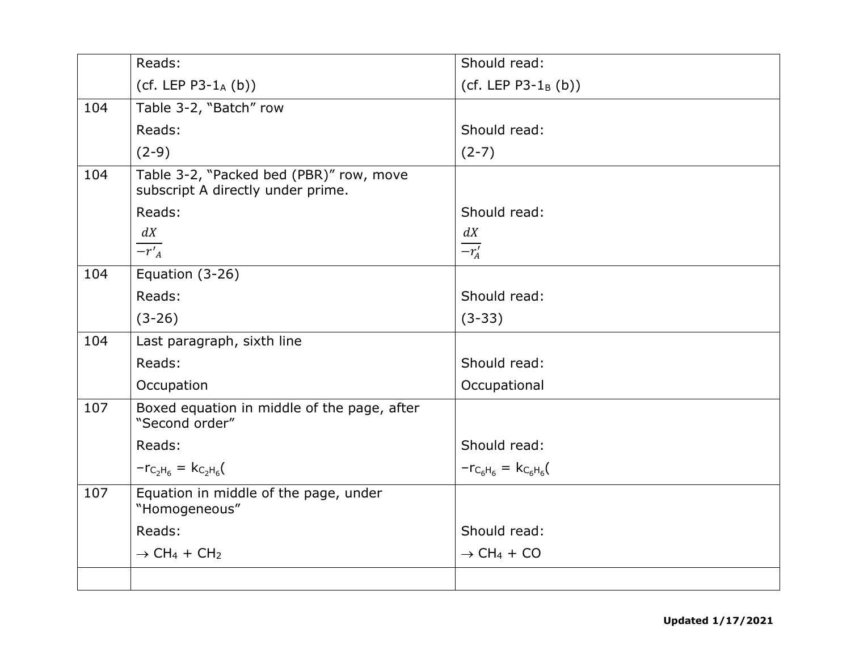|     | Reads:                                                                       | Should read:                       |
|-----|------------------------------------------------------------------------------|------------------------------------|
|     | (cf. LEP $P3-1_A(b)$ )                                                       | (cf. LEP $P3-1_B(b)$ )             |
| 104 | Table 3-2, "Batch" row                                                       |                                    |
|     | Reads:                                                                       | Should read:                       |
|     | $(2-9)$                                                                      | $(2-7)$                            |
| 104 | Table 3-2, "Packed bed (PBR)" row, move<br>subscript A directly under prime. |                                    |
|     | Reads:                                                                       | Should read:                       |
|     | dX                                                                           | dX                                 |
|     | $-r'_A$                                                                      | $\overline{-r'_A}$                 |
| 104 | Equation (3-26)                                                              |                                    |
|     | Reads:                                                                       | Should read:                       |
|     | $(3-26)$                                                                     | $(3-33)$                           |
| 104 | Last paragraph, sixth line                                                   |                                    |
|     | Reads:                                                                       | Should read:                       |
|     | Occupation                                                                   | Occupational                       |
| 107 | Boxed equation in middle of the page, after<br>"Second order"                |                                    |
|     | Reads:                                                                       | Should read:                       |
|     | $-r_{C_2H_6} = k_{C_2H_6}$                                                   | $- r_{C_6H_6} = k_{C_6H_6}$        |
| 107 | Equation in middle of the page, under<br>"Homogeneous"                       |                                    |
|     | Reads:                                                                       | Should read:                       |
|     | $\rightarrow$ CH <sub>4</sub> + CH <sub>2</sub>                              | $\rightarrow$ CH <sub>4</sub> + CO |
|     |                                                                              |                                    |
|     |                                                                              |                                    |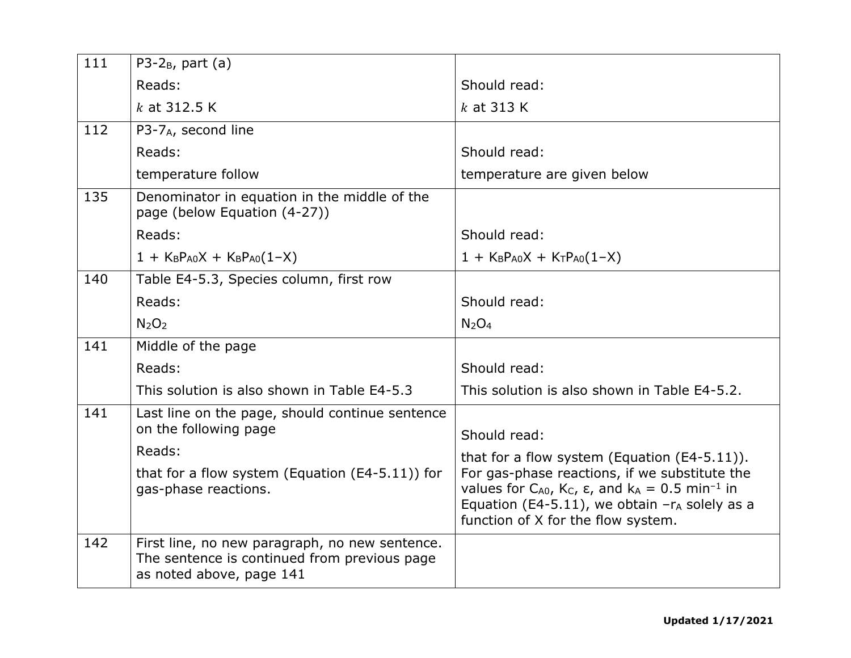| 111 | P3-2 $_B$ , part (a)                                                                                                       |                                                                                                                                                                                                                                                 |
|-----|----------------------------------------------------------------------------------------------------------------------------|-------------------------------------------------------------------------------------------------------------------------------------------------------------------------------------------------------------------------------------------------|
|     | Reads:                                                                                                                     | Should read:                                                                                                                                                                                                                                    |
|     |                                                                                                                            |                                                                                                                                                                                                                                                 |
|     | $k$ at 312.5 K                                                                                                             | $k$ at 313 K                                                                                                                                                                                                                                    |
| 112 | P3-7 <sub>A</sub> , second line                                                                                            |                                                                                                                                                                                                                                                 |
|     | Reads:                                                                                                                     | Should read:                                                                                                                                                                                                                                    |
|     | temperature follow                                                                                                         | temperature are given below                                                                                                                                                                                                                     |
| 135 | Denominator in equation in the middle of the<br>page (below Equation (4-27))                                               |                                                                                                                                                                                                                                                 |
|     | Reads:                                                                                                                     | Should read:                                                                                                                                                                                                                                    |
|     | $1 + K_B P_{A0}X + K_B P_{A0}(1-X)$                                                                                        | $1 + K_B P_{A0}X + K_T P_{A0}(1-X)$                                                                                                                                                                                                             |
| 140 | Table E4-5.3, Species column, first row                                                                                    |                                                                                                                                                                                                                                                 |
|     | Reads:                                                                                                                     | Should read:                                                                                                                                                                                                                                    |
|     | N <sub>2</sub> O <sub>2</sub>                                                                                              | $N_2O_4$                                                                                                                                                                                                                                        |
| 141 | Middle of the page                                                                                                         |                                                                                                                                                                                                                                                 |
|     | Reads:                                                                                                                     | Should read:                                                                                                                                                                                                                                    |
|     | This solution is also shown in Table E4-5.3                                                                                | This solution is also shown in Table E4-5.2.                                                                                                                                                                                                    |
| 141 | Last line on the page, should continue sentence<br>on the following page                                                   | Should read:                                                                                                                                                                                                                                    |
|     | Reads:                                                                                                                     | that for a flow system (Equation $(E4-5.11)$ ).                                                                                                                                                                                                 |
|     | that for a flow system (Equation $(E4-5.11)$ ) for<br>gas-phase reactions.                                                 | For gas-phase reactions, if we substitute the<br>values for $C_{A0}$ , K <sub>c</sub> , $\varepsilon$ , and k <sub>A</sub> = 0.5 min <sup>-1</sup> in<br>Equation (E4-5.11), we obtain $-r_A$ solely as a<br>function of X for the flow system. |
| 142 | First line, no new paragraph, no new sentence.<br>The sentence is continued from previous page<br>as noted above, page 141 |                                                                                                                                                                                                                                                 |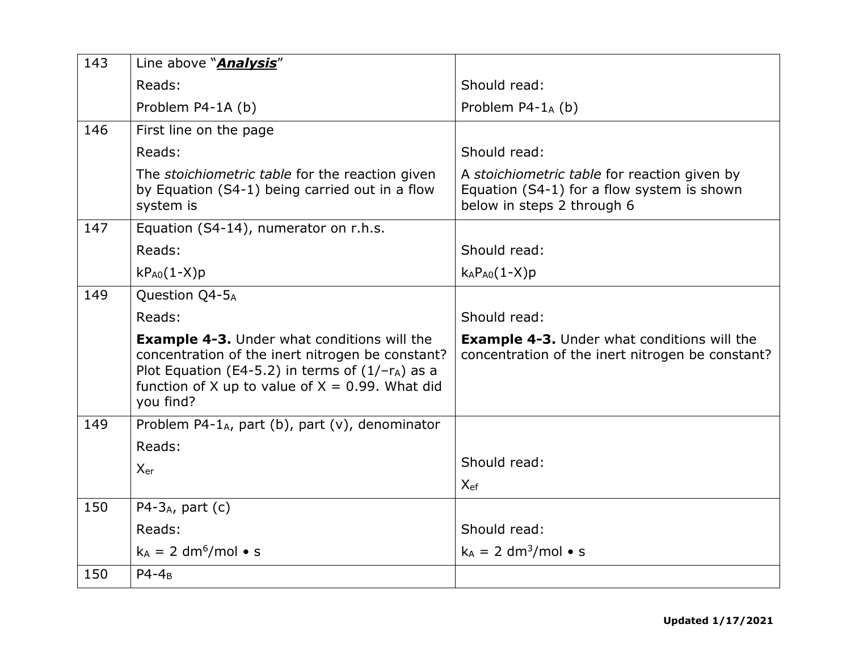| 143 | Line above " <b>Analysis</b> "                                                                                                                                                                                                  |                                                                                                                          |
|-----|---------------------------------------------------------------------------------------------------------------------------------------------------------------------------------------------------------------------------------|--------------------------------------------------------------------------------------------------------------------------|
|     | Reads:                                                                                                                                                                                                                          | Should read:                                                                                                             |
|     | Problem P4-1A (b)                                                                                                                                                                                                               | Problem $P4-1_A$ (b)                                                                                                     |
| 146 | First line on the page                                                                                                                                                                                                          |                                                                                                                          |
|     | Reads:                                                                                                                                                                                                                          | Should read:                                                                                                             |
|     | The <i>stoichiometric table</i> for the reaction given<br>by Equation (S4-1) being carried out in a flow<br>system is                                                                                                           | A stoichiometric table for reaction given by<br>Equation (S4-1) for a flow system is shown<br>below in steps 2 through 6 |
| 147 | Equation (S4-14), numerator on r.h.s.                                                                                                                                                                                           |                                                                                                                          |
|     | Reads:                                                                                                                                                                                                                          | Should read:                                                                                                             |
|     | $kP_{A0}(1-X)p$                                                                                                                                                                                                                 | $k_A P_{A0}(1-X)p$                                                                                                       |
| 149 | Question Q4-5A                                                                                                                                                                                                                  |                                                                                                                          |
|     | Reads:                                                                                                                                                                                                                          | Should read:                                                                                                             |
|     | <b>Example 4-3.</b> Under what conditions will the<br>concentration of the inert nitrogen be constant?<br>Plot Equation (E4-5.2) in terms of $(1/-r_A)$ as a<br>function of X up to value of $X = 0.99$ . What did<br>you find? | <b>Example 4-3.</b> Under what conditions will the<br>concentration of the inert nitrogen be constant?                   |
| 149 | Problem P4-1 <sub>A</sub> , part (b), part (v), denominator                                                                                                                                                                     |                                                                                                                          |
|     | Reads:                                                                                                                                                                                                                          |                                                                                                                          |
|     | $X_{er}$                                                                                                                                                                                                                        | Should read:                                                                                                             |
|     |                                                                                                                                                                                                                                 | $X_{ef}$                                                                                                                 |
| 150 | $P4-3_A$ , part (c)                                                                                                                                                                                                             |                                                                                                                          |
|     | Reads:                                                                                                                                                                                                                          | Should read:                                                                                                             |
|     | $k_A = 2$ dm <sup>6</sup> /mol • s                                                                                                                                                                                              | $k_A = 2$ dm <sup>3</sup> /mol • s                                                                                       |
| 150 | $P4-4_B$                                                                                                                                                                                                                        |                                                                                                                          |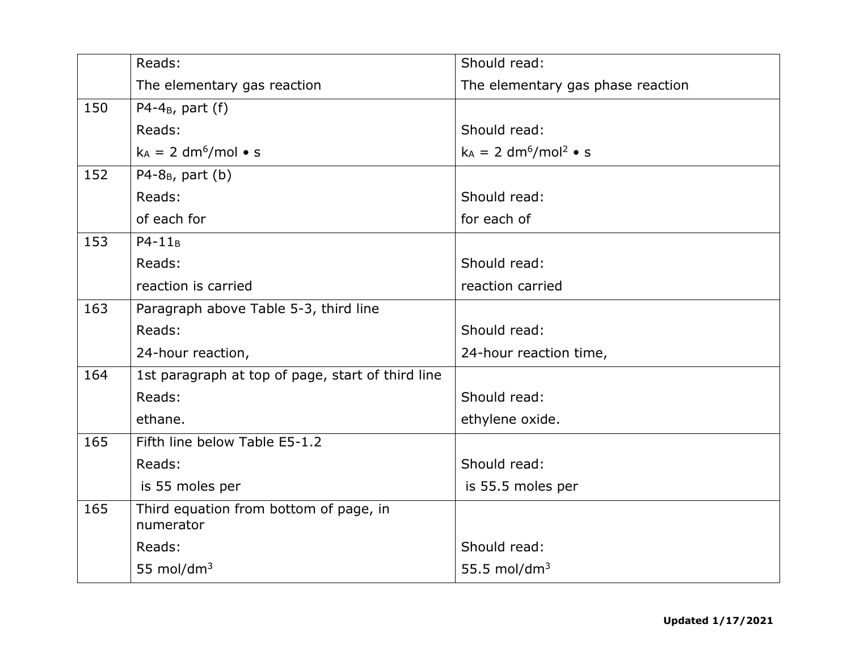|     | Reads:                                              | Should read:                                    |
|-----|-----------------------------------------------------|-------------------------------------------------|
|     | The elementary gas reaction                         | The elementary gas phase reaction               |
| 150 | P4-4 $_B$ , part (f)                                |                                                 |
|     | Reads:                                              | Should read:                                    |
|     | $k_A = 2$ dm <sup>6</sup> /mol • s                  | $k_A = 2$ dm <sup>6</sup> /mol <sup>2</sup> • s |
| 152 | $P4 - 8_B$ , part (b)                               |                                                 |
|     | Reads:                                              | Should read:                                    |
|     | of each for                                         | for each of                                     |
| 153 | $P4-11_B$                                           |                                                 |
|     | Reads:                                              | Should read:                                    |
|     | reaction is carried                                 | reaction carried                                |
| 163 | Paragraph above Table 5-3, third line               |                                                 |
|     | Reads:                                              | Should read:                                    |
|     | 24-hour reaction,                                   | 24-hour reaction time,                          |
| 164 | 1st paragraph at top of page, start of third line   |                                                 |
|     | Reads:                                              | Should read:                                    |
|     | ethane.                                             | ethylene oxide.                                 |
| 165 | Fifth line below Table E5-1.2                       |                                                 |
|     | Reads:                                              | Should read:                                    |
|     | is 55 moles per                                     | is 55.5 moles per                               |
| 165 | Third equation from bottom of page, in<br>numerator |                                                 |
|     | Reads:                                              | Should read:                                    |
|     | 55 mol/dm <sup>3</sup>                              | 55.5 mol/dm $3$                                 |
|     |                                                     |                                                 |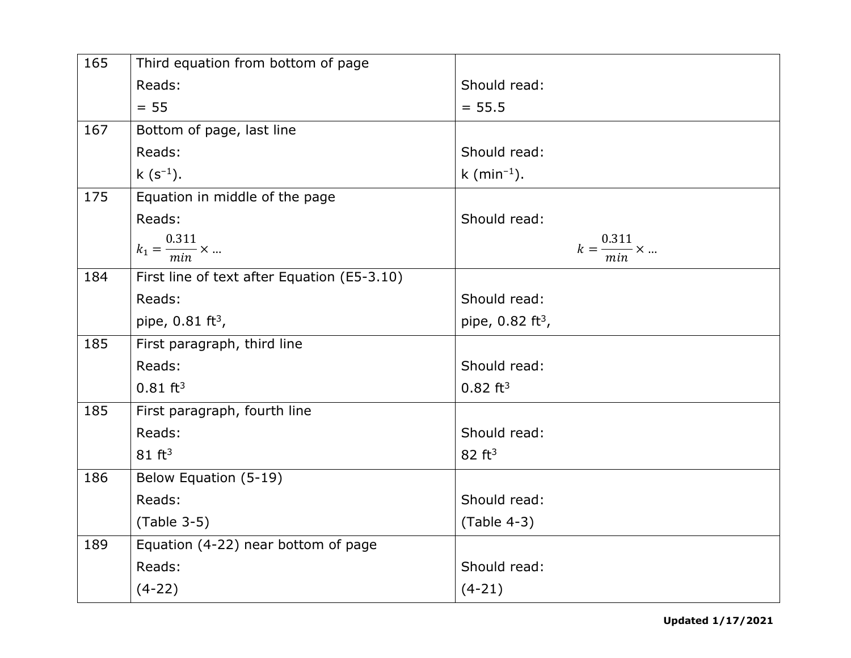| 165 | Third equation from bottom of page          |                                 |
|-----|---------------------------------------------|---------------------------------|
|     | Reads:                                      | Should read:                    |
|     | $= 55$                                      | $= 55.5$                        |
| 167 | Bottom of page, last line                   |                                 |
|     | Reads:                                      | Should read:                    |
|     | $k (s^{-1}).$                               | k (min <sup>-1</sup> ).         |
| 175 | Equation in middle of the page              |                                 |
|     | Reads:                                      | Should read:                    |
|     | $k_1 = \frac{0.311}{min} \times $           | $k = \frac{0.311}{min} \times $ |
| 184 | First line of text after Equation (E5-3.10) |                                 |
|     | Reads:                                      | Should read:                    |
|     | pipe, $0.81 \text{ ft}^3$ ,                 | pipe, $0.82 \text{ ft}^3$ ,     |
| 185 | First paragraph, third line                 |                                 |
|     | Reads:                                      | Should read:                    |
|     | $0.81 \text{ ft}^3$                         | $0.82 \text{ ft}^3$             |
| 185 | First paragraph, fourth line                |                                 |
|     | Reads:                                      | Should read:                    |
|     | $81 \text{ ft}^3$                           | 82 ft <sup>3</sup>              |
| 186 | Below Equation (5-19)                       |                                 |
|     | Reads:                                      | Should read:                    |
|     | $(Table 3-5)$                               | $(Table 4-3)$                   |
| 189 | Equation (4-22) near bottom of page         |                                 |
|     | Reads:                                      | Should read:                    |
|     | $(4-22)$                                    | $(4-21)$                        |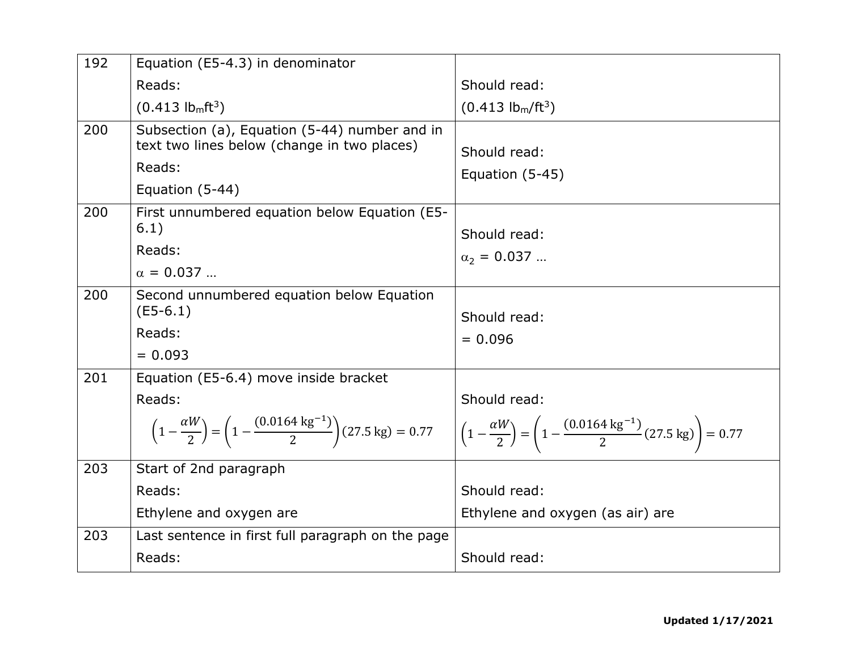| 192 | Equation (E5-4.3) in denominator                                                                                                                                    |                                                                                                                                 |
|-----|---------------------------------------------------------------------------------------------------------------------------------------------------------------------|---------------------------------------------------------------------------------------------------------------------------------|
|     | Reads:                                                                                                                                                              | Should read:                                                                                                                    |
|     | $(0.413)$ lb <sub>m</sub> ft <sup>3</sup> )                                                                                                                         | $(0.413 \text{ lbm/ft}^3)$                                                                                                      |
| 200 | Subsection (a), Equation (5-44) number and in<br>text two lines below (change in two places)<br>Reads:<br>Equation (5-44)                                           | Should read:<br>Equation (5-45)                                                                                                 |
| 200 | First unnumbered equation below Equation (E5-<br>6.1)<br>Reads:<br>$\alpha = 0.037$                                                                                 | Should read:<br>$\alpha_2 = 0.037$                                                                                              |
| 200 | Second unnumbered equation below Equation<br>$(E5-6.1)$<br>Reads:<br>$= 0.093$                                                                                      | Should read:<br>$= 0.096$                                                                                                       |
| 201 | Equation (E5-6.4) move inside bracket<br>Reads:<br>$\left(1-\frac{\alpha W}{2}\right) = \left(1-\frac{(0.0164 \text{ kg}^{-1})}{2}\right) (27.5 \text{ kg}) = 0.77$ | Should read:<br>$\left(1-\frac{\alpha W}{2}\right) = \left(1-\frac{(0.0164 \text{ kg}^{-1})}{2}(27.5 \text{ kg})\right) = 0.77$ |
| 203 | Start of 2nd paragraph<br>Reads:<br>Ethylene and oxygen are                                                                                                         | Should read:<br>Ethylene and oxygen (as air) are                                                                                |
| 203 | Last sentence in first full paragraph on the page<br>Reads:                                                                                                         | Should read:                                                                                                                    |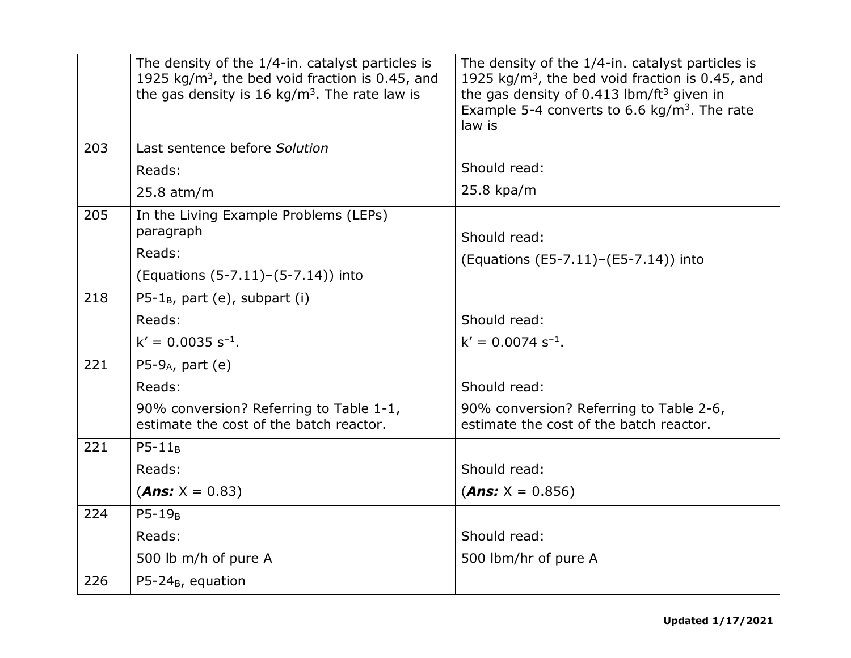|     | The density of the 1/4-in. catalyst particles is<br>1925 kg/m <sup>3</sup> , the bed void fraction is 0.45, and<br>the gas density is 16 kg/m <sup>3</sup> . The rate law is | The density of the 1/4-in. catalyst particles is<br>1925 $kg/m3$ , the bed void fraction is 0.45, and<br>the gas density of 0.413 lbm/ft <sup>3</sup> given in<br>Example 5-4 converts to 6.6 kg/m <sup>3</sup> . The rate<br>law is |
|-----|------------------------------------------------------------------------------------------------------------------------------------------------------------------------------|--------------------------------------------------------------------------------------------------------------------------------------------------------------------------------------------------------------------------------------|
| 203 | Last sentence before Solution                                                                                                                                                |                                                                                                                                                                                                                                      |
|     | Reads:                                                                                                                                                                       | Should read:                                                                                                                                                                                                                         |
|     | $25.8$ atm/m                                                                                                                                                                 | 25.8 kpa/m                                                                                                                                                                                                                           |
| 205 | In the Living Example Problems (LEPs)<br>paragraph<br>Reads:<br>(Equations (5-7.11) – (5-7.14)) into                                                                         | Should read:<br>(Equations (E5-7.11)–(E5-7.14)) into                                                                                                                                                                                 |
| 218 | $P5-1_B$ , part (e), subpart (i)                                                                                                                                             |                                                                                                                                                                                                                                      |
|     | Reads:                                                                                                                                                                       | Should read:                                                                                                                                                                                                                         |
|     | $k' = 0.0035 s^{-1}$ .                                                                                                                                                       | $k' = 0.0074 s^{-1}$ .                                                                                                                                                                                                               |
| 221 | $P5-9_A$ , part (e)                                                                                                                                                          |                                                                                                                                                                                                                                      |
|     | Reads:                                                                                                                                                                       | Should read:                                                                                                                                                                                                                         |
|     | 90% conversion? Referring to Table 1-1,<br>estimate the cost of the batch reactor.                                                                                           | 90% conversion? Referring to Table 2-6,<br>estimate the cost of the batch reactor.                                                                                                                                                   |
| 221 | $P5-11B$                                                                                                                                                                     |                                                                                                                                                                                                                                      |
|     | Reads:                                                                                                                                                                       | Should read:                                                                                                                                                                                                                         |
|     | $(Ans: X = 0.83)$                                                                                                                                                            | $(Ans: X = 0.856)$                                                                                                                                                                                                                   |
| 224 | $P5-19_B$                                                                                                                                                                    |                                                                                                                                                                                                                                      |
|     | Reads:                                                                                                                                                                       | Should read:                                                                                                                                                                                                                         |
|     | 500 lb m/h of pure A                                                                                                                                                         | 500 lbm/hr of pure A                                                                                                                                                                                                                 |
| 226 | $P5-24_B$ , equation                                                                                                                                                         |                                                                                                                                                                                                                                      |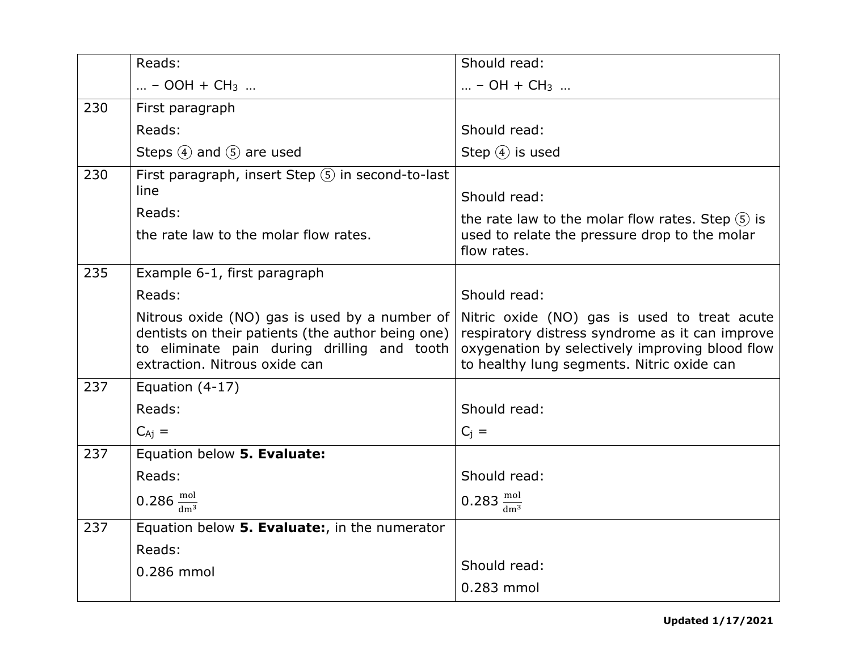|     | Reads:                                                                                                                                                                             | Should read:                                                                                                                                                                                     |
|-----|------------------------------------------------------------------------------------------------------------------------------------------------------------------------------------|--------------------------------------------------------------------------------------------------------------------------------------------------------------------------------------------------|
|     | $ - OOH + CH3 $                                                                                                                                                                    | – OH + CH <sub>3</sub>                                                                                                                                                                           |
| 230 | First paragraph                                                                                                                                                                    |                                                                                                                                                                                                  |
|     | Reads:                                                                                                                                                                             | Should read:                                                                                                                                                                                     |
|     | Steps $(4)$ and $(5)$ are used                                                                                                                                                     | Step $(4)$ is used                                                                                                                                                                               |
| 230 | First paragraph, insert Step $(5)$ in second-to-last<br>line                                                                                                                       |                                                                                                                                                                                                  |
|     |                                                                                                                                                                                    | Should read:                                                                                                                                                                                     |
|     | Reads:                                                                                                                                                                             | the rate law to the molar flow rates. Step $(5)$ is                                                                                                                                              |
|     | the rate law to the molar flow rates.                                                                                                                                              | used to relate the pressure drop to the molar<br>flow rates.                                                                                                                                     |
| 235 | Example 6-1, first paragraph                                                                                                                                                       |                                                                                                                                                                                                  |
|     | Reads:                                                                                                                                                                             | Should read:                                                                                                                                                                                     |
|     | Nitrous oxide (NO) gas is used by a number of<br>dentists on their patients (the author being one)<br>to eliminate pain during drilling and tooth<br>extraction. Nitrous oxide can | Nitric oxide (NO) gas is used to treat acute<br>respiratory distress syndrome as it can improve<br>oxygenation by selectively improving blood flow<br>to healthy lung segments. Nitric oxide can |
| 237 | Equation $(4-17)$                                                                                                                                                                  |                                                                                                                                                                                                  |
|     | Reads:                                                                                                                                                                             | Should read:                                                                                                                                                                                     |
|     | $C_{Ai}$ =                                                                                                                                                                         | $C_i =$                                                                                                                                                                                          |
| 237 | Equation below 5. Evaluate:                                                                                                                                                        |                                                                                                                                                                                                  |
|     | Reads:                                                                                                                                                                             | Should read:                                                                                                                                                                                     |
|     | 0.286 $\frac{\text{mol}}{\text{dm}^3}$                                                                                                                                             | 0.283 $\frac{\text{mol}}{\text{dm}^3}$                                                                                                                                                           |
| 237 | Equation below 5. Evaluate:, in the numerator                                                                                                                                      |                                                                                                                                                                                                  |
|     | Reads:                                                                                                                                                                             |                                                                                                                                                                                                  |
|     | 0.286 mmol                                                                                                                                                                         | Should read:                                                                                                                                                                                     |
|     |                                                                                                                                                                                    | 0.283 mmol                                                                                                                                                                                       |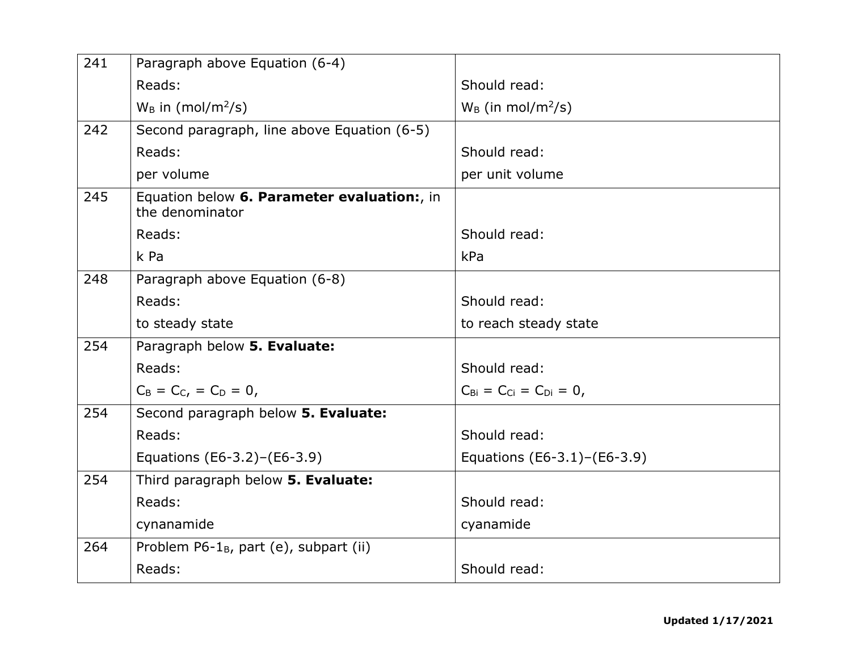| 241 | Paragraph above Equation (6-4)                                 |                                                       |
|-----|----------------------------------------------------------------|-------------------------------------------------------|
|     | Reads:                                                         | Should read:                                          |
|     | $W_B$ in (mol/m <sup>2</sup> /s)                               | $W_B$ (in mol/m <sup>2</sup> /s)                      |
| 242 | Second paragraph, line above Equation (6-5)                    |                                                       |
|     | Reads:                                                         | Should read:                                          |
|     | per volume                                                     | per unit volume                                       |
| 245 | Equation below 6. Parameter evaluation:, in<br>the denominator |                                                       |
|     | Reads:                                                         | Should read:                                          |
|     | k Pa                                                           | kPa                                                   |
| 248 | Paragraph above Equation (6-8)                                 |                                                       |
|     | Reads:                                                         | Should read:                                          |
|     | to steady state                                                | to reach steady state                                 |
| 254 | Paragraph below 5. Evaluate:                                   |                                                       |
|     | Reads:                                                         | Should read:                                          |
|     | $C_B = C_C$ , = $C_D = 0$ ,                                    | $C_{\text{Bi}} = C_{\text{Ci}} = C_{\text{Di}} = 0$ , |
| 254 | Second paragraph below 5. Evaluate:                            |                                                       |
|     | Reads:                                                         | Should read:                                          |
|     | Equations (E6-3.2)-(E6-3.9)                                    | Equations (E6-3.1)-(E6-3.9)                           |
| 254 | Third paragraph below 5. Evaluate:                             |                                                       |
|     | Reads:                                                         | Should read:                                          |
|     | cynanamide                                                     | cyanamide                                             |
| 264 | Problem $P6-1_B$ , part (e), subpart (ii)                      |                                                       |
|     | Reads:                                                         | Should read:                                          |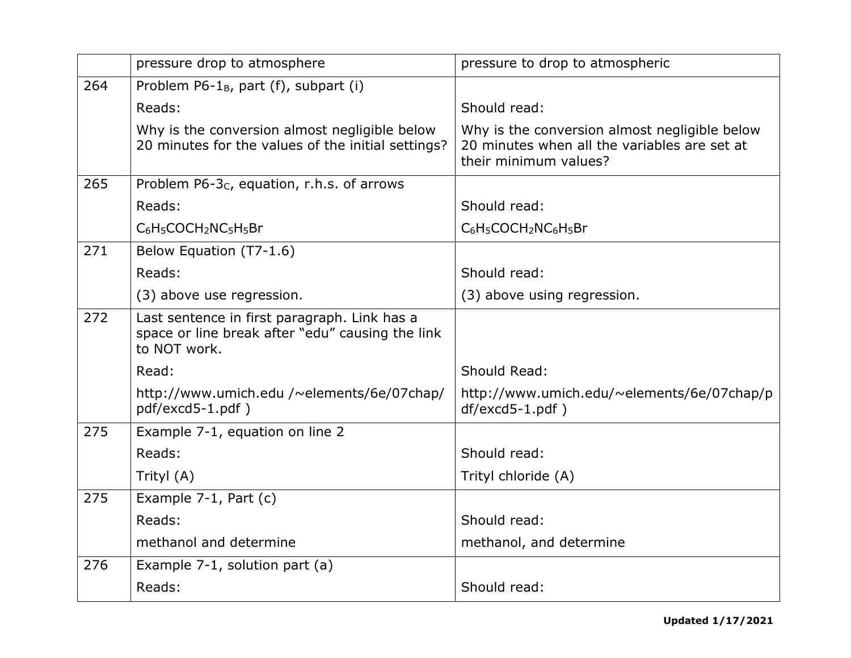|     | pressure drop to atmosphere                                                                                      | pressure to drop to atmospheric                                                                                        |
|-----|------------------------------------------------------------------------------------------------------------------|------------------------------------------------------------------------------------------------------------------------|
| 264 | Problem $P6-1_B$ , part (f), subpart (i)                                                                         |                                                                                                                        |
|     | Reads:                                                                                                           | Should read:                                                                                                           |
|     | Why is the conversion almost negligible below<br>20 minutes for the values of the initial settings?              | Why is the conversion almost negligible below<br>20 minutes when all the variables are set at<br>their minimum values? |
| 265 | Problem P6-3 <sub>C</sub> , equation, r.h.s. of arrows                                                           |                                                                                                                        |
|     | Reads:                                                                                                           | Should read:                                                                                                           |
|     | C <sub>6</sub> H <sub>5</sub> COCH <sub>2</sub> NC <sub>5</sub> H <sub>5</sub> Br                                | C <sub>6</sub> H <sub>5</sub> COCH <sub>2</sub> NC <sub>6</sub> H <sub>5</sub> Br                                      |
| 271 | Below Equation (T7-1.6)                                                                                          |                                                                                                                        |
|     | Reads:                                                                                                           | Should read:                                                                                                           |
|     | (3) above use regression.                                                                                        | (3) above using regression.                                                                                            |
| 272 | Last sentence in first paragraph. Link has a<br>space or line break after "edu" causing the link<br>to NOT work. |                                                                                                                        |
|     | Read:                                                                                                            | Should Read:                                                                                                           |
|     | http://www.umich.edu /~elements/6e/07chap/<br>pdf/excd5-1.pdf)                                                   | http://www.umich.edu/~elements/6e/07chap/p<br>$df$ /excd5-1.pdf)                                                       |
| 275 | Example 7-1, equation on line 2                                                                                  |                                                                                                                        |
|     | Reads:                                                                                                           | Should read:                                                                                                           |
|     | Trityl (A)                                                                                                       | Trityl chloride (A)                                                                                                    |
| 275 | Example 7-1, Part (c)                                                                                            |                                                                                                                        |
|     | Reads:                                                                                                           | Should read:                                                                                                           |
|     | methanol and determine                                                                                           | methanol, and determine                                                                                                |
| 276 | Example 7-1, solution part (a)                                                                                   |                                                                                                                        |
|     | Reads:                                                                                                           | Should read:                                                                                                           |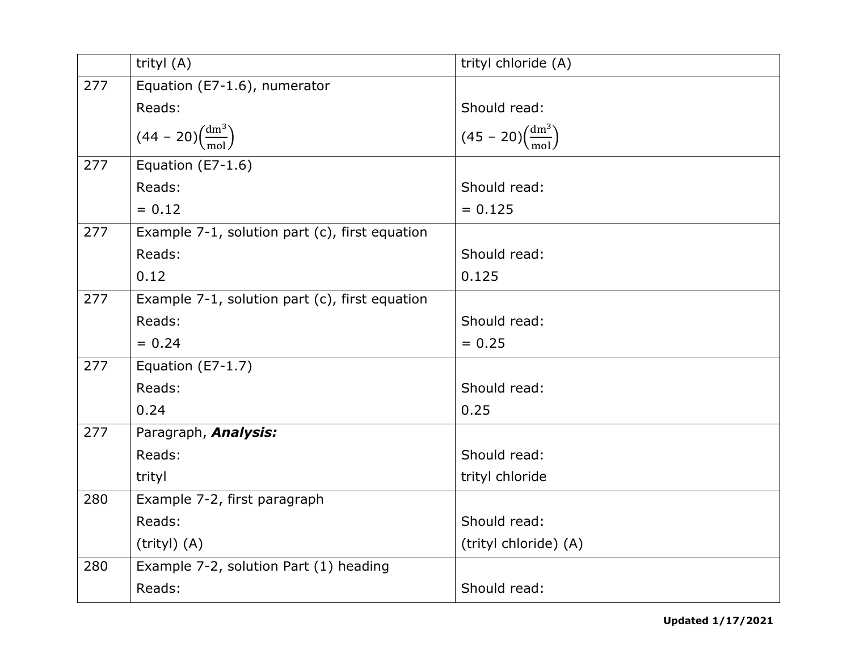|     | trityl (A)                                     | trityl chloride (A)                      |
|-----|------------------------------------------------|------------------------------------------|
| 277 | Equation (E7-1.6), numerator                   |                                          |
|     | Reads:                                         | Should read:                             |
|     | $(44 - 20)\left(\frac{dm^3}{mol}\right)$       | $(45 - 20)\left(\frac{dm^3}{mol}\right)$ |
| 277 | Equation (E7-1.6)                              |                                          |
|     | Reads:                                         | Should read:                             |
|     | $= 0.12$                                       | $= 0.125$                                |
| 277 | Example 7-1, solution part (c), first equation |                                          |
|     | Reads:                                         | Should read:                             |
|     | 0.12                                           | 0.125                                    |
| 277 | Example 7-1, solution part (c), first equation |                                          |
|     | Reads:                                         | Should read:                             |
|     | $= 0.24$                                       | $= 0.25$                                 |
| 277 | Equation (E7-1.7)                              |                                          |
|     | Reads:                                         | Should read:                             |
|     | 0.24                                           | 0.25                                     |
| 277 | Paragraph, <b>Analysis:</b>                    |                                          |
|     | Reads:                                         | Should read:                             |
|     | trityl                                         | trityl chloride                          |
| 280 | Example 7-2, first paragraph                   |                                          |
|     | Reads:                                         | Should read:                             |
|     | $(trityI)$ $(A)$                               | (trityl chloride) (A)                    |
| 280 | Example 7-2, solution Part (1) heading         |                                          |
|     | Reads:                                         | Should read:                             |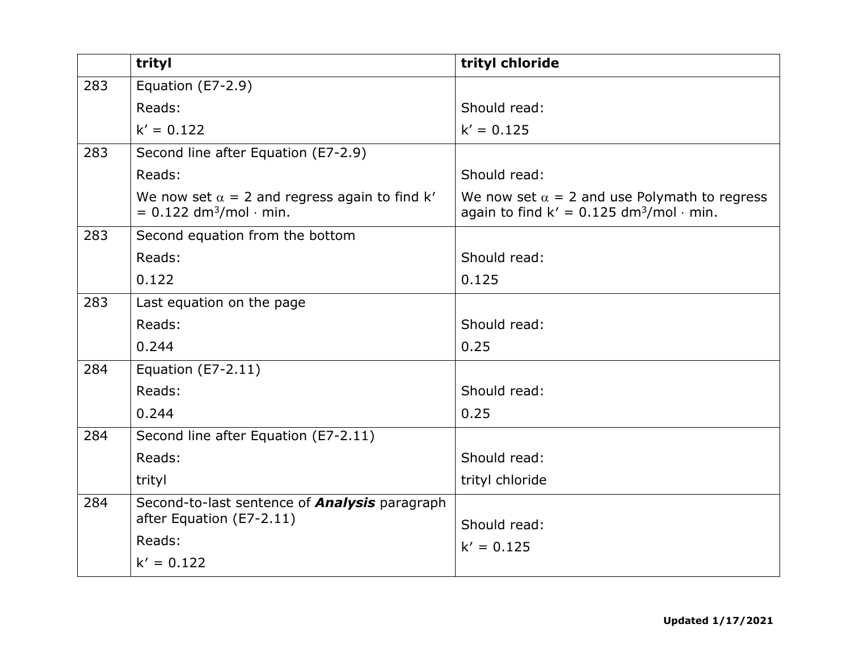|     | trityl                                                                                        | trityl chloride                                                                                                     |
|-----|-----------------------------------------------------------------------------------------------|---------------------------------------------------------------------------------------------------------------------|
| 283 | Equation (E7-2.9)                                                                             |                                                                                                                     |
|     | Reads:                                                                                        | Should read:                                                                                                        |
|     | $k' = 0.122$                                                                                  | $k' = 0.125$                                                                                                        |
| 283 | Second line after Equation (E7-2.9)                                                           |                                                                                                                     |
|     | Reads:                                                                                        | Should read:                                                                                                        |
|     | We now set $\alpha = 2$ and regress again to find k'<br>$= 0.122$ dm <sup>3</sup> /mol · min. | We now set $\alpha = 2$ and use Polymath to regress<br>again to find $k' = 0.125$ dm <sup>3</sup> /mol $\cdot$ min. |
| 283 | Second equation from the bottom                                                               |                                                                                                                     |
|     | Reads:                                                                                        | Should read:                                                                                                        |
|     | 0.122                                                                                         | 0.125                                                                                                               |
| 283 | Last equation on the page                                                                     |                                                                                                                     |
|     | Reads:                                                                                        | Should read:                                                                                                        |
|     | 0.244                                                                                         | 0.25                                                                                                                |
| 284 | Equation $(E7-2.11)$                                                                          |                                                                                                                     |
|     | Reads:                                                                                        | Should read:                                                                                                        |
|     | 0.244                                                                                         | 0.25                                                                                                                |
| 284 | Second line after Equation (E7-2.11)                                                          |                                                                                                                     |
|     | Reads:                                                                                        | Should read:                                                                                                        |
|     | trityl                                                                                        | trityl chloride                                                                                                     |
| 284 | Second-to-last sentence of <b>Analysis</b> paragraph<br>after Equation (E7-2.11)              |                                                                                                                     |
|     | Reads:                                                                                        | Should read:                                                                                                        |
|     | $k' = 0.122$                                                                                  | $k' = 0.125$                                                                                                        |
|     |                                                                                               |                                                                                                                     |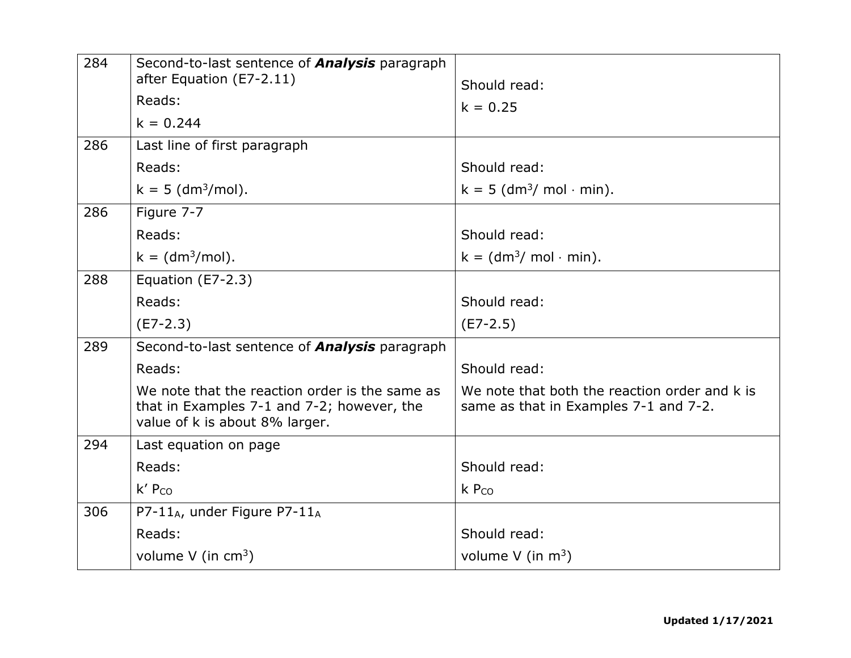| 284<br>286 | Second-to-last sentence of <b>Analysis</b> paragraph<br>after Equation (E7-2.11)<br>Reads:<br>$k = 0.244$<br>Last line of first paragraph | Should read:<br>$k = 0.25$                                                             |
|------------|-------------------------------------------------------------------------------------------------------------------------------------------|----------------------------------------------------------------------------------------|
|            | Reads:                                                                                                                                    | Should read:                                                                           |
|            | $k = 5$ (dm <sup>3</sup> /mol).                                                                                                           | $k = 5$ (dm <sup>3</sup> / mol $\cdot$ min).                                           |
| 286        | Figure 7-7                                                                                                                                |                                                                                        |
|            | Reads:                                                                                                                                    | Should read:                                                                           |
|            | $k = (dm3/mol).$                                                                                                                          | $k = (dm3/mol·min)$ .                                                                  |
| 288        | Equation (E7-2.3)                                                                                                                         |                                                                                        |
|            | Reads:                                                                                                                                    | Should read:                                                                           |
|            | $(E7-2.3)$                                                                                                                                | $(E7-2.5)$                                                                             |
| 289        | Second-to-last sentence of <b>Analysis</b> paragraph                                                                                      |                                                                                        |
|            | Reads:                                                                                                                                    | Should read:                                                                           |
|            | We note that the reaction order is the same as<br>that in Examples 7-1 and 7-2; however, the<br>value of k is about 8% larger.            | We note that both the reaction order and k is<br>same as that in Examples 7-1 and 7-2. |
| 294        | Last equation on page                                                                                                                     |                                                                                        |
|            | Reads:                                                                                                                                    | Should read:                                                                           |
|            | $k'$ P <sub>co</sub>                                                                                                                      | $k$ P <sub>co</sub>                                                                    |
| 306        | P7-11 <sub>A</sub> , under Figure P7-11 <sub>A</sub>                                                                                      |                                                                                        |
|            | Reads:                                                                                                                                    | Should read:                                                                           |
|            | volume $V$ (in cm <sup>3</sup> )                                                                                                          | volume $V$ (in $m^3$ )                                                                 |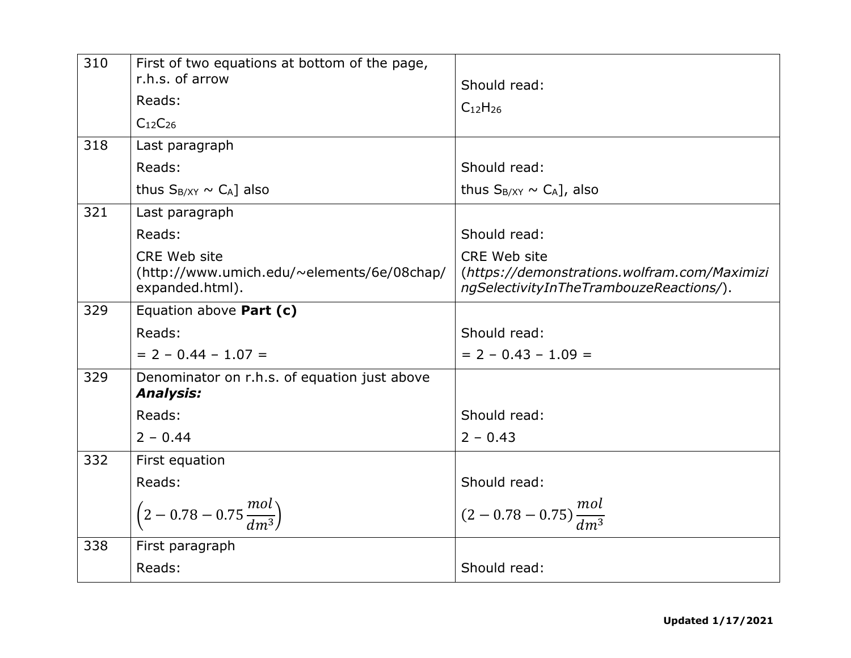| 310 | First of two equations at bottom of the page,<br>r.h.s. of arrow<br>Reads:<br>C <sub>12</sub> C <sub>26</sub> | Should read:<br>$C_{12}H_{26}$                                                                                 |
|-----|---------------------------------------------------------------------------------------------------------------|----------------------------------------------------------------------------------------------------------------|
| 318 | Last paragraph                                                                                                |                                                                                                                |
|     | Reads:                                                                                                        | Should read:                                                                                                   |
|     | thus $S_{B/XY} \sim C_A$ ] also                                                                               | thus $S_{B/XY} \sim C_A$ , also                                                                                |
| 321 | Last paragraph                                                                                                |                                                                                                                |
|     | Reads:                                                                                                        | Should read:                                                                                                   |
|     | <b>CRE Web site</b><br>(http://www.umich.edu/~elements/6e/08chap/<br>expanded.html).                          | <b>CRE Web site</b><br>(https://demonstrations.wolfram.com/Maximizi<br>ngSelectivityInTheTrambouzeReactions/). |
| 329 | Equation above Part (c)                                                                                       |                                                                                                                |
|     | Reads:                                                                                                        | Should read:                                                                                                   |
|     | $= 2 - 0.44 - 1.07 =$                                                                                         | $= 2 - 0.43 - 1.09 =$                                                                                          |
| 329 | Denominator on r.h.s. of equation just above<br><b>Analysis:</b>                                              |                                                                                                                |
|     | Reads:                                                                                                        | Should read:                                                                                                   |
|     | $2 - 0.44$                                                                                                    | $2 - 0.43$                                                                                                     |
| 332 | First equation                                                                                                |                                                                                                                |
|     | Reads:                                                                                                        | Should read:                                                                                                   |
|     | $\left(2-0.78-0.75\frac{mol}{dm^3}\right)$                                                                    | $(2-0.78-0.75)\frac{mol}{dm^3}$                                                                                |
| 338 | First paragraph                                                                                               |                                                                                                                |
|     | Reads:                                                                                                        | Should read:                                                                                                   |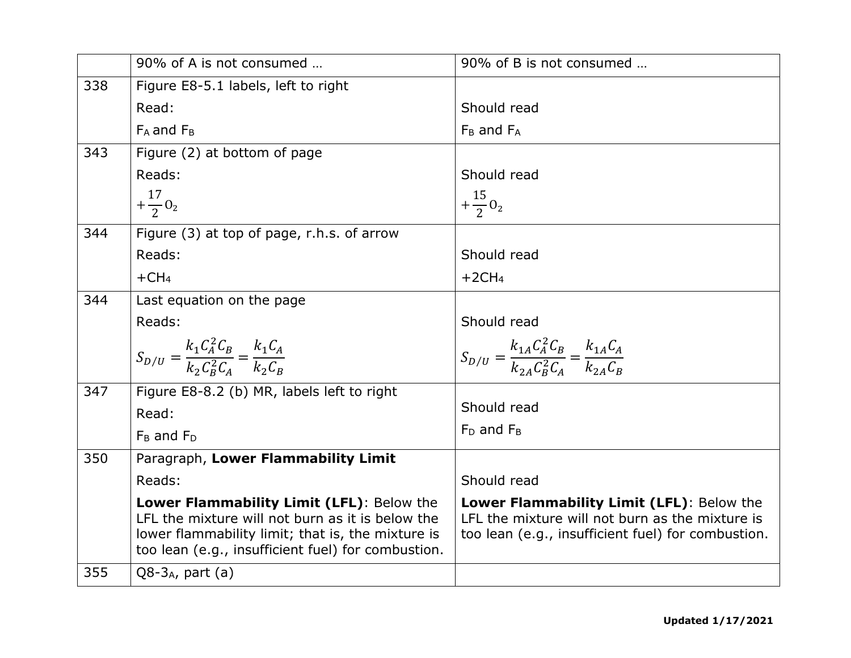|     | 90% of A is not consumed                                                                                                                                                                                 | 90% of B is not consumed                                                                                                                           |
|-----|----------------------------------------------------------------------------------------------------------------------------------------------------------------------------------------------------------|----------------------------------------------------------------------------------------------------------------------------------------------------|
| 338 | Figure E8-5.1 labels, left to right                                                                                                                                                                      |                                                                                                                                                    |
|     | Read:                                                                                                                                                                                                    | Should read                                                                                                                                        |
|     | $F_A$ and $F_B$                                                                                                                                                                                          | $F_B$ and $F_A$                                                                                                                                    |
| 343 | Figure (2) at bottom of page                                                                                                                                                                             |                                                                                                                                                    |
|     | Reads:                                                                                                                                                                                                   | Should read                                                                                                                                        |
|     | $+\frac{17}{2}$ O <sub>2</sub>                                                                                                                                                                           | $+\frac{15}{2}$ 0 <sub>2</sub>                                                                                                                     |
| 344 | Figure (3) at top of page, r.h.s. of arrow                                                                                                                                                               |                                                                                                                                                    |
|     | Reads:                                                                                                                                                                                                   | Should read                                                                                                                                        |
|     | $+CH4$                                                                                                                                                                                                   | $+2CH4$                                                                                                                                            |
| 344 | Last equation on the page                                                                                                                                                                                |                                                                                                                                                    |
|     | Reads:                                                                                                                                                                                                   | Should read                                                                                                                                        |
|     | $S_{D/U} = \frac{k_1 C_A^2 C_B}{k_2 C_B^2 C_A} = \frac{k_1 C_A}{k_2 C_B}$                                                                                                                                | $S_{D/U} = \frac{k_{1A}C_A^2C_B}{k_{2A}C_B^2C_A} = \frac{k_{1A}C_A}{k_{2A}C_B}$                                                                    |
|     |                                                                                                                                                                                                          |                                                                                                                                                    |
| 347 | Figure E8-8.2 (b) MR, labels left to right                                                                                                                                                               | Should read                                                                                                                                        |
|     | Read:                                                                                                                                                                                                    |                                                                                                                                                    |
|     | $F_B$ and $F_D$                                                                                                                                                                                          | $F_D$ and $F_B$                                                                                                                                    |
| 350 | Paragraph, Lower Flammability Limit                                                                                                                                                                      |                                                                                                                                                    |
|     | Reads:                                                                                                                                                                                                   | Should read                                                                                                                                        |
|     | Lower Flammability Limit (LFL): Below the<br>LFL the mixture will not burn as it is below the<br>lower flammability limit; that is, the mixture is<br>too lean (e.g., insufficient fuel) for combustion. | Lower Flammability Limit (LFL): Below the<br>LFL the mixture will not burn as the mixture is<br>too lean (e.g., insufficient fuel) for combustion. |
| 355 | $Q8-3_A$ , part (a)                                                                                                                                                                                      |                                                                                                                                                    |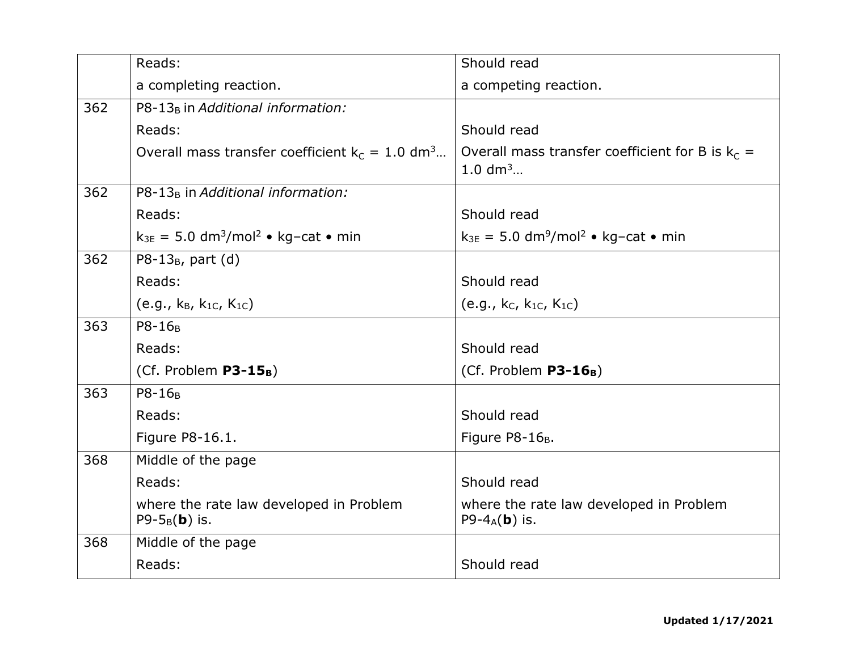|     | Reads:                                                          | Should read                                                           |
|-----|-----------------------------------------------------------------|-----------------------------------------------------------------------|
|     | a completing reaction.                                          | a competing reaction.                                                 |
| 362 | P8-13 <sub>B</sub> in Additional information:                   |                                                                       |
|     | Reads:                                                          | Should read                                                           |
|     | Overall mass transfer coefficient $k_c = 1.0$ dm <sup>3</sup>   | Overall mass transfer coefficient for B is $k_c =$<br>1.0 $dm^3$      |
| 362 | P8-13 <sub>B</sub> in Additional information:                   |                                                                       |
|     | Reads:                                                          | Should read                                                           |
|     | $k_{3E} = 5.0$ dm <sup>3</sup> /mol <sup>2</sup> • kg-cat • min | $k_{3E} = 5.0$ dm <sup>9</sup> /mol <sup>2</sup> • kg-cat • min       |
| 362 | P8-13 $_B$ , part (d)                                           |                                                                       |
|     | Reads:                                                          | Should read                                                           |
|     | (e.g., $k_B$ , $k_{1C}$ , $K_{1C}$ )                            | (e.g., $k_C$ , $k_{1C}$ , $K_{1C}$ )                                  |
| 363 | P8-16 <sub>B</sub>                                              |                                                                       |
|     | Reads:                                                          | Should read                                                           |
|     | (Cf. Problem P3-15 <sub>B</sub> )                               | (Cf. Problem $P3-16_B$ )                                              |
| 363 | P8-16 <sub>B</sub>                                              |                                                                       |
|     | Reads:                                                          | Should read                                                           |
|     | Figure P8-16.1.                                                 | Figure P8-16 <sub>B</sub> .                                           |
| 368 | Middle of the page                                              |                                                                       |
|     | Reads:                                                          | Should read                                                           |
|     | where the rate law developed in Problem<br>P9- $5_B(b)$ is.     | where the rate law developed in Problem<br>P9-4 $_A$ ( <b>b</b> ) is. |
| 368 | Middle of the page                                              |                                                                       |
|     | Reads:                                                          | Should read                                                           |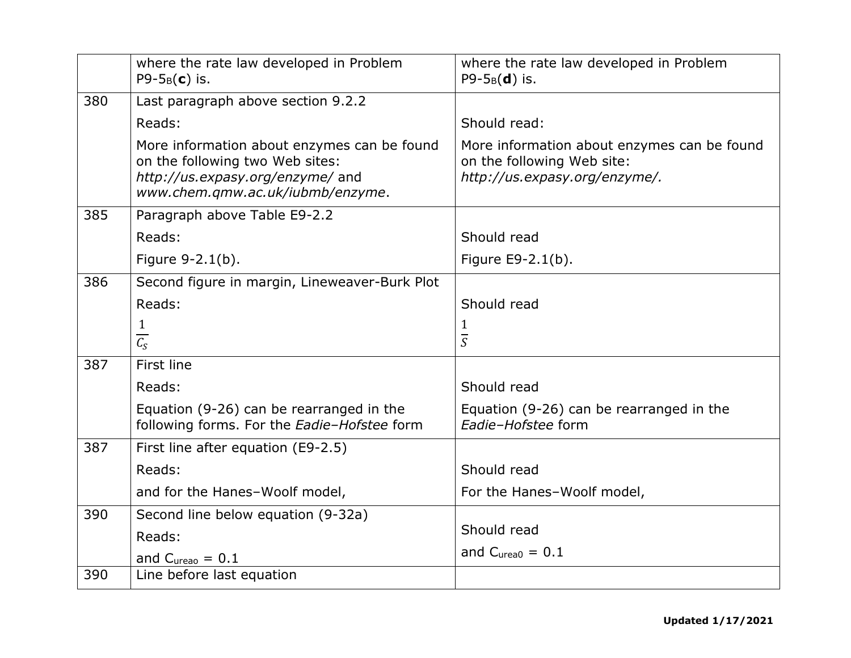|     | where the rate law developed in Problem<br>$P9-5_B(c)$ is.                                                                                             | where the rate law developed in Problem<br>$P9-5_B(d)$ is.                                                 |
|-----|--------------------------------------------------------------------------------------------------------------------------------------------------------|------------------------------------------------------------------------------------------------------------|
| 380 | Last paragraph above section 9.2.2                                                                                                                     |                                                                                                            |
|     | Reads:                                                                                                                                                 | Should read:                                                                                               |
|     | More information about enzymes can be found<br>on the following two Web sites:<br>http://us.expasy.org/enzyme/ and<br>www.chem.gmw.ac.uk/iubmb/enzyme. | More information about enzymes can be found<br>on the following Web site:<br>http://us.expasy.org/enzyme/. |
| 385 | Paragraph above Table E9-2.2                                                                                                                           |                                                                                                            |
|     | Reads:                                                                                                                                                 | Should read                                                                                                |
|     | Figure 9-2.1(b).                                                                                                                                       | Figure E9-2.1(b).                                                                                          |
| 386 | Second figure in margin, Lineweaver-Burk Plot                                                                                                          |                                                                                                            |
|     | Reads:                                                                                                                                                 | Should read                                                                                                |
|     | $\mathbf{1}$<br>$\overline{C_S}$                                                                                                                       | 1<br>$\overline{S}$                                                                                        |
| 387 | First line                                                                                                                                             |                                                                                                            |
|     | Reads:                                                                                                                                                 | Should read                                                                                                |
|     | Equation (9-26) can be rearranged in the<br>following forms. For the Eadie-Hofstee form                                                                | Equation (9-26) can be rearranged in the<br>Eadie-Hofstee form                                             |
| 387 | First line after equation (E9-2.5)                                                                                                                     |                                                                                                            |
|     | Reads:                                                                                                                                                 | Should read                                                                                                |
|     | and for the Hanes-Woolf model,                                                                                                                         | For the Hanes-Woolf model,                                                                                 |
| 390 | Second line below equation (9-32a)                                                                                                                     |                                                                                                            |
|     | Reads:                                                                                                                                                 | Should read                                                                                                |
|     | and $C_{\text{ureao}} = 0.1$                                                                                                                           | and $C_{\text{unea0}} = 0.1$                                                                               |
| 390 | Line before last equation                                                                                                                              |                                                                                                            |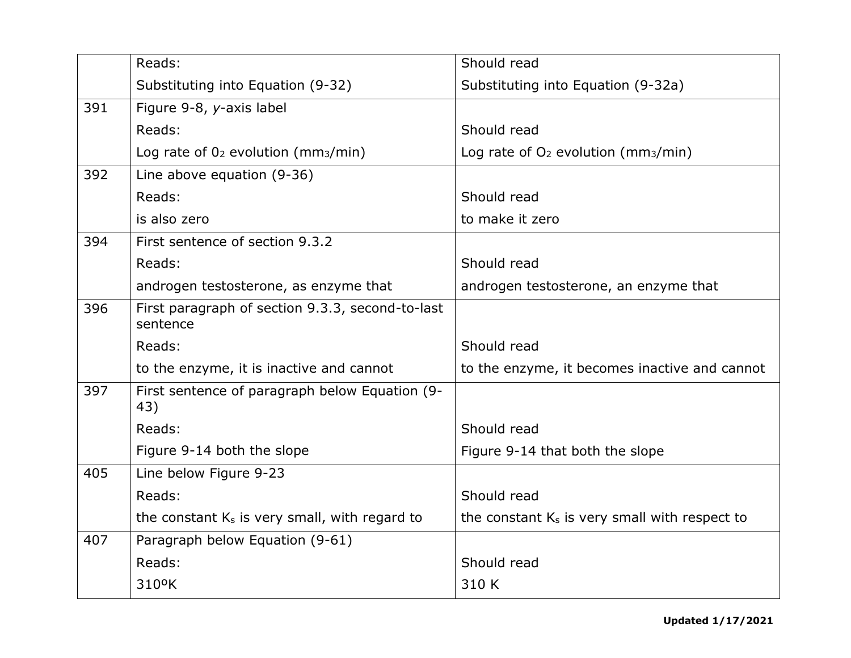|     | Reads:                                                       | Should read                                       |
|-----|--------------------------------------------------------------|---------------------------------------------------|
|     | Substituting into Equation (9-32)                            | Substituting into Equation (9-32a)                |
| 391 | Figure 9-8, y-axis label                                     |                                                   |
|     | Reads:                                                       | Should read                                       |
|     | Log rate of $0_2$ evolution (mm <sub>3</sub> /min)           | Log rate of $O2$ evolution (mm <sub>3</sub> /min) |
| 392 | Line above equation (9-36)                                   |                                                   |
|     | Reads:                                                       | Should read                                       |
|     | is also zero                                                 | to make it zero                                   |
| 394 | First sentence of section 9.3.2                              |                                                   |
|     | Reads:                                                       | Should read                                       |
|     | androgen testosterone, as enzyme that                        | androgen testosterone, an enzyme that             |
| 396 | First paragraph of section 9.3.3, second-to-last<br>sentence |                                                   |
|     | Reads:                                                       | Should read                                       |
|     | to the enzyme, it is inactive and cannot                     | to the enzyme, it becomes inactive and cannot     |
| 397 | First sentence of paragraph below Equation (9-<br>43)        |                                                   |
|     | Reads:                                                       | Should read                                       |
|     | Figure 9-14 both the slope                                   | Figure 9-14 that both the slope                   |
| 405 | Line below Figure 9-23                                       |                                                   |
|     | Reads:                                                       | Should read                                       |
|     | the constant K <sub>s</sub> is very small, with regard to    | the constant $K_s$ is very small with respect to  |
| 407 | Paragraph below Equation (9-61)                              |                                                   |
|     | Reads:                                                       | Should read                                       |
|     | 310°K                                                        | 310 K                                             |
|     |                                                              |                                                   |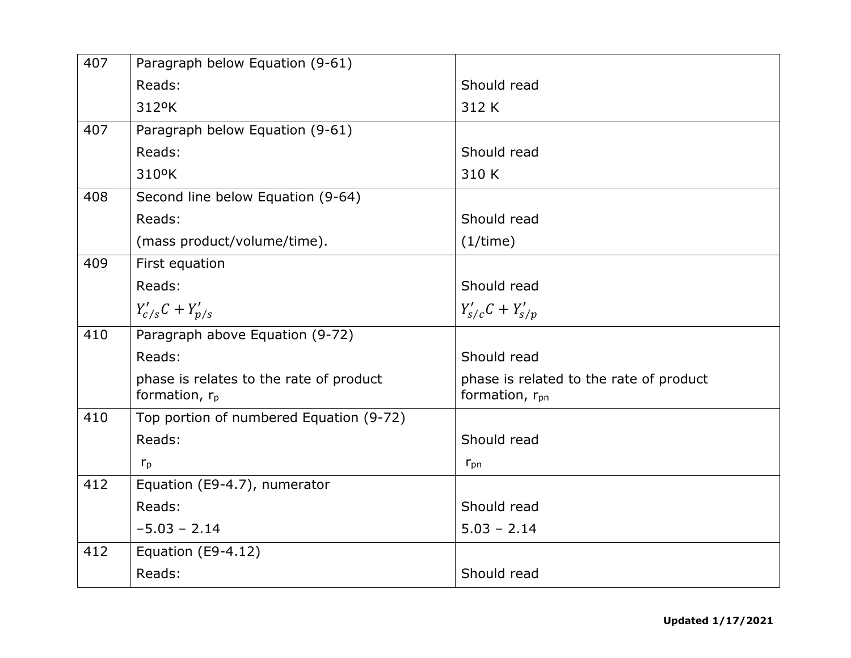| 407 | Paragraph below Equation (9-61)                             |                                                                       |
|-----|-------------------------------------------------------------|-----------------------------------------------------------------------|
|     | Reads:                                                      | Should read                                                           |
|     | 312°K                                                       | 312 K                                                                 |
| 407 | Paragraph below Equation (9-61)                             |                                                                       |
|     | Reads:                                                      | Should read                                                           |
|     | 310°K                                                       | 310 K                                                                 |
| 408 | Second line below Equation (9-64)                           |                                                                       |
|     | Reads:                                                      | Should read                                                           |
|     | (mass product/volume/time).                                 | (1/time)                                                              |
| 409 | First equation                                              |                                                                       |
|     | Reads:                                                      | Should read                                                           |
|     | $Y'_{c/s}C + Y'_{p/s}$                                      | $Y'_{s/c}C + Y'_{s/p}$                                                |
| 410 | Paragraph above Equation (9-72)                             |                                                                       |
|     | Reads:                                                      | Should read                                                           |
|     | phase is relates to the rate of product<br>formation, $r_p$ | phase is related to the rate of product<br>formation, r <sub>pn</sub> |
| 410 | Top portion of numbered Equation (9-72)                     |                                                                       |
|     | Reads:                                                      | Should read                                                           |
|     | $r_{p}$                                                     | $r_{pn}$                                                              |
| 412 | Equation (E9-4.7), numerator                                |                                                                       |
|     | Reads:                                                      | Should read                                                           |
|     | $-5.03 - 2.14$                                              | $5.03 - 2.14$                                                         |
| 412 | Equation (E9-4.12)                                          |                                                                       |
|     | Reads:                                                      | Should read                                                           |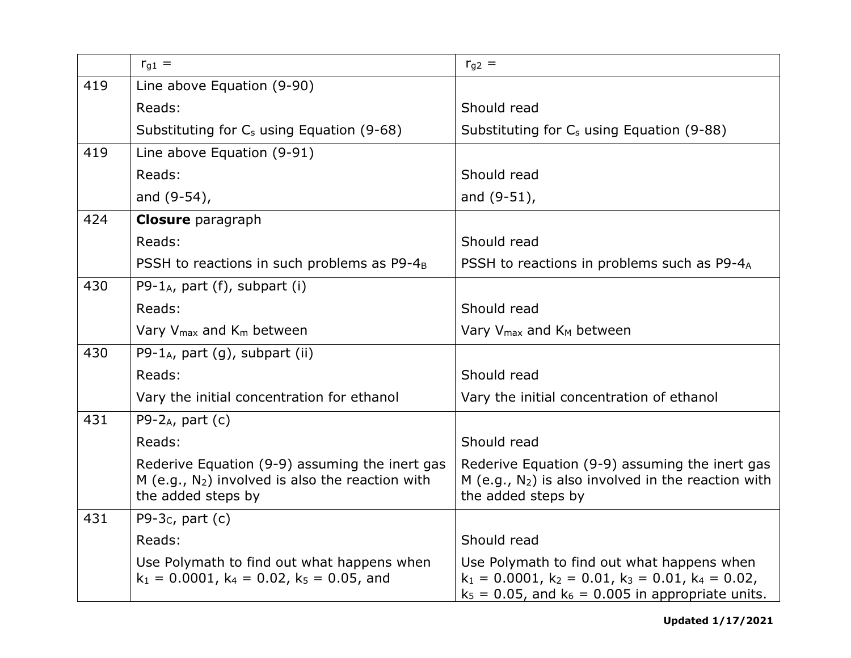|     | $r_{q1} =$                                                                                                                    | $r_{g2}$ =                                                                                                                                                            |
|-----|-------------------------------------------------------------------------------------------------------------------------------|-----------------------------------------------------------------------------------------------------------------------------------------------------------------------|
| 419 | Line above Equation (9-90)                                                                                                    |                                                                                                                                                                       |
|     | Reads:                                                                                                                        | Should read                                                                                                                                                           |
|     | Substituting for $C_s$ using Equation (9-68)                                                                                  | Substituting for C <sub>s</sub> using Equation (9-88)                                                                                                                 |
| 419 | Line above Equation (9-91)                                                                                                    |                                                                                                                                                                       |
|     | Reads:                                                                                                                        | Should read                                                                                                                                                           |
|     | and (9-54),                                                                                                                   | and $(9-51)$ ,                                                                                                                                                        |
| 424 | <b>Closure</b> paragraph                                                                                                      |                                                                                                                                                                       |
|     | Reads:                                                                                                                        | Should read                                                                                                                                                           |
|     | PSSH to reactions in such problems as P9-4 <sub>B</sub>                                                                       | PSSH to reactions in problems such as P9-4A                                                                                                                           |
| 430 | P9-1 <sub>A</sub> , part (f), subpart (i)                                                                                     |                                                                                                                                                                       |
|     | Reads:                                                                                                                        | Should read                                                                                                                                                           |
|     | Vary V <sub>max</sub> and K <sub>m</sub> between                                                                              | Vary $V_{\text{max}}$ and $K_M$ between                                                                                                                               |
| 430 | P9-1 <sub>A</sub> , part $(q)$ , subpart (ii)                                                                                 |                                                                                                                                                                       |
|     | Reads:                                                                                                                        | Should read                                                                                                                                                           |
|     | Vary the initial concentration for ethanol                                                                                    | Vary the initial concentration of ethanol                                                                                                                             |
| 431 | P9-2 $_A$ , part (c)                                                                                                          |                                                                                                                                                                       |
|     | Reads:                                                                                                                        | Should read                                                                                                                                                           |
|     | Rederive Equation (9-9) assuming the inert gas<br>$M$ (e.g., $N_2$ ) involved is also the reaction with<br>the added steps by | Rederive Equation (9-9) assuming the inert gas<br>$M$ (e.g., $N_2$ ) is also involved in the reaction with<br>the added steps by                                      |
| 431 | P9-3 $c$ , part (c)                                                                                                           |                                                                                                                                                                       |
|     | Reads:                                                                                                                        | Should read                                                                                                                                                           |
|     | Use Polymath to find out what happens when<br>$k_1 = 0.0001$ , $k_4 = 0.02$ , $k_5 = 0.05$ , and                              | Use Polymath to find out what happens when<br>$k_1 = 0.0001$ , $k_2 = 0.01$ , $k_3 = 0.01$ , $k_4 = 0.02$ ,<br>$k_5 = 0.05$ , and $k_6 = 0.005$ in appropriate units. |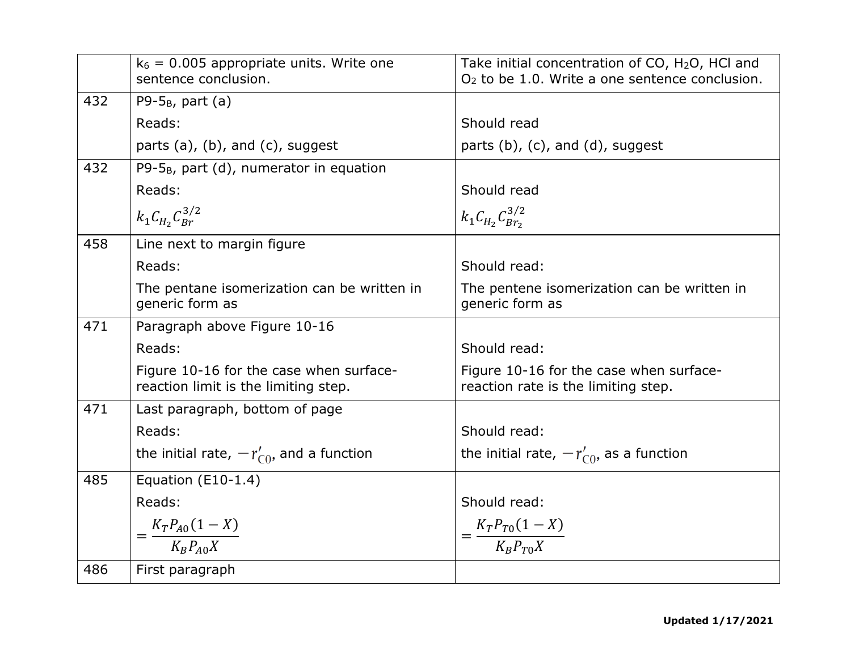|     | $k_6$ = 0.005 appropriate units. Write one<br>sentence conclusion.              | Take initial concentration of CO, H <sub>2</sub> O, HCI and<br>$O2$ to be 1.0. Write a one sentence conclusion. |
|-----|---------------------------------------------------------------------------------|-----------------------------------------------------------------------------------------------------------------|
| 432 | P9- $5_B$ , part (a)                                                            |                                                                                                                 |
|     | Reads:                                                                          | Should read                                                                                                     |
|     | parts (a), (b), and (c), suggest                                                | parts $(b)$ , $(c)$ , and $(d)$ , suggest                                                                       |
| 432 | P9- $5_B$ , part (d), numerator in equation                                     |                                                                                                                 |
|     | Reads:                                                                          | Should read                                                                                                     |
|     | $k_1 C_{H_2} C_{Br}^{3/2}$                                                      | $k_1 C_{H_2} C_{Br_2}^{3/2}$                                                                                    |
| 458 | Line next to margin figure                                                      |                                                                                                                 |
|     | Reads:                                                                          | Should read:                                                                                                    |
|     | The pentane isomerization can be written in<br>generic form as                  | The pentene isomerization can be written in<br>generic form as                                                  |
| 471 | Paragraph above Figure 10-16                                                    |                                                                                                                 |
|     | Reads:                                                                          | Should read:                                                                                                    |
|     | Figure 10-16 for the case when surface-<br>reaction limit is the limiting step. | Figure 10-16 for the case when surface-<br>reaction rate is the limiting step.                                  |
| 471 | Last paragraph, bottom of page                                                  |                                                                                                                 |
|     | Reads:                                                                          | Should read:                                                                                                    |
|     | the initial rate, $-r'_{\text{CO}}$ , and a function                            | the initial rate, $-r'_{\text{CO}}$ , as a function                                                             |
| 485 | Equation (E10-1.4)                                                              |                                                                                                                 |
|     | Reads:                                                                          | Should read:                                                                                                    |
|     | $=\frac{K_T P_{A0}(1-X)}{K_P P_{A0}X}$                                          | $=\frac{K_T P_{T0}(1-X)}{K_P P_{T0}X}$                                                                          |
|     |                                                                                 |                                                                                                                 |
| 486 | First paragraph                                                                 |                                                                                                                 |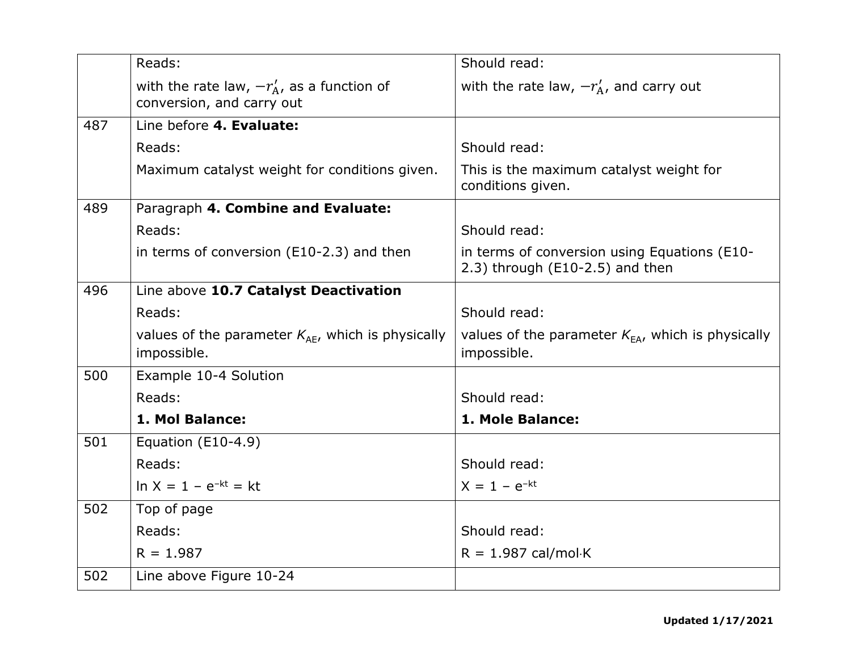|     | Reads:                                                                       | Should read:                                                                       |
|-----|------------------------------------------------------------------------------|------------------------------------------------------------------------------------|
|     | with the rate law, $-r'_{A}$ , as a function of<br>conversion, and carry out | with the rate law, $-r'_{A}$ , and carry out                                       |
| 487 | Line before 4. Evaluate:                                                     |                                                                                    |
|     | Reads:                                                                       | Should read:                                                                       |
|     | Maximum catalyst weight for conditions given.                                | This is the maximum catalyst weight for<br>conditions given.                       |
| 489 | Paragraph 4. Combine and Evaluate:                                           |                                                                                    |
|     | Reads:                                                                       | Should read:                                                                       |
|     | in terms of conversion (E10-2.3) and then                                    | in terms of conversion using Equations (E10-<br>$2.3$ ) through (E10-2.5) and then |
| 496 | Line above 10.7 Catalyst Deactivation                                        |                                                                                    |
|     | Reads:                                                                       | Should read:                                                                       |
|     | values of the parameter $K_{AE}$ , which is physically<br>impossible.        | values of the parameter $K_{EA}$ , which is physically<br>impossible.              |
| 500 | Example 10-4 Solution                                                        |                                                                                    |
|     | Reads:                                                                       | Should read:                                                                       |
|     | 1. Mol Balance:                                                              | 1. Mole Balance:                                                                   |
| 501 | Equation $(E10-4.9)$                                                         |                                                                                    |
|     | Reads:                                                                       | Should read:                                                                       |
|     | $\ln X = 1 - e^{-kt} = kt$                                                   | $X = 1 - e^{-kt}$                                                                  |
| 502 | Top of page                                                                  |                                                                                    |
|     | Reads:                                                                       | Should read:                                                                       |
|     | $R = 1.987$                                                                  | $R = 1.987 \text{ cal/mol-K}$                                                      |
| 502 | Line above Figure 10-24                                                      |                                                                                    |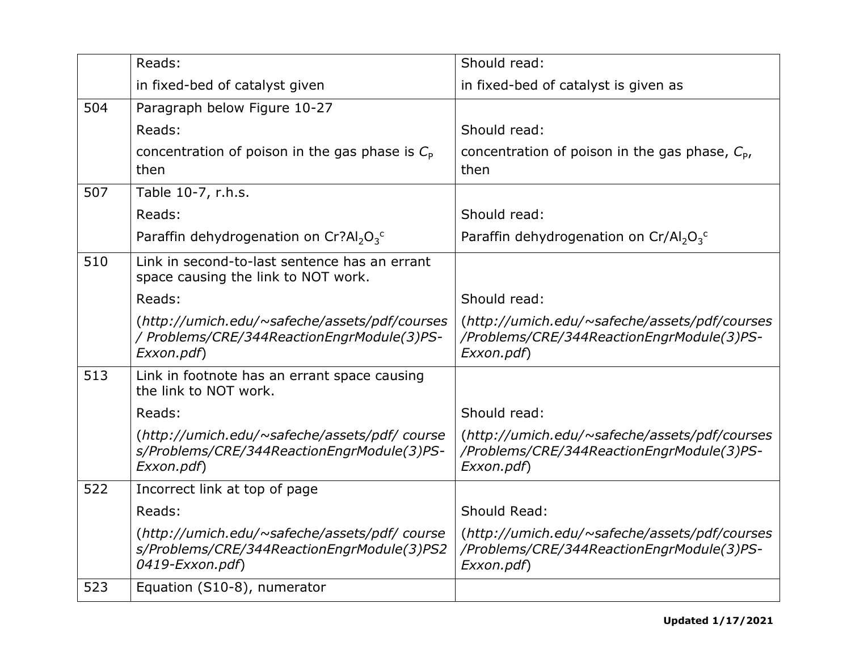|     | Reads:                                                                                                         | Should read:                                                                                             |
|-----|----------------------------------------------------------------------------------------------------------------|----------------------------------------------------------------------------------------------------------|
|     | in fixed-bed of catalyst given                                                                                 | in fixed-bed of catalyst is given as                                                                     |
| 504 | Paragraph below Figure 10-27                                                                                   |                                                                                                          |
|     | Reads:                                                                                                         | Should read:                                                                                             |
|     | concentration of poison in the gas phase is $C_{\rm P}$<br>then                                                | concentration of poison in the gas phase, $C_{p}$ ,<br>then                                              |
| 507 | Table 10-7, r.h.s.                                                                                             |                                                                                                          |
|     | Reads:                                                                                                         | Should read:                                                                                             |
|     | Paraffin dehydrogenation on Cr?Al <sub>2</sub> O <sub>3</sub> <sup>c</sup>                                     | Paraffin dehydrogenation on Cr/Al <sub>2</sub> O <sub>3</sub> <sup>c</sup>                               |
| 510 | Link in second-to-last sentence has an errant<br>space causing the link to NOT work.                           |                                                                                                          |
|     | Reads:                                                                                                         | Should read:                                                                                             |
|     | (http://umich.edu/~safeche/assets/pdf/courses<br>/ Problems/CRE/344ReactionEngrModule(3)PS-<br>Exxon.pdf)      | (http://umich.edu/~safeche/assets/pdf/courses<br>/Problems/CRE/344ReactionEngrModule(3)PS-<br>Exxon.pdf) |
| 513 | Link in footnote has an errant space causing<br>the link to NOT work.                                          |                                                                                                          |
|     | Reads:                                                                                                         | Should read:                                                                                             |
|     | (http://umich.edu/~safeche/assets/pdf/ course<br>s/Problems/CRE/344ReactionEngrModule(3)PS-<br>Exxon.pdf)      | (http://umich.edu/~safeche/assets/pdf/courses<br>/Problems/CRE/344ReactionEngrModule(3)PS-<br>Exxon.pdf) |
| 522 | Incorrect link at top of page                                                                                  |                                                                                                          |
|     | Reads:                                                                                                         | Should Read:                                                                                             |
|     | (http://umich.edu/~safeche/assets/pdf/ course<br>s/Problems/CRE/344ReactionEngrModule(3)PS2<br>0419-Exxon.pdf) | (http://umich.edu/~safeche/assets/pdf/courses<br>/Problems/CRE/344ReactionEngrModule(3)PS-<br>Exxon.pdf) |
| 523 | Equation (S10-8), numerator                                                                                    |                                                                                                          |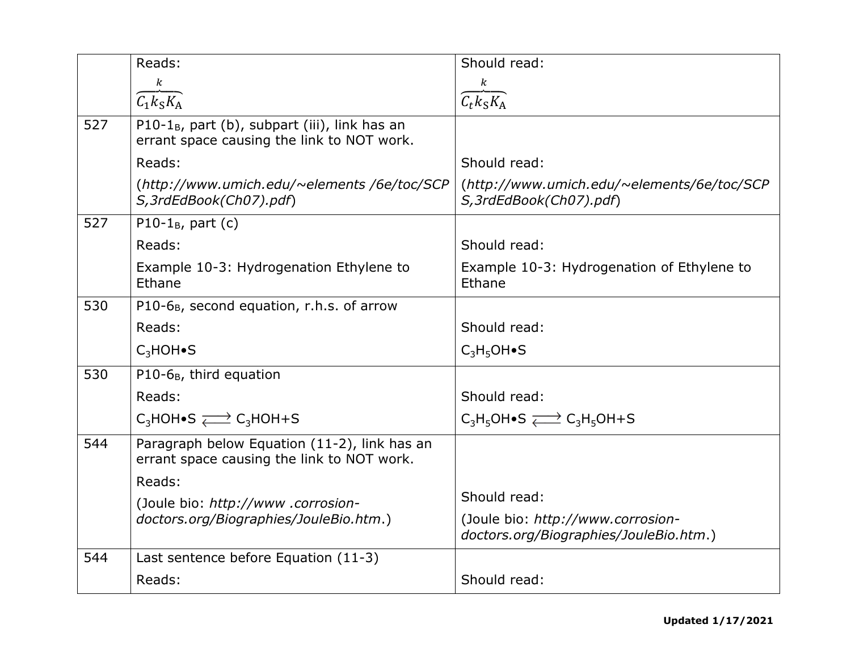|     | Reads:                                                                                                | Should read:                                                                |
|-----|-------------------------------------------------------------------------------------------------------|-----------------------------------------------------------------------------|
|     | k                                                                                                     | $\boldsymbol{k}$                                                            |
|     | $\overline{C_1k_S}K_A$                                                                                | $\overline{\mathcal{C}_t k_S K_A}$                                          |
| 527 | P10-1 $_{\rm B}$ , part (b), subpart (iii), link has an<br>errant space causing the link to NOT work. |                                                                             |
|     | Reads:                                                                                                | Should read:                                                                |
|     | (http://www.umich.edu/~elements/6e/toc/SCP<br>S, 3rdEdBook(Ch07).pdf)                                 | (http://www.umich.edu/~elements/6e/toc/SCP<br>S, 3rdEdBook(Ch07).pdf)       |
| 527 | P10-1 $_{\rm B}$ , part (c)                                                                           |                                                                             |
|     | Reads:                                                                                                | Should read:                                                                |
|     | Example 10-3: Hydrogenation Ethylene to<br>Ethane                                                     | Example 10-3: Hydrogenation of Ethylene to<br>Ethane                        |
| 530 | P10-6 <sub>B</sub> , second equation, r.h.s. of arrow                                                 |                                                                             |
|     | Reads:                                                                                                | Should read:                                                                |
|     | $C_3$ HOH $\bullet$ S                                                                                 | $C_3H_5OH\bullet S$                                                         |
| 530 | $P10-6_B$ , third equation                                                                            |                                                                             |
|     | Reads:                                                                                                | Should read:                                                                |
|     | $C_3$ HOH•S $\rightleftarrows C_3$ HOH+S                                                              | $C_3H_5OH \bullet S \rightleftarrows C_3H_5OH + S$                          |
| 544 | Paragraph below Equation (11-2), link has an<br>errant space causing the link to NOT work.            |                                                                             |
|     | Reads:                                                                                                |                                                                             |
|     | (Joule bio: http://www.corrosion-                                                                     | Should read:                                                                |
|     | doctors.org/Biographies/JouleBio.htm.)                                                                | (Joule bio: http://www.corrosion-<br>doctors.org/Biographies/JouleBio.htm.) |
| 544 | Last sentence before Equation (11-3)                                                                  |                                                                             |
|     | Reads:                                                                                                | Should read:                                                                |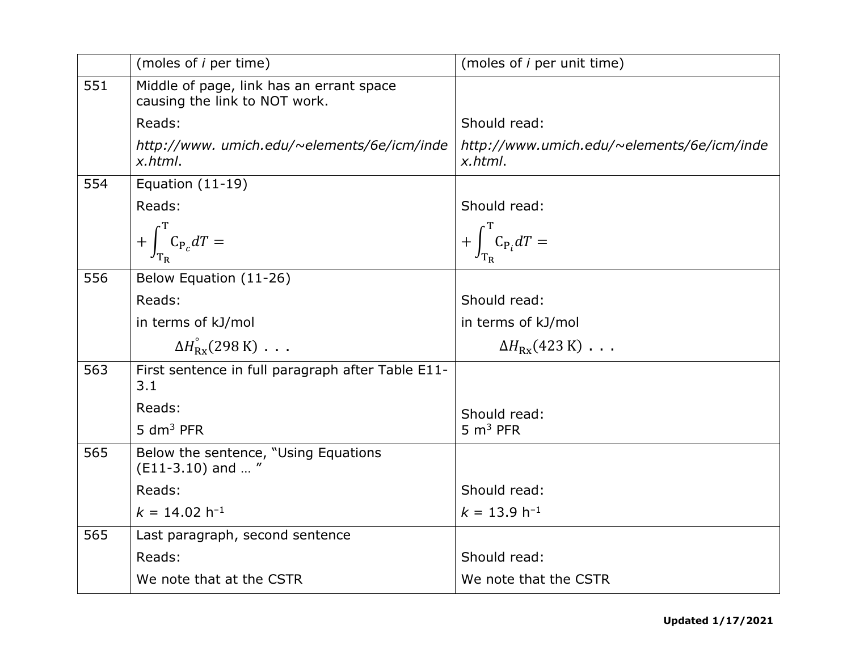|     | (moles of <i>i</i> per time)                                              | (moles of <i>i</i> per unit time)                     |
|-----|---------------------------------------------------------------------------|-------------------------------------------------------|
| 551 | Middle of page, link has an errant space<br>causing the link to NOT work. |                                                       |
|     | Reads:                                                                    | Should read:                                          |
|     | http://www.umich.edu/~elements/6e/icm/inde<br>x.html.                     | http://www.umich.edu/~elements/6e/icm/inde<br>x.html. |
| 554 | Equation $(11-19)$                                                        |                                                       |
|     | Reads:                                                                    | Should read:                                          |
|     | $+\int_{\text{T}}^{\text{T}} C_{P_c} dT =$                                | $+\int_{\mathcal{T}}^{\mathcal{T}} C_{P_i} dT =$      |
| 556 | Below Equation (11-26)                                                    |                                                       |
|     | Reads:                                                                    | Should read:                                          |
|     | in terms of kJ/mol                                                        | in terms of kJ/mol                                    |
|     | $\Delta H_{\rm Rx}^{\circ}$ (298 K) $\ldots$                              | $\Delta H_{\rm Rx}(423 \text{ K})$                    |
| 563 | First sentence in full paragraph after Table E11-<br>3.1                  |                                                       |
|     | Reads:                                                                    | Should read:                                          |
|     | $5 \text{ dm}^3$ PFR                                                      | 5 $m3$ PFR                                            |
| 565 | Below the sentence, "Using Equations<br>$(E11-3.10)$ and "                |                                                       |
|     | Reads:                                                                    | Should read:                                          |
|     | $k = 14.02 h^{-1}$                                                        | $k = 13.9 h^{-1}$                                     |
| 565 | Last paragraph, second sentence                                           |                                                       |
|     | Reads:                                                                    | Should read:                                          |
|     | We note that at the CSTR                                                  | We note that the CSTR                                 |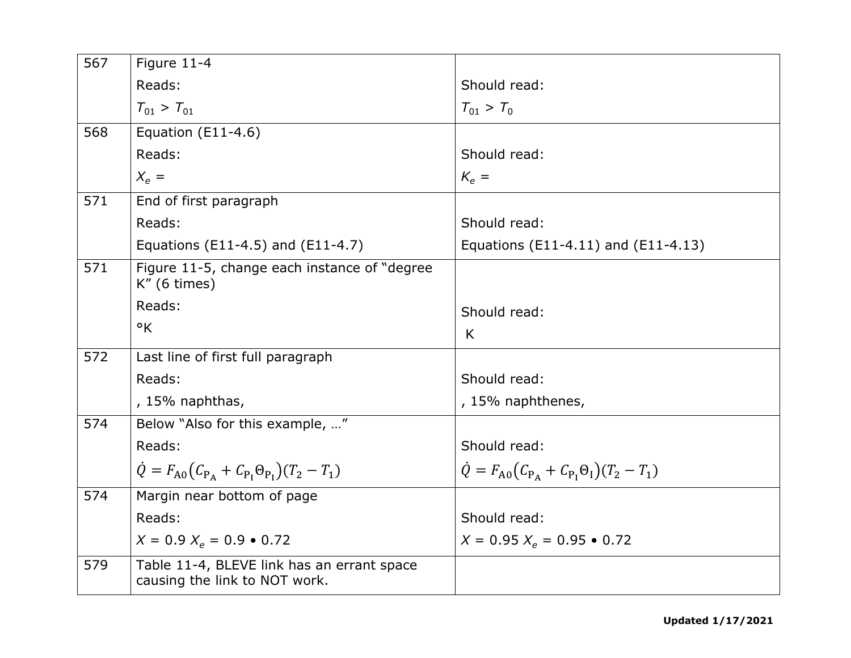| 567 | Figure 11-4                                                                 |                                                             |
|-----|-----------------------------------------------------------------------------|-------------------------------------------------------------|
|     | Reads:                                                                      | Should read:                                                |
|     | $T_{01} > T_{01}$                                                           | $T_{01} > T_0$                                              |
| 568 | Equation $(E11-4.6)$                                                        |                                                             |
|     | Reads:                                                                      | Should read:                                                |
|     | $X_{\rho} =$                                                                | $K_{\rho} =$                                                |
| 571 | End of first paragraph                                                      |                                                             |
|     | Reads:                                                                      | Should read:                                                |
|     | Equations (E11-4.5) and (E11-4.7)                                           | Equations (E11-4.11) and (E11-4.13)                         |
| 571 | Figure 11-5, change each instance of "degree"<br>$K''$ (6 times)            |                                                             |
|     | Reads:                                                                      | Should read:                                                |
|     | $\mathsf{R}$                                                                | K                                                           |
| 572 | Last line of first full paragraph                                           |                                                             |
|     | Reads:                                                                      | Should read:                                                |
|     | , 15% naphthas,                                                             | , 15% naphthenes,                                           |
| 574 | Below "Also for this example, "                                             |                                                             |
|     | Reads:                                                                      | Should read:                                                |
|     | $\dot{Q} = F_{A0} (C_{P_A} + C_{P_I} \Theta_{P_I}) (T_2 - T_1)$             | $\dot{Q} = F_{A0} (C_{P_A} + C_{P_I} \Theta_I) (T_2 - T_1)$ |
| 574 | Margin near bottom of page                                                  |                                                             |
|     | Reads:                                                                      | Should read:                                                |
|     | $X = 0.9 X_e = 0.9 \cdot 0.72$                                              | $X = 0.95 X_e = 0.95 \cdot 0.72$                            |
| 579 | Table 11-4, BLEVE link has an errant space<br>causing the link to NOT work. |                                                             |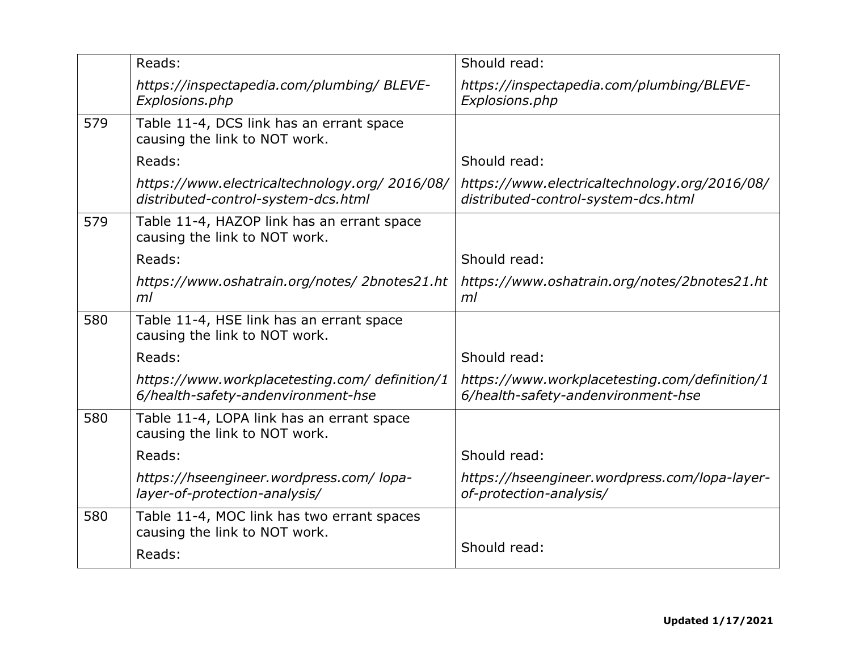|     | Reads:                                                                                | Should read:                                                                         |
|-----|---------------------------------------------------------------------------------------|--------------------------------------------------------------------------------------|
|     | https://inspectapedia.com/plumbing/ BLEVE-<br>Explosions.php                          | https://inspectapedia.com/plumbing/BLEVE-<br>Explosions.php                          |
| 579 | Table 11-4, DCS link has an errant space<br>causing the link to NOT work.             |                                                                                      |
|     | Reads:                                                                                | Should read:                                                                         |
|     | https://www.electricaltechnology.org/ 2016/08/<br>distributed-control-system-dcs.html | https://www.electricaltechnology.org/2016/08/<br>distributed-control-system-dcs.html |
| 579 | Table 11-4, HAZOP link has an errant space<br>causing the link to NOT work.           |                                                                                      |
|     | Reads:                                                                                | Should read:                                                                         |
|     | https://www.oshatrain.org/notes/2bnotes21.ht<br>ml                                    | https://www.oshatrain.org/notes/2bnotes21.ht<br>ml                                   |
| 580 | Table 11-4, HSE link has an errant space<br>causing the link to NOT work.             |                                                                                      |
|     | Reads:                                                                                | Should read:                                                                         |
|     | https://www.workplacetesting.com/ definition/1<br>6/health-safety-andenvironment-hse  | https://www.workplacetesting.com/definition/1<br>6/health-safety-andenvironment-hse  |
| 580 | Table 11-4, LOPA link has an errant space<br>causing the link to NOT work.            |                                                                                      |
|     | Reads:                                                                                | Should read:                                                                         |
|     | https://hseengineer.wordpress.com/ lopa-<br>layer-of-protection-analysis/             | https://hseengineer.wordpress.com/lopa-layer-<br>of-protection-analysis/             |
| 580 | Table 11-4, MOC link has two errant spaces<br>causing the link to NOT work.           |                                                                                      |
|     | Reads:                                                                                | Should read:                                                                         |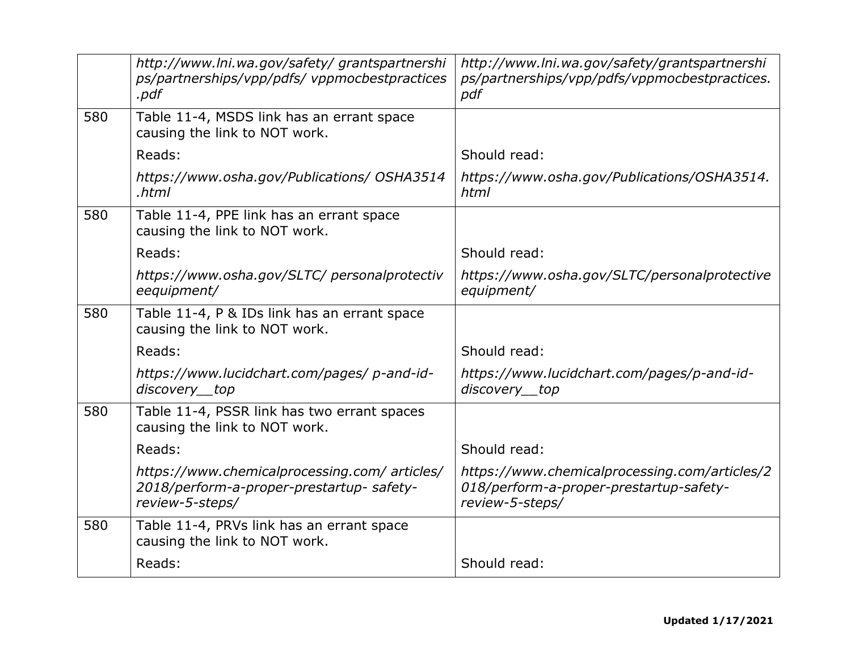|     | http://www.lni.wa.gov/safety/grantspartnershi<br>ps/partnerships/vpp/pdfs/ vppmocbestpractices<br>.pdf       | http://www.lni.wa.gov/safety/grantspartnershi<br>ps/partnerships/vpp/pdfs/vppmocbestpractices.<br>pdf       |
|-----|--------------------------------------------------------------------------------------------------------------|-------------------------------------------------------------------------------------------------------------|
| 580 | Table 11-4, MSDS link has an errant space<br>causing the link to NOT work.                                   |                                                                                                             |
|     | Reads:                                                                                                       | Should read:                                                                                                |
|     | https://www.osha.gov/Publications/ OSHA3514<br>.html                                                         | https://www.osha.gov/Publications/OSHA3514.<br>html                                                         |
| 580 | Table 11-4, PPE link has an errant space<br>causing the link to NOT work.                                    |                                                                                                             |
|     | Reads:                                                                                                       | Should read:                                                                                                |
|     | https://www.osha.gov/SLTC/ personalprotectiv<br>eequipment/                                                  | https://www.osha.gov/SLTC/personalprotective<br>equipment/                                                  |
| 580 | Table 11-4, P & IDs link has an errant space<br>causing the link to NOT work.                                |                                                                                                             |
|     | Reads:                                                                                                       | Should read:                                                                                                |
|     | https://www.lucidchart.com/pages/p-and-id-<br>discovery top                                                  | https://www.lucidchart.com/pages/p-and-id-<br>discovery top                                                 |
| 580 | Table 11-4, PSSR link has two errant spaces<br>causing the link to NOT work.                                 |                                                                                                             |
|     | Reads:                                                                                                       | Should read:                                                                                                |
|     | https://www.chemicalprocessing.com/articles/<br>2018/perform-a-proper-prestartup- safety-<br>review-5-steps/ | https://www.chemicalprocessing.com/articles/2<br>018/perform-a-proper-prestartup-safety-<br>review-5-steps/ |
| 580 | Table 11-4, PRVs link has an errant space<br>causing the link to NOT work.                                   |                                                                                                             |
|     | Reads:                                                                                                       | Should read:                                                                                                |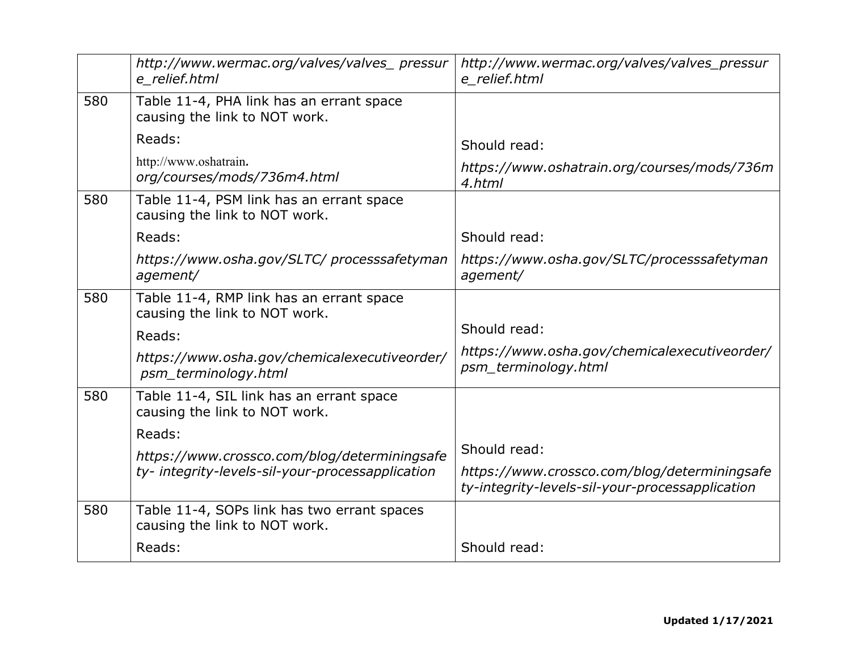|     | http://www.wermac.org/valves/valves_pressur<br>e relief.html                 | http://www.wermac.org/valves/valves_pressur<br>e relief.html                                    |
|-----|------------------------------------------------------------------------------|-------------------------------------------------------------------------------------------------|
| 580 | Table 11-4, PHA link has an errant space<br>causing the link to NOT work.    |                                                                                                 |
|     | Reads:                                                                       | Should read:                                                                                    |
|     | http://www.oshatrain.<br>org/courses/mods/736m4.html                         | https://www.oshatrain.org/courses/mods/736m<br>4.html                                           |
| 580 | Table 11-4, PSM link has an errant space<br>causing the link to NOT work.    |                                                                                                 |
|     | Reads:                                                                       | Should read:                                                                                    |
|     | https://www.osha.gov/SLTC/processsafetyman<br>agement/                       | https://www.osha.gov/SLTC/processsafetyman<br>agement/                                          |
| 580 | Table 11-4, RMP link has an errant space<br>causing the link to NOT work.    |                                                                                                 |
|     | Reads:                                                                       | Should read:                                                                                    |
|     | https://www.osha.gov/chemicalexecutiveorder/<br>psm_terminology.html         | https://www.osha.gov/chemicalexecutiveorder/<br>psm_terminology.html                            |
| 580 | Table 11-4, SIL link has an errant space<br>causing the link to NOT work.    |                                                                                                 |
|     | Reads:                                                                       |                                                                                                 |
|     | https://www.crossco.com/blog/determiningsafe                                 | Should read:                                                                                    |
|     | ty-integrity-levels-sil-your-processapplication                              | https://www.crossco.com/blog/determiningsafe<br>ty-integrity-levels-sil-your-processapplication |
| 580 | Table 11-4, SOPs link has two errant spaces<br>causing the link to NOT work. |                                                                                                 |
|     | Reads:                                                                       | Should read:                                                                                    |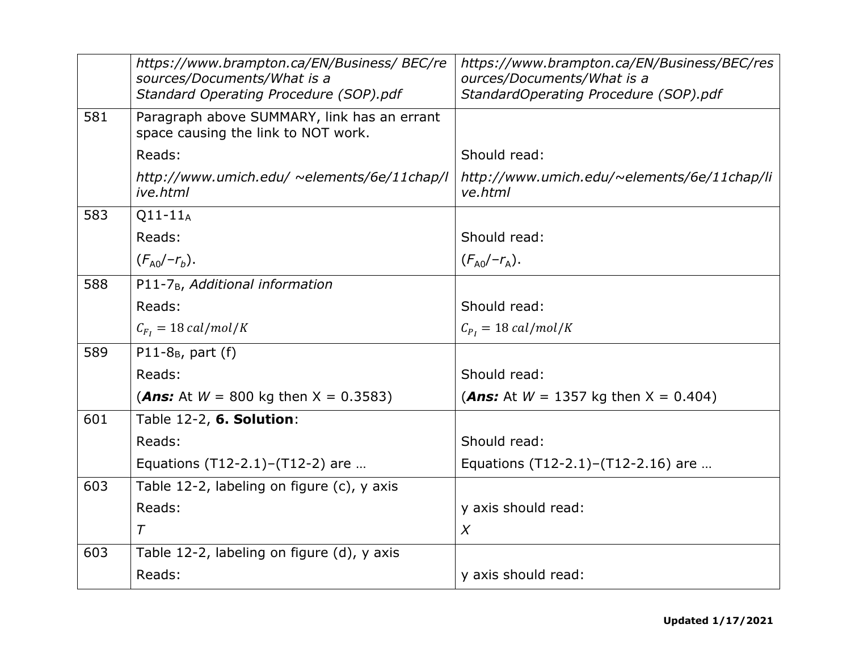|     | https://www.brampton.ca/EN/Business/ BEC/re<br>sources/Documents/What is a<br>Standard Operating Procedure (SOP).pdf | https://www.brampton.ca/EN/Business/BEC/res<br>ources/Documents/What is a<br>StandardOperating Procedure (SOP).pdf |
|-----|----------------------------------------------------------------------------------------------------------------------|--------------------------------------------------------------------------------------------------------------------|
| 581 | Paragraph above SUMMARY, link has an errant<br>space causing the link to NOT work.                                   |                                                                                                                    |
|     | Reads:                                                                                                               | Should read:                                                                                                       |
|     | http://www.umich.edu/ ~elements/6e/11chap/l<br>ive.html                                                              | http://www.umich.edu/~elements/6e/11chap/li<br>ve.html                                                             |
| 583 | $Q11-11_A$                                                                                                           |                                                                                                                    |
|     | Reads:                                                                                                               | Should read:                                                                                                       |
|     | $(F_{A0}/-r_b)$ .                                                                                                    | $(F_{A0}/-r_{A}).$                                                                                                 |
| 588 | P11-7 <sub>B</sub> , Additional information                                                                          |                                                                                                                    |
|     | Reads:                                                                                                               | Should read:                                                                                                       |
|     | $C_{F_I} = 18 \text{ cal/mol/K}$                                                                                     | $C_{P_I} = 18 \text{ cal/mol/K}$                                                                                   |
| 589 | P11-8 $_{B}$ , part (f)                                                                                              |                                                                                                                    |
|     | Reads:                                                                                                               | Should read:                                                                                                       |
|     | ( <i>Ans:</i> At $W = 800$ kg then $X = 0.3583$ )                                                                    | ( <i>Ans:</i> At $W = 1357$ kg then $X = 0.404$ )                                                                  |
| 601 | Table 12-2, 6. Solution:                                                                                             |                                                                                                                    |
|     | Reads:                                                                                                               | Should read:                                                                                                       |
|     | Equations $(T12-2.1)-(T12-2)$ are                                                                                    | Equations (T12-2.1)-(T12-2.16) are                                                                                 |
| 603 | Table 12-2, labeling on figure (c), y axis                                                                           |                                                                                                                    |
|     | Reads:                                                                                                               | y axis should read:                                                                                                |
|     | $\tau$                                                                                                               | $\chi$                                                                                                             |
| 603 | Table 12-2, labeling on figure (d), y axis                                                                           |                                                                                                                    |
|     | Reads:                                                                                                               | y axis should read:                                                                                                |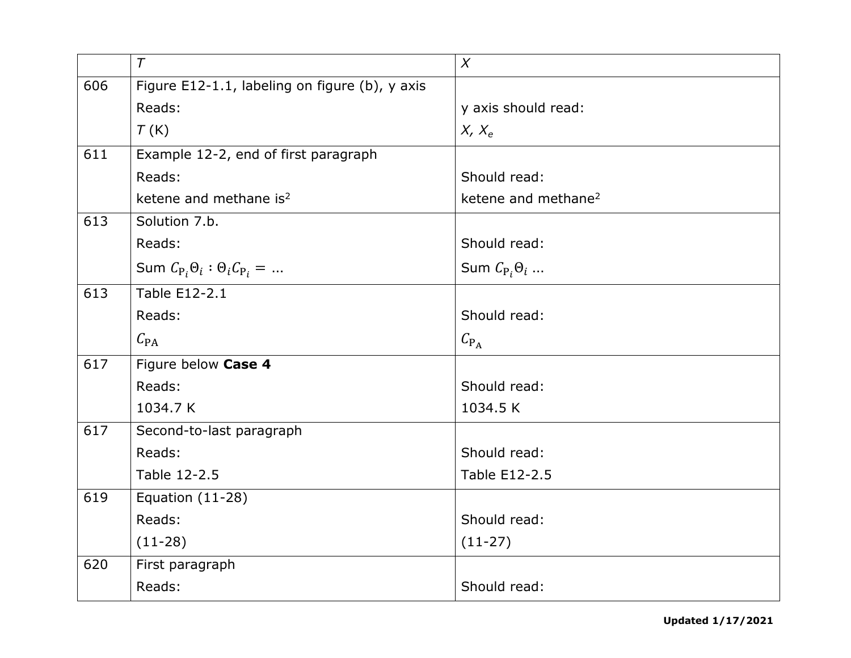|     | $\tau$                                         | $\chi$                          |
|-----|------------------------------------------------|---------------------------------|
| 606 | Figure E12-1.1, labeling on figure (b), y axis |                                 |
|     | Reads:                                         | y axis should read:             |
|     | T(K)                                           | $X, X_e$                        |
| 611 | Example 12-2, end of first paragraph           |                                 |
|     | Reads:                                         | Should read:                    |
|     | ketene and methane is <sup>2</sup>             | ketene and methane <sup>2</sup> |
| 613 | Solution 7.b.                                  |                                 |
|     | Reads:                                         | Should read:                    |
|     | Sum $C_{P_i} \Theta_i : \Theta_i C_{P_i} = $   | Sum $C_{P_i}\Theta_i$           |
| 613 | Table E12-2.1                                  |                                 |
|     | Reads:                                         | Should read:                    |
|     | $C_{\text{PA}}$                                | $C_{\rm P_A}$                   |
| 617 | Figure below Case 4                            |                                 |
|     | Reads:                                         | Should read:                    |
|     | 1034.7 K                                       | 1034.5 K                        |
| 617 | Second-to-last paragraph                       |                                 |
|     | Reads:                                         | Should read:                    |
|     | Table 12-2.5                                   | Table E12-2.5                   |
| 619 | Equation (11-28)                               |                                 |
|     | Reads:                                         | Should read:                    |
|     | $(11-28)$                                      | $(11-27)$                       |
| 620 | First paragraph                                |                                 |
|     | Reads:                                         | Should read:                    |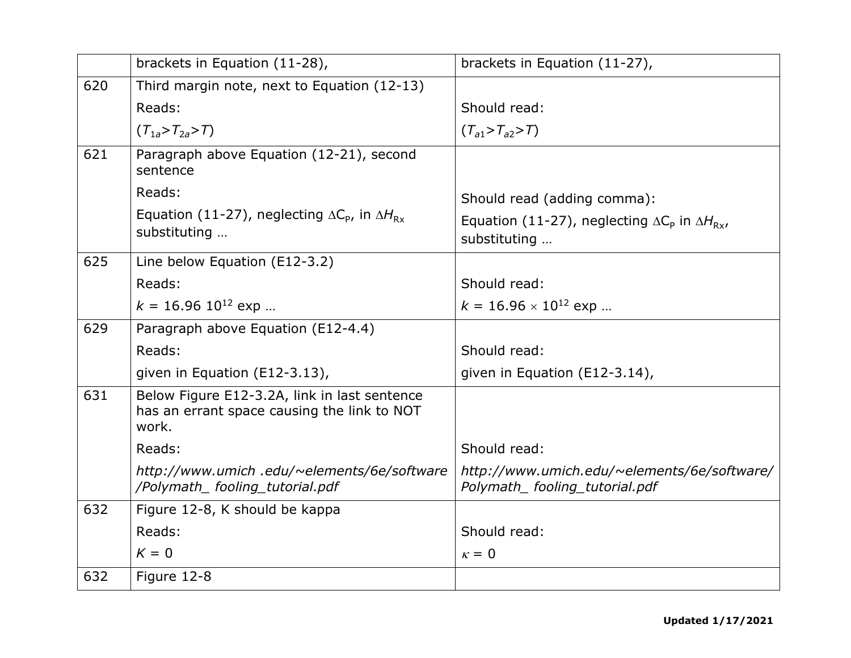|     | brackets in Equation (11-28),                                                                        | brackets in Equation (11-27),                                                  |
|-----|------------------------------------------------------------------------------------------------------|--------------------------------------------------------------------------------|
| 620 | Third margin note, next to Equation (12-13)                                                          |                                                                                |
|     | Reads:                                                                                               | Should read:                                                                   |
|     | $(T_{1a} > T_{2a} > T)$                                                                              | $(T_{a1} > T_{a2} > T)$                                                        |
| 621 | Paragraph above Equation (12-21), second<br>sentence                                                 |                                                                                |
|     | Reads:                                                                                               | Should read (adding comma):                                                    |
|     | Equation (11-27), neglecting $\Delta C_{\rm p}$ , in $\Delta H_{\rm Rx}$<br>substituting             | Equation (11-27), neglecting $\Delta C_p$ in $\Delta H_{Rx}$ ,<br>substituting |
| 625 | Line below Equation (E12-3.2)                                                                        |                                                                                |
|     | Reads:                                                                                               | Should read:                                                                   |
|     | $k = 16.96 10^{12}$ exp                                                                              | $k = 16.96 \times 10^{12}$ exp                                                 |
| 629 | Paragraph above Equation (E12-4.4)                                                                   |                                                                                |
|     | Reads:                                                                                               | Should read:                                                                   |
|     | given in Equation (E12-3.13),                                                                        | given in Equation (E12-3.14),                                                  |
| 631 | Below Figure E12-3.2A, link in last sentence<br>has an errant space causing the link to NOT<br>work. |                                                                                |
|     | Reads:                                                                                               | Should read:                                                                   |
|     | http://www.umich.edu/~elements/6e/software<br>/Polymath_fooling_tutorial.pdf                         | http://www.umich.edu/~elements/6e/software/<br>Polymath_fooling_tutorial.pdf   |
| 632 | Figure 12-8, K should be kappa                                                                       |                                                                                |
|     | Reads:                                                                                               | Should read:                                                                   |
|     | $K = 0$                                                                                              | $\kappa = 0$                                                                   |
| 632 | Figure 12-8                                                                                          |                                                                                |
|     |                                                                                                      |                                                                                |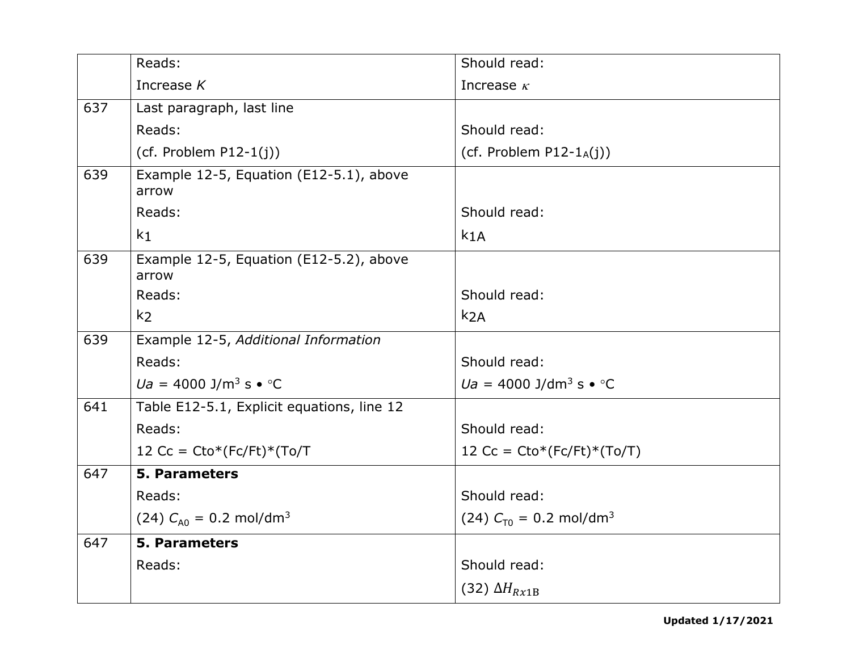|     | Reads:                                                       | Should read:                               |
|-----|--------------------------------------------------------------|--------------------------------------------|
|     | Increase $K$                                                 | Increase $\kappa$                          |
| 637 | Last paragraph, last line                                    |                                            |
|     | Reads:                                                       | Should read:                               |
|     | (cf. Problem $P12-1(j)$ )                                    | (cf. Problem $P12-1_A(j)$ )                |
| 639 | Example 12-5, Equation (E12-5.1), above<br>arrow             |                                            |
|     | Reads:                                                       | Should read:                               |
|     | k <sub>1</sub>                                               | k <sub>1</sub> A                           |
| 639 | Example 12-5, Equation (E12-5.2), above<br>arrow             |                                            |
|     | Reads:                                                       | Should read:                               |
|     | k <sub>2</sub>                                               | k <sub>2A</sub>                            |
| 639 | Example 12-5, Additional Information                         |                                            |
|     | Reads:                                                       | Should read:                               |
|     | $Ua = 4000 \text{ J/m}^3 \text{ s} \cdot {}^{\circ}\text{C}$ | $Ua = 4000$ J/dm <sup>3</sup> s $\cdot$ °C |
| 641 | Table E12-5.1, Explicit equations, line 12                   |                                            |
|     | Reads:                                                       | Should read:                               |
|     | 12 Cc = $Cto^*(Fc/Ft)^*(To/T)$                               | 12 Cc = $Cto^{*}(Fc/Ft)^{*}(To/T)$         |
| 647 | <b>5. Parameters</b>                                         |                                            |
|     | Reads:                                                       | Should read:                               |
|     | (24) $C_{A0} = 0.2$ mol/dm <sup>3</sup>                      | (24) $C_{T0} = 0.2$ mol/dm <sup>3</sup>    |
| 647 | <b>5. Parameters</b>                                         |                                            |
|     | Reads:                                                       | Should read:                               |
|     |                                                              | (32) $\Delta H_{Rx1B}$                     |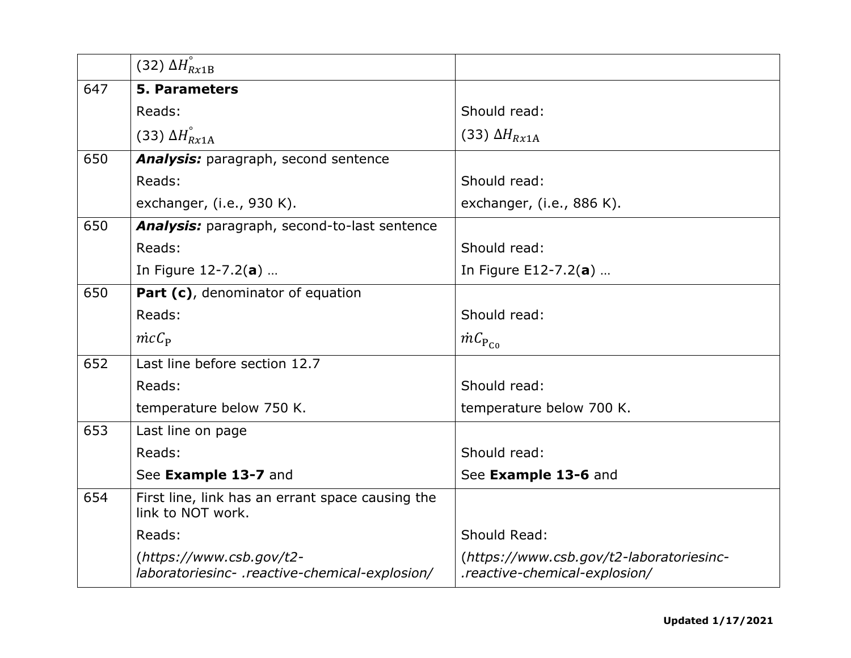|     | (32) $\Delta H_{Rx1B}^{\circ}$                                             |                                                                           |
|-----|----------------------------------------------------------------------------|---------------------------------------------------------------------------|
| 647 | <b>5. Parameters</b>                                                       |                                                                           |
|     | Reads:                                                                     | Should read:                                                              |
|     | (33) $\Delta H_{Rx1A}^{\circ}$                                             | (33) $\Delta H_{Rx1A}$                                                    |
| 650 | <b>Analysis:</b> paragraph, second sentence                                |                                                                           |
|     | Reads:                                                                     | Should read:                                                              |
|     | exchanger, (i.e., 930 K).                                                  | exchanger, (i.e., 886 K).                                                 |
| 650 | <b>Analysis:</b> paragraph, second-to-last sentence                        |                                                                           |
|     | Reads:                                                                     | Should read:                                                              |
|     | In Figure $12 - 7.2(a)$                                                    | In Figure E12-7.2(a)                                                      |
| 650 | Part (c), denominator of equation                                          |                                                                           |
|     | Reads:                                                                     | Should read:                                                              |
|     | $\dot{mc}C_{\rm P}$                                                        | $\dot{m} \mathcal{C}_{\text{P}_{\text{CO}}}$                              |
| 652 | Last line before section 12.7                                              |                                                                           |
|     | Reads:                                                                     | Should read:                                                              |
|     | temperature below 750 K.                                                   | temperature below 700 K.                                                  |
| 653 | Last line on page                                                          |                                                                           |
|     | Reads:                                                                     | Should read:                                                              |
|     | See Example 13-7 and                                                       | See Example 13-6 and                                                      |
| 654 | First line, link has an errant space causing the<br>link to NOT work.      |                                                                           |
|     | Reads:                                                                     | Should Read:                                                              |
|     | (https://www.csb.gov/t2-<br>laboratoriesinc- .reactive-chemical-explosion/ | (https://www.csb.gov/t2-laboratoriesinc-<br>.reactive-chemical-explosion/ |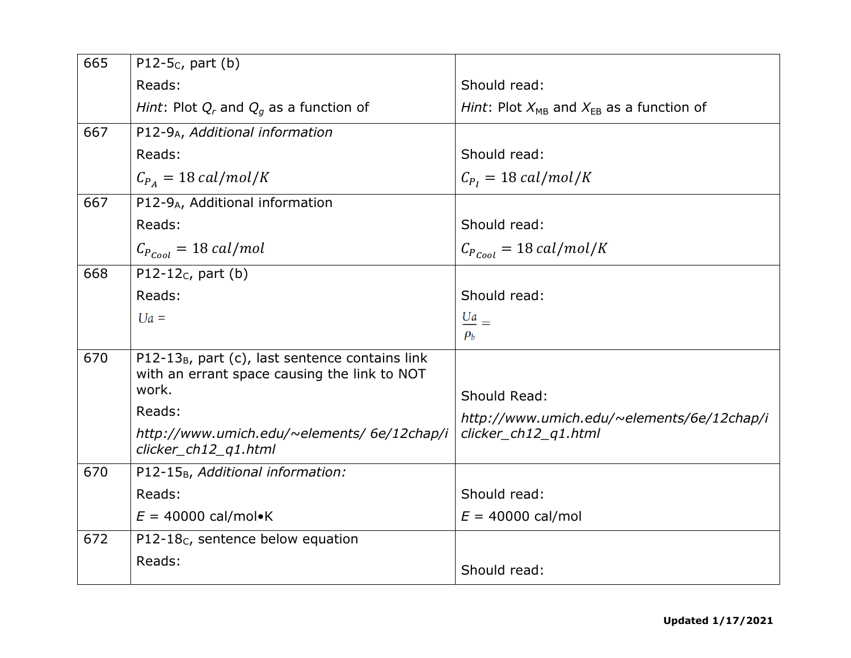| 665 | P12-5 $c$ , part (b)                                        |                                                   |
|-----|-------------------------------------------------------------|---------------------------------------------------|
|     | Reads:                                                      | Should read:                                      |
|     | Hint: Plot $Q_r$ and $Q_q$ as a function of                 | Hint: Plot $X_{MB}$ and $X_{EB}$ as a function of |
| 667 | P12-9A, Additional information                              |                                                   |
|     | Reads:                                                      | Should read:                                      |
|     | $C_{P_A} = 18 \text{ cal/mol/K}$                            | $C_{P_I} = 18 \text{ cal/mol/K}$                  |
| 667 | P12-9 <sub>A</sub> , Additional information                 |                                                   |
|     | Reads:                                                      | Should read:                                      |
|     | $C_{P_{Coul}} = 18 \; cal/mol$                              | $C_{P_{cool}} = 18 \, \text{cal/mol/K}$           |
| 668 | P12-12 $c$ , part (b)                                       |                                                   |
|     | Reads:                                                      | Should read:                                      |
|     | $Ua =$                                                      | $\frac{Ua}{U}$ =                                  |
|     |                                                             | $\rho_b$                                          |
| 670 | P12-13 <sub>B</sub> , part (c), last sentence contains link |                                                   |
|     | with an errant space causing the link to NOT<br>work.       | Should Read:                                      |
|     | Reads:                                                      | http://www.umich.edu/~elements/6e/12chap/i        |
|     | http://www.umich.edu/~elements/ 6e/12chap/i                 | clicker_ch12_q1.html                              |
|     | clicker_ch12_q1.html                                        |                                                   |
| 670 | P12-15 <sub>B</sub> , Additional information:               |                                                   |
|     | Reads:                                                      | Should read:                                      |
|     | $E = 40000$ cal/mol•K                                       | $E = 40000$ cal/mol                               |
| 672 | P12-18 <sub>C</sub> , sentence below equation               |                                                   |
|     | Reads:                                                      | Should read:                                      |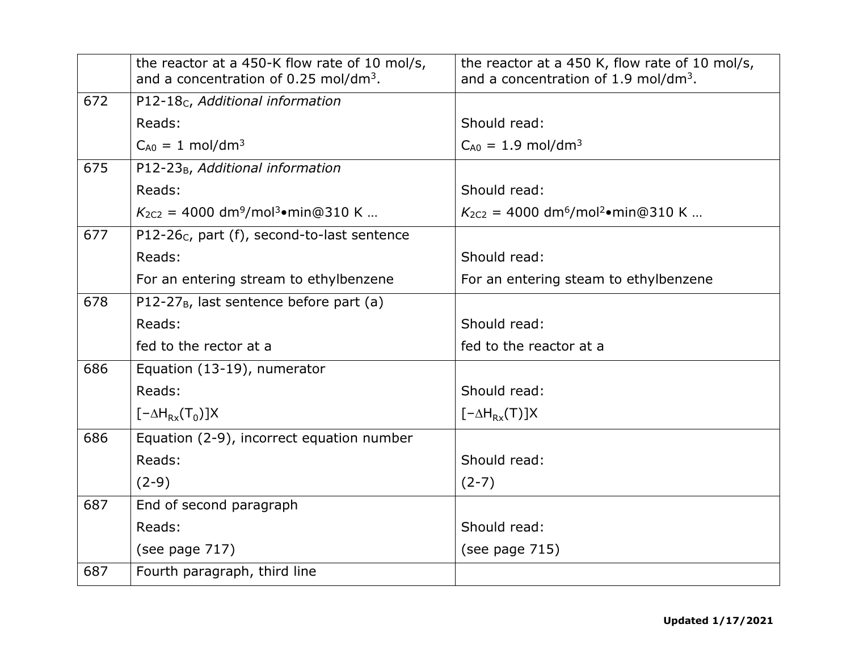|     | the reactor at a 450-K flow rate of 10 mol/s,<br>and a concentration of 0.25 mol/dm <sup>3</sup> . | the reactor at a 450 K, flow rate of 10 mol/s,<br>and a concentration of 1.9 mol/dm <sup>3</sup> . |
|-----|----------------------------------------------------------------------------------------------------|----------------------------------------------------------------------------------------------------|
| 672 | P12-18 <sub>C</sub> , Additional information                                                       |                                                                                                    |
|     | Reads:                                                                                             | Should read:                                                                                       |
|     | $C_{A0} = 1$ mol/dm <sup>3</sup>                                                                   | $C_{A0} = 1.9$ mol/dm <sup>3</sup>                                                                 |
| 675 | P12-23 <sub>B</sub> , Additional information                                                       |                                                                                                    |
|     | Reads:                                                                                             | Should read:                                                                                       |
|     | $K_{2C2} = 4000$ dm <sup>9</sup> /mol <sup>3</sup> •min@310 K                                      | $K_{2C2} = 4000$ dm <sup>6</sup> /mol <sup>2</sup> •min@310 K                                      |
| 677 | P12-26 $c$ , part (f), second-to-last sentence                                                     |                                                                                                    |
|     | Reads:                                                                                             | Should read:                                                                                       |
|     | For an entering stream to ethylbenzene                                                             | For an entering steam to ethylbenzene                                                              |
| 678 | P12-27 <sub>B</sub> , last sentence before part (a)                                                |                                                                                                    |
|     | Reads:                                                                                             | Should read:                                                                                       |
|     | fed to the rector at a                                                                             | fed to the reactor at a                                                                            |
| 686 | Equation (13-19), numerator                                                                        |                                                                                                    |
|     | Reads:                                                                                             | Should read:                                                                                       |
|     | $[-\Delta H_{Rx}(T_0)]X$                                                                           | $[-\Delta H_{Rx}(T)]X$                                                                             |
| 686 | Equation (2-9), incorrect equation number                                                          |                                                                                                    |
|     | Reads:                                                                                             | Should read:                                                                                       |
|     | $(2-9)$                                                                                            | $(2-7)$                                                                                            |
| 687 | End of second paragraph                                                                            |                                                                                                    |
|     | Reads:                                                                                             | Should read:                                                                                       |
|     | (see page 717)                                                                                     | (see page $715$ )                                                                                  |
| 687 | Fourth paragraph, third line                                                                       |                                                                                                    |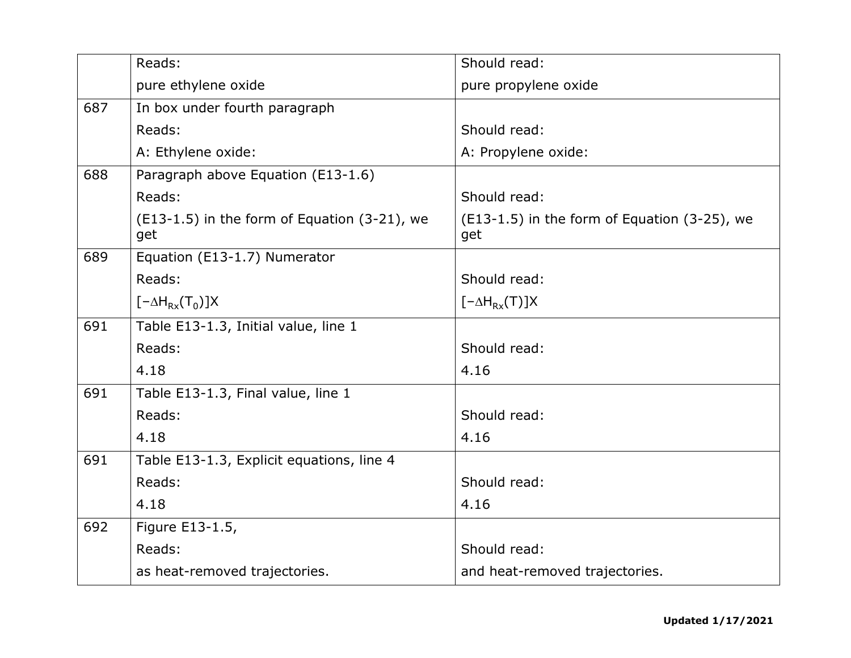|     | Reads:                                              | Should read:                                        |
|-----|-----------------------------------------------------|-----------------------------------------------------|
|     | pure ethylene oxide                                 | pure propylene oxide                                |
| 687 | In box under fourth paragraph                       |                                                     |
|     | Reads:                                              | Should read:                                        |
|     | A: Ethylene oxide:                                  | A: Propylene oxide:                                 |
| 688 | Paragraph above Equation (E13-1.6)                  |                                                     |
|     | Reads:                                              | Should read:                                        |
|     | (E13-1.5) in the form of Equation (3-21), we<br>get | (E13-1.5) in the form of Equation (3-25), we<br>get |
| 689 | Equation (E13-1.7) Numerator                        |                                                     |
|     | Reads:                                              | Should read:                                        |
|     | $[-\Delta H_{Rx}(T_0)]X$                            | $[-\Delta H_{Rx}(T)]X$                              |
| 691 | Table E13-1.3, Initial value, line 1                |                                                     |
|     | Reads:                                              | Should read:                                        |
|     | 4.18                                                | 4.16                                                |
| 691 | Table E13-1.3, Final value, line 1                  |                                                     |
|     | Reads:                                              | Should read:                                        |
|     | 4.18                                                | 4.16                                                |
| 691 | Table E13-1.3, Explicit equations, line 4           |                                                     |
|     | Reads:                                              | Should read:                                        |
|     | 4.18                                                | 4.16                                                |
| 692 | Figure E13-1.5,                                     |                                                     |
|     | Reads:                                              | Should read:                                        |
|     | as heat-removed trajectories.                       | and heat-removed trajectories.                      |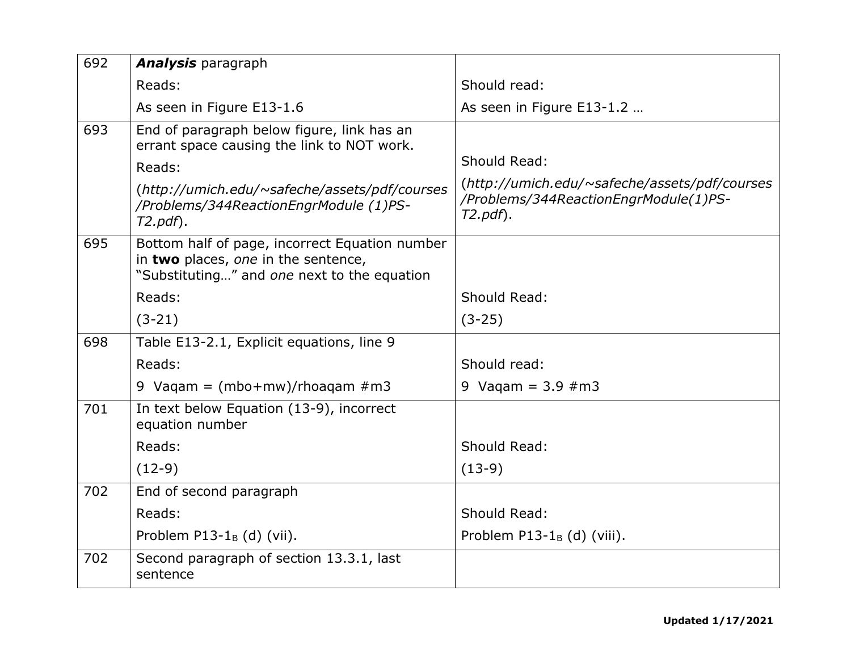| 692 | <b>Analysis</b> paragraph                                                                                                            |                                                                                                      |
|-----|--------------------------------------------------------------------------------------------------------------------------------------|------------------------------------------------------------------------------------------------------|
|     | Reads:                                                                                                                               | Should read:                                                                                         |
|     | As seen in Figure E13-1.6                                                                                                            | As seen in Figure E13-1.2                                                                            |
| 693 | End of paragraph below figure, link has an                                                                                           |                                                                                                      |
|     | errant space causing the link to NOT work.                                                                                           | Should Read:                                                                                         |
|     | Reads:                                                                                                                               |                                                                                                      |
|     | (http://umich.edu/~safeche/assets/pdf/courses<br>/Problems/344ReactionEngrModule (1)PS-<br>$T2.pdf$ .                                | (http://umich.edu/~safeche/assets/pdf/courses<br>/Problems/344ReactionEngrModule(1)PS-<br>$T2.pdf$ . |
| 695 | Bottom half of page, incorrect Equation number<br>in two places, one in the sentence,<br>"Substituting" and one next to the equation |                                                                                                      |
|     | Reads:                                                                                                                               | Should Read:                                                                                         |
|     | $(3-21)$                                                                                                                             | $(3-25)$                                                                                             |
| 698 | Table E13-2.1, Explicit equations, line 9                                                                                            |                                                                                                      |
|     | Reads:                                                                                                                               | Should read:                                                                                         |
|     | 9 Vaqam = $(mbo+mw)/rhoaqam \#m3$                                                                                                    | 9 Vagam = $3.9 \#m3$                                                                                 |
| 701 | In text below Equation (13-9), incorrect<br>equation number                                                                          |                                                                                                      |
|     | Reads:                                                                                                                               | Should Read:                                                                                         |
|     | $(12-9)$                                                                                                                             | $(13-9)$                                                                                             |
| 702 | End of second paragraph                                                                                                              |                                                                                                      |
|     | Reads:                                                                                                                               | Should Read:                                                                                         |
|     | Problem P13-1 $_B$ (d) (vii).                                                                                                        | Problem P13-1 $_B$ (d) (viii).                                                                       |
| 702 | Second paragraph of section 13.3.1, last<br>sentence                                                                                 |                                                                                                      |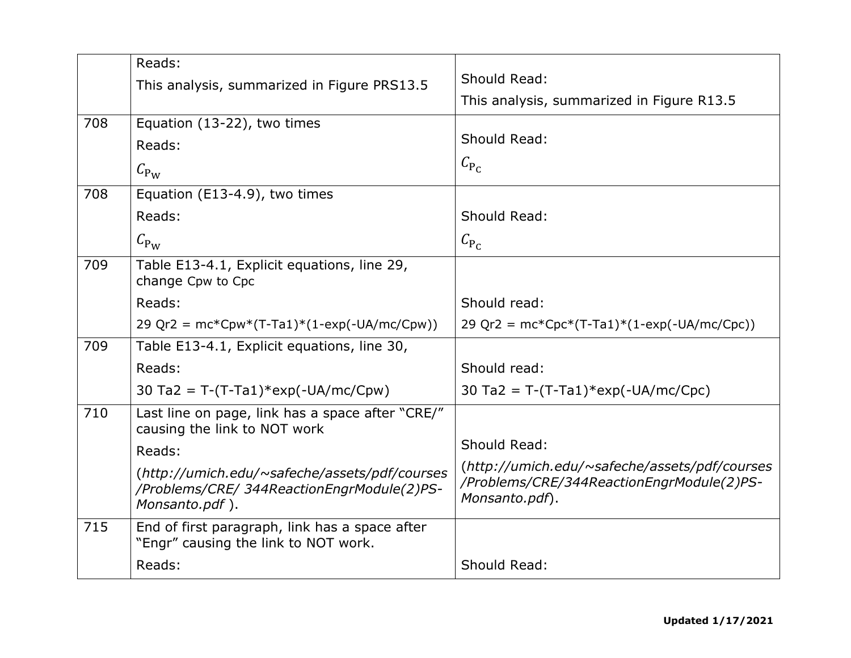|     | Reads:                                                                                                        |                                                                                                              |
|-----|---------------------------------------------------------------------------------------------------------------|--------------------------------------------------------------------------------------------------------------|
|     | This analysis, summarized in Figure PRS13.5                                                                   | Should Read:                                                                                                 |
|     |                                                                                                               | This analysis, summarized in Figure R13.5                                                                    |
| 708 | Equation (13-22), two times                                                                                   |                                                                                                              |
|     | Reads:                                                                                                        | Should Read:                                                                                                 |
|     | $C_{\rm Pw}$                                                                                                  | $C_{\rm P_C}$                                                                                                |
| 708 | Equation (E13-4.9), two times                                                                                 |                                                                                                              |
|     | Reads:                                                                                                        | Should Read:                                                                                                 |
|     | $C_{\rm P_{\rm W}}$                                                                                           | $C_{P_C}$                                                                                                    |
| 709 | Table E13-4.1, Explicit equations, line 29,<br>change Cpw to Cpc                                              |                                                                                                              |
|     | Reads:                                                                                                        | Should read:                                                                                                 |
|     | 29 Qr2 = $mc*Cpw*(T-Ta1)*(1-exp(-UA/mc/Cpw))$                                                                 | 29 Qr2 = $mc*Cpc*(T-Ta1)*(1-exp(-UA/mc/Cpc))$                                                                |
| 709 | Table E13-4.1, Explicit equations, line 30,                                                                   |                                                                                                              |
|     | Reads:                                                                                                        | Should read:                                                                                                 |
|     | 30 Ta2 = T-(T-Ta1)*exp(-UA/mc/Cpw)                                                                            | 30 Ta2 = T-(T-Ta1)*exp(-UA/mc/Cpc)                                                                           |
| 710 | Last line on page, link has a space after "CRE/"<br>causing the link to NOT work                              |                                                                                                              |
|     | Reads:                                                                                                        | Should Read:                                                                                                 |
|     | (http://umich.edu/~safeche/assets/pdf/courses<br>/Problems/CRE/ 344ReactionEngrModule(2)PS-<br>Monsanto.pdf). | (http://umich.edu/~safeche/assets/pdf/courses<br>/Problems/CRE/344ReactionEngrModule(2)PS-<br>Monsanto.pdf). |
| 715 | End of first paragraph, link has a space after<br>"Engr" causing the link to NOT work.                        |                                                                                                              |
|     | Reads:                                                                                                        | Should Read:                                                                                                 |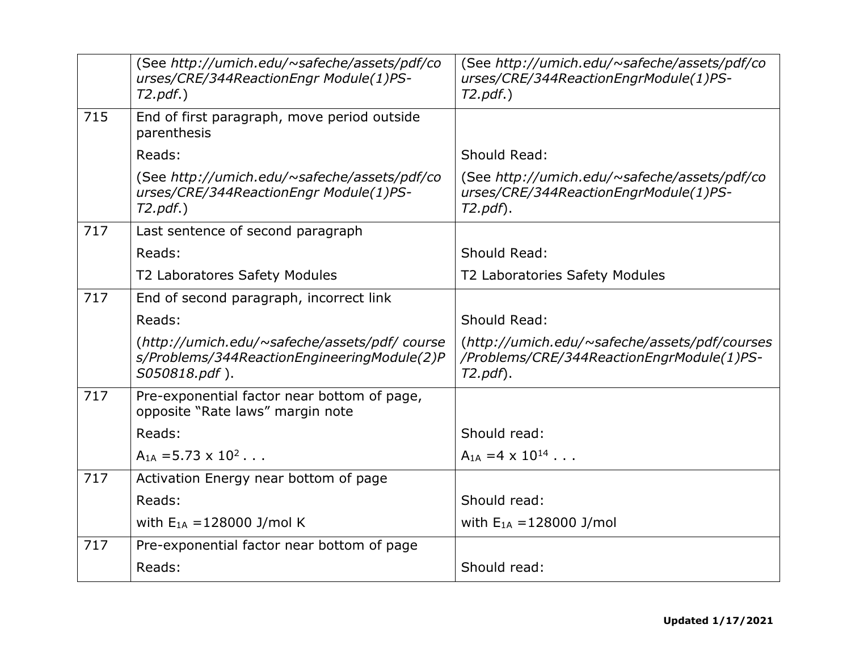| (See http://umich.edu/~safeche/assets/pdf/co<br>urses/CRE/344ReactionEngr Module(1)PS-<br>$T2.pdf.$ )        | (See http://umich.edu/~safeche/assets/pdf/co<br>urses/CRE/344ReactionEngrModule(1)PS-<br>$T2.pdf.$ )     |
|--------------------------------------------------------------------------------------------------------------|----------------------------------------------------------------------------------------------------------|
| End of first paragraph, move period outside<br>parenthesis                                                   |                                                                                                          |
| Reads:                                                                                                       | Should Read:                                                                                             |
| (See http://umich.edu/~safeche/assets/pdf/co<br>urses/CRE/344ReactionEngr Module(1)PS-<br>$T2.pdf.$ )        | (See http://umich.edu/~safeche/assets/pdf/co<br>urses/CRE/344ReactionEngrModule(1)PS-<br>$T2.pdf$ .      |
| Last sentence of second paragraph                                                                            |                                                                                                          |
| Reads:                                                                                                       | Should Read:                                                                                             |
| T2 Laboratores Safety Modules                                                                                | T2 Laboratories Safety Modules                                                                           |
| End of second paragraph, incorrect link                                                                      |                                                                                                          |
| Reads:                                                                                                       | Should Read:                                                                                             |
| (http://umich.edu/~safeche/assets/pdf/course<br>s/Problems/344ReactionEngineeringModule(2)P<br>S050818.pdf). | (http://umich.edu/~safeche/assets/pdf/courses<br>/Problems/CRE/344ReactionEngrModule(1)PS-<br>$T2.pdf$ . |
| Pre-exponential factor near bottom of page,<br>opposite "Rate laws" margin note                              |                                                                                                          |
| Reads:                                                                                                       | Should read:                                                                                             |
| $A_{1A} = 5.73 \times 10^2$                                                                                  | $A_{1A} = 4 \times 10^{14}$                                                                              |
| Activation Energy near bottom of page                                                                        |                                                                                                          |
| Reads:                                                                                                       | Should read:                                                                                             |
| with $E_{1A} = 128000$ J/mol K                                                                               | with $E_{1A} = 128000$ J/mol                                                                             |
|                                                                                                              |                                                                                                          |
| Pre-exponential factor near bottom of page                                                                   |                                                                                                          |
|                                                                                                              |                                                                                                          |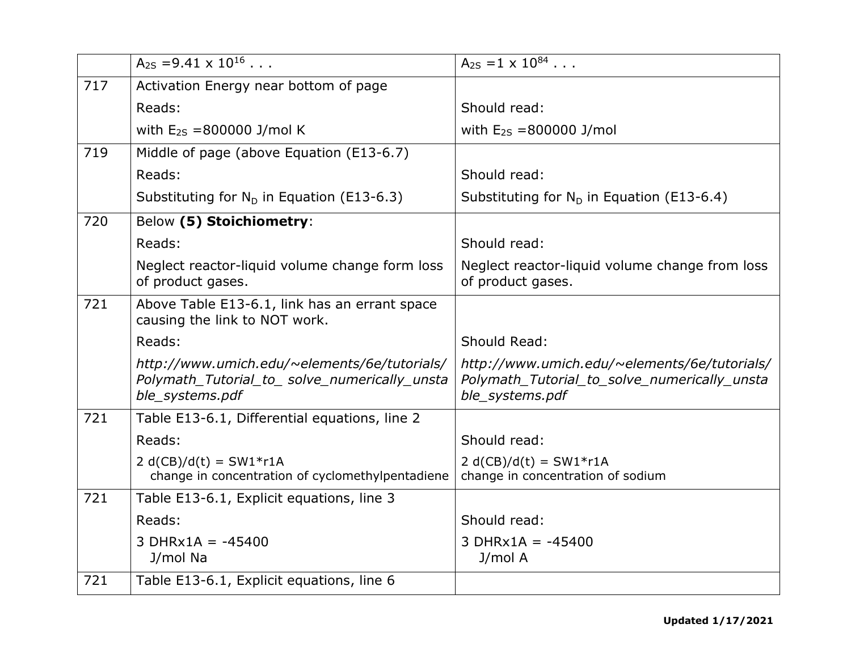|     | $A_{2S} = 9.41 \times 10^{16}$                                                                                  | $A_{2S} = 1 \times 10^{84}$                                                                                     |
|-----|-----------------------------------------------------------------------------------------------------------------|-----------------------------------------------------------------------------------------------------------------|
| 717 | Activation Energy near bottom of page                                                                           |                                                                                                                 |
|     | Reads:                                                                                                          | Should read:                                                                                                    |
|     | with $E_{2S} = 800000$ J/mol K                                                                                  | with $E_{2S} = 800000$ J/mol                                                                                    |
| 719 | Middle of page (above Equation (E13-6.7)                                                                        |                                                                                                                 |
|     | Reads:                                                                                                          | Should read:                                                                                                    |
|     | Substituting for $N_D$ in Equation (E13-6.3)                                                                    | Substituting for $N_D$ in Equation (E13-6.4)                                                                    |
| 720 | Below (5) Stoichiometry:                                                                                        |                                                                                                                 |
|     | Reads:                                                                                                          | Should read:                                                                                                    |
|     | Neglect reactor-liquid volume change form loss<br>of product gases.                                             | Neglect reactor-liquid volume change from loss<br>of product gases.                                             |
| 721 | Above Table E13-6.1, link has an errant space<br>causing the link to NOT work.                                  |                                                                                                                 |
|     | Reads:                                                                                                          | Should Read:                                                                                                    |
|     | http://www.umich.edu/~elements/6e/tutorials/<br>Polymath Tutorial to solve numerically unsta<br>ble_systems.pdf | http://www.umich.edu/~elements/6e/tutorials/<br>Polymath Tutorial to solve numerically unsta<br>ble_systems.pdf |
| 721 | Table E13-6.1, Differential equations, line 2                                                                   |                                                                                                                 |
|     | Reads:                                                                                                          | Should read:                                                                                                    |
|     | $2 d(CB)/d(t) = SW1*r1A$<br>change in concentration of cyclomethylpentadiene                                    | $2 d(CB)/d(t) = SW1*r1A$<br>change in concentration of sodium                                                   |
| 721 | Table E13-6.1, Explicit equations, line 3                                                                       |                                                                                                                 |
|     | Reads:                                                                                                          | Should read:                                                                                                    |
|     | $3$ DHRx1A = -45400<br>J/mol Na                                                                                 | $3$ DHRx1A = -45400<br>J/mol A                                                                                  |
| 721 | Table E13-6.1, Explicit equations, line 6                                                                       |                                                                                                                 |
|     |                                                                                                                 |                                                                                                                 |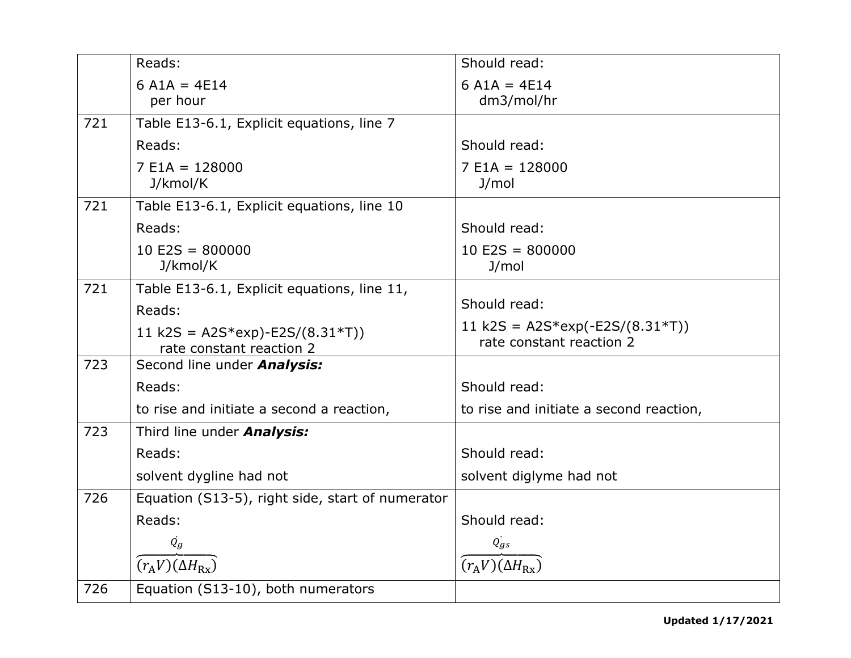|     | Reads:                                           | Should read:                                                  |
|-----|--------------------------------------------------|---------------------------------------------------------------|
|     | $6 A1A = 4E14$                                   | $6 A1A = 4E14$                                                |
|     | per hour                                         | dm3/mol/hr                                                    |
| 721 | Table E13-6.1, Explicit equations, line 7        |                                                               |
|     | Reads:                                           | Should read:                                                  |
|     | $7 E1A = 128000$                                 | $7 E1A = 128000$                                              |
|     | J/kmol/K                                         | J/mol                                                         |
| 721 | Table E13-6.1, Explicit equations, line 10       |                                                               |
|     | Reads:                                           | Should read:                                                  |
|     | $10$ E2S = 800000                                | $10 E2S = 800000$                                             |
|     | J/kmol/K                                         | J/mol                                                         |
| 721 | Table E13-6.1, Explicit equations, line 11,      |                                                               |
|     | Reads:                                           | Should read:                                                  |
|     | 11 k2S = $A2S*exp$ -E2S/(8.31*T))                | 11 k2S = $A2S*exp(-E2S/(8.31*T))$<br>rate constant reaction 2 |
|     | rate constant reaction 2                         |                                                               |
| 723 | Second line under <b>Analysis:</b>               |                                                               |
|     | Reads:                                           | Should read:                                                  |
|     | to rise and initiate a second a reaction,        | to rise and initiate a second reaction,                       |
| 723 | Third line under <b>Analysis:</b>                |                                                               |
|     | Reads:                                           | Should read:                                                  |
|     | solvent dygline had not                          | solvent diglyme had not                                       |
| 726 | Equation (S13-5), right side, start of numerator |                                                               |
|     | Reads:                                           | Should read:                                                  |
|     | $\dot{Q}_q$                                      | $\dot{Q_{gs}}$                                                |
|     | $(r_A V)(\Delta H_{\rm Rx})$                     | $(r_A V)(\Delta H_{\rm Rx})$                                  |
| 726 | Equation (S13-10), both numerators               |                                                               |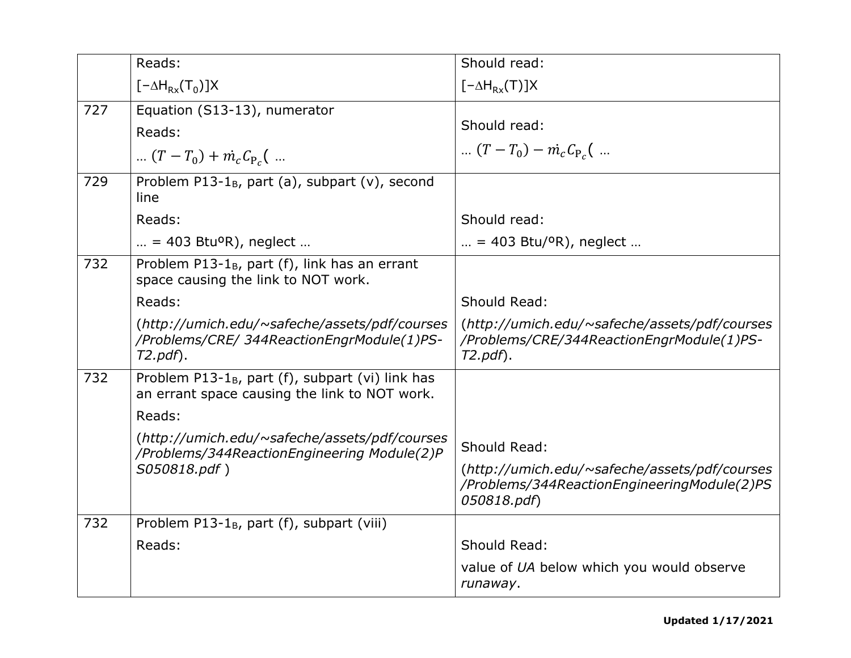|     |                                                                                                               | Should read:                                                                                                |
|-----|---------------------------------------------------------------------------------------------------------------|-------------------------------------------------------------------------------------------------------------|
|     | Reads:                                                                                                        |                                                                                                             |
|     | $[-\Delta H_{Rx}(T_0)]X$                                                                                      | $[-\Delta H_{Rx}(T)]X$                                                                                      |
| 727 | Equation (S13-13), numerator                                                                                  |                                                                                                             |
|     | Reads:                                                                                                        | Should read:                                                                                                |
|     | $(T - T_0) + m_c C_{P_c}$                                                                                     | $(T - T_0) - \dot{m}_c C_{P_c}$                                                                             |
| 729 | Problem P13-1 $_{B}$ , part (a), subpart (v), second<br>line                                                  |                                                                                                             |
|     | Reads:                                                                                                        | Should read:                                                                                                |
|     | $\ldots$ = 403 Btu <sup>o</sup> R), neglect $\ldots$                                                          | $\mu = 403$ Btu/ <sup>o</sup> R), neglect $\mu$                                                             |
| 732 | Problem P13-1 $_B$ , part (f), link has an errant<br>space causing the link to NOT work.                      |                                                                                                             |
|     | Reads:                                                                                                        | Should Read:                                                                                                |
|     | (http://umich.edu/~safeche/assets/pdf/courses<br>/Problems/CRE/ 344ReactionEngrModule(1)PS-<br>$T2.pdf$ .     | (http://umich.edu/~safeche/assets/pdf/courses<br>/Problems/CRE/344ReactionEngrModule(1)PS-<br>$T2.pdf$ .    |
| 732 | Problem P13-1 <sub>B</sub> , part (f), subpart (vi) link has<br>an errant space causing the link to NOT work. |                                                                                                             |
|     | Reads:                                                                                                        |                                                                                                             |
|     | (http://umich.edu/~safeche/assets/pdf/courses                                                                 | Should Read:                                                                                                |
|     | /Problems/344ReactionEngineering Module(2)P                                                                   |                                                                                                             |
|     | S050818.pdf)                                                                                                  | (http://umich.edu/~safeche/assets/pdf/courses<br>/Problems/344ReactionEngineeringModule(2)PS<br>050818.pdf) |
| 732 | Problem P13-1 <sub>B</sub> , part (f), subpart (viii)                                                         |                                                                                                             |
|     | Reads:                                                                                                        | Should Read:                                                                                                |
|     |                                                                                                               | value of UA below which you would observe<br>runaway.                                                       |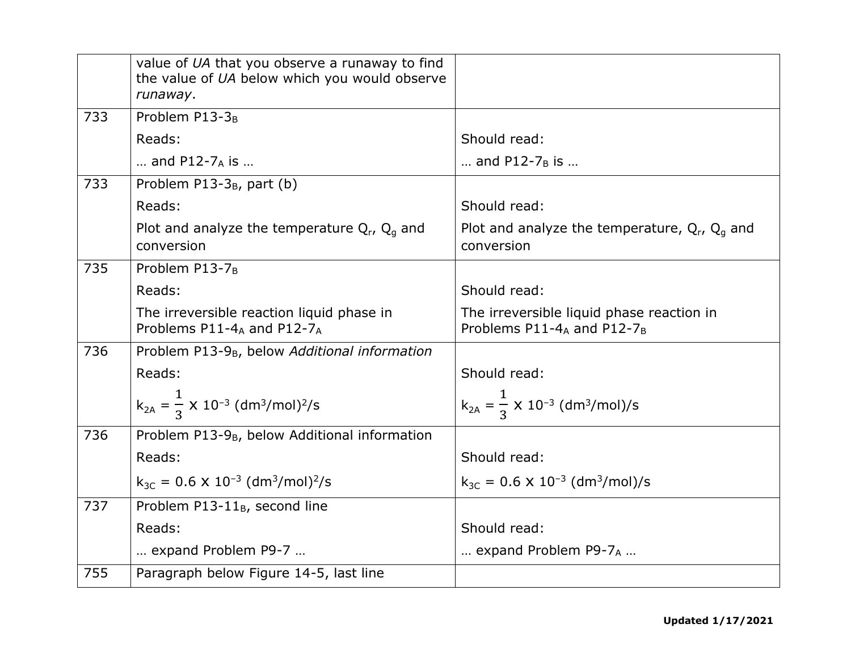|     | value of UA that you observe a runaway to find<br>the value of UA below which you would observe |                                                                         |
|-----|-------------------------------------------------------------------------------------------------|-------------------------------------------------------------------------|
| 733 | runaway.<br>Problem P13-3 <sub>B</sub>                                                          |                                                                         |
|     | Reads:                                                                                          | Should read:                                                            |
|     | and $P12-7_A$ is                                                                                | and P12-7 <sub>B</sub> is                                               |
| 733 | Problem $P13-3_B$ , part (b)                                                                    |                                                                         |
|     | Reads:                                                                                          | Should read:                                                            |
|     | Plot and analyze the temperature $Q_r$ , $Q_q$ and<br>conversion                                | Plot and analyze the temperature, $Q_r$ , $Q_q$ and<br>conversion       |
| 735 | Problem P13-7 <sub>B</sub>                                                                      |                                                                         |
|     | Reads:                                                                                          | Should read:                                                            |
|     | The irreversible reaction liquid phase in<br>Problems P11-4A and P12-7A                         | The irreversible liquid phase reaction in<br>Problems P11-4A and P12-7B |
| 736 | Problem P13-9 <sub>B</sub> , below Additional information                                       |                                                                         |
|     | Reads:                                                                                          | Should read:                                                            |
|     | $k_{2A} = \frac{1}{3} \times 10^{-3}$ (dm <sup>3</sup> /mol) <sup>2</sup> /s                    | $k_{2A} = \frac{1}{2} \times 10^{-3}$ (dm <sup>3</sup> /mol)/s          |
| 736 | Problem P13-9 <sub>B</sub> , below Additional information                                       |                                                                         |
|     | Reads:                                                                                          | Should read:                                                            |
|     | $k_{3C} = 0.6 \times 10^{-3}$ (dm <sup>3</sup> /mol) <sup>2</sup> /s                            | $k_{3C} = 0.6 \times 10^{-3}$ (dm <sup>3</sup> /mol)/s                  |
| 737 | Problem P13-11 <sub>B</sub> , second line                                                       |                                                                         |
|     | Reads:                                                                                          | Should read:                                                            |
|     | expand Problem P9-7                                                                             | expand Problem P9- $7_A$                                                |
| 755 | Paragraph below Figure 14-5, last line                                                          |                                                                         |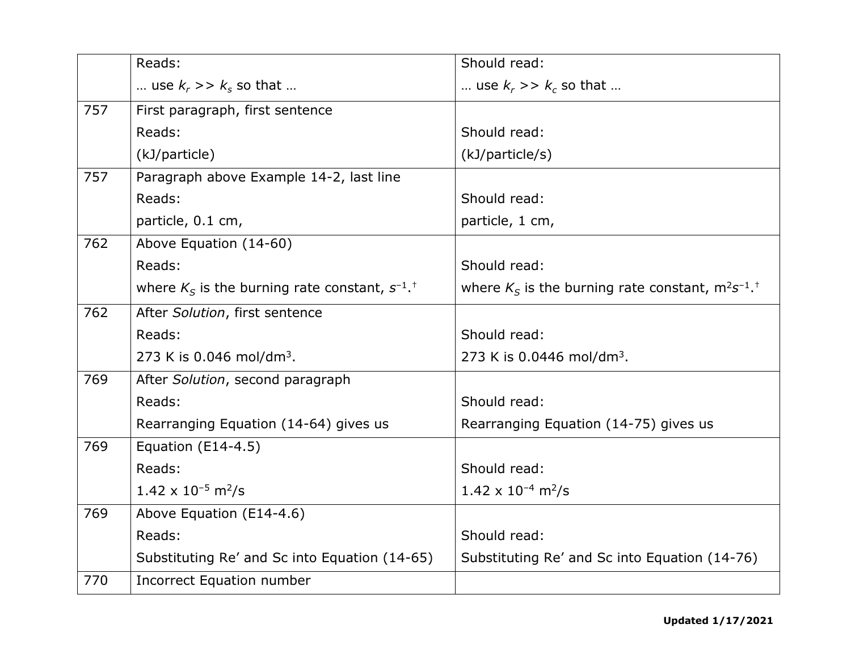|     | Reads:                                                            | Should read:                                                         |
|-----|-------------------------------------------------------------------|----------------------------------------------------------------------|
|     | use $k_r \gg k_s$ so that                                         | use $k_r \gg k_c$ so that                                            |
| 757 | First paragraph, first sentence                                   |                                                                      |
|     | Reads:                                                            | Should read:                                                         |
|     | (kJ/particle)                                                     | (kJ/particle/s)                                                      |
| 757 | Paragraph above Example 14-2, last line                           |                                                                      |
|     | Reads:                                                            | Should read:                                                         |
|     | particle, 0.1 cm,                                                 | particle, 1 cm,                                                      |
| 762 | Above Equation (14-60)                                            |                                                                      |
|     | Reads:                                                            | Should read:                                                         |
|     | where $K_S$ is the burning rate constant, $S^{-1}$ . <sup>†</sup> | where $K_S$ is the burning rate constant, $m^2s^{-1}$ . <sup>†</sup> |
| 762 | After Solution, first sentence                                    |                                                                      |
|     | Reads:                                                            | Should read:                                                         |
|     | 273 K is $0.046$ mol/dm <sup>3</sup> .                            | 273 K is $0.0446$ mol/dm <sup>3</sup> .                              |
| 769 | After Solution, second paragraph                                  |                                                                      |
|     | Reads:                                                            | Should read:                                                         |
|     | Rearranging Equation (14-64) gives us                             | Rearranging Equation (14-75) gives us                                |
| 769 | Equation (E14-4.5)                                                |                                                                      |
|     | Reads:                                                            | Should read:                                                         |
|     | $1.42 \times 10^{-5}$ m <sup>2</sup> /s                           | $1.42 \times 10^{-4}$ m <sup>2</sup> /s                              |
| 769 | Above Equation (E14-4.6)                                          |                                                                      |
|     | Reads:                                                            | Should read:                                                         |
|     | Substituting Re' and Sc into Equation (14-65)                     | Substituting Re' and Sc into Equation (14-76)                        |
| 770 | <b>Incorrect Equation number</b>                                  |                                                                      |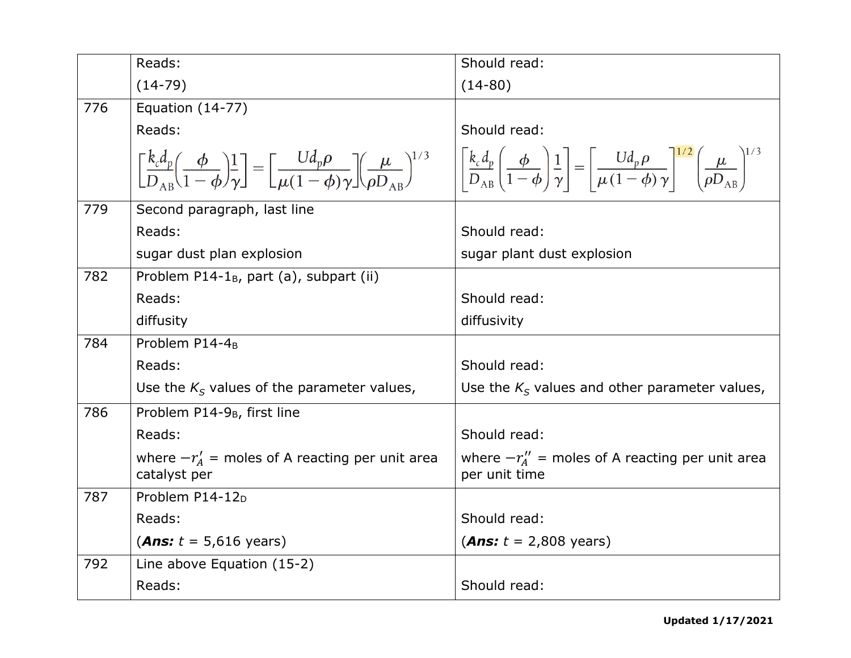|     | Reads:                                                                                                                                                                                                                                                                                                                                                                          | Should read:                                                        |
|-----|---------------------------------------------------------------------------------------------------------------------------------------------------------------------------------------------------------------------------------------------------------------------------------------------------------------------------------------------------------------------------------|---------------------------------------------------------------------|
|     | $(14-79)$                                                                                                                                                                                                                                                                                                                                                                       | $(14-80)$                                                           |
| 776 | <b>Equation (14-77)</b>                                                                                                                                                                                                                                                                                                                                                         |                                                                     |
|     | Reads:                                                                                                                                                                                                                                                                                                                                                                          | Should read:                                                        |
|     | $\left[\frac{k_c d_p}{D_{AP}}\left(\frac{\phi}{1-\phi}\right)^1_{\gamma}\right] = \left[\frac{U d_p \rho}{\mu(1-\phi)\gamma}\right] \left(\frac{\mu}{\rho D_{AP}}\right)^{1/3} \quad \left \left \frac{k_c d_p}{D_{AP}}\left(\frac{\phi}{1-\phi}\right)^1_{\gamma}\right  = \left \frac{U d_p \rho}{\mu(1-\phi)\gamma}\right ^{1/2} \left(\frac{\mu}{\rho D_{AP}}\right)^{1/3}$ |                                                                     |
| 779 | Second paragraph, last line                                                                                                                                                                                                                                                                                                                                                     |                                                                     |
|     | Reads:                                                                                                                                                                                                                                                                                                                                                                          | Should read:                                                        |
|     | sugar dust plan explosion                                                                                                                                                                                                                                                                                                                                                       | sugar plant dust explosion                                          |
| 782 | Problem P14-1 <sub>B</sub> , part (a), subpart (ii)                                                                                                                                                                                                                                                                                                                             |                                                                     |
|     | Reads:                                                                                                                                                                                                                                                                                                                                                                          | Should read:                                                        |
|     | diffusity                                                                                                                                                                                                                                                                                                                                                                       | diffusivity                                                         |
| 784 | Problem P14-4 <sub>B</sub>                                                                                                                                                                                                                                                                                                                                                      |                                                                     |
|     | Reads:                                                                                                                                                                                                                                                                                                                                                                          | Should read:                                                        |
|     | Use the $K_s$ values of the parameter values,                                                                                                                                                                                                                                                                                                                                   | Use the $K_s$ values and other parameter values,                    |
| 786 | Problem P14-9 <sub>B</sub> , first line                                                                                                                                                                                                                                                                                                                                         |                                                                     |
|     | Reads:                                                                                                                                                                                                                                                                                                                                                                          | Should read:                                                        |
|     | where $-r'_4$ = moles of A reacting per unit area<br>catalyst per                                                                                                                                                                                                                                                                                                               | where $-r''_4$ = moles of A reacting per unit area<br>per unit time |
| 787 | Problem P14-12 <sub>D</sub>                                                                                                                                                                                                                                                                                                                                                     |                                                                     |
|     | Reads:                                                                                                                                                                                                                                                                                                                                                                          | Should read:                                                        |
|     | ( <i>Ans:</i> $t = 5,616$ years)                                                                                                                                                                                                                                                                                                                                                | ( <i>Ans:</i> $t = 2,808$ years)                                    |
| 792 | Line above Equation (15-2)                                                                                                                                                                                                                                                                                                                                                      |                                                                     |
|     | Reads:                                                                                                                                                                                                                                                                                                                                                                          | Should read:                                                        |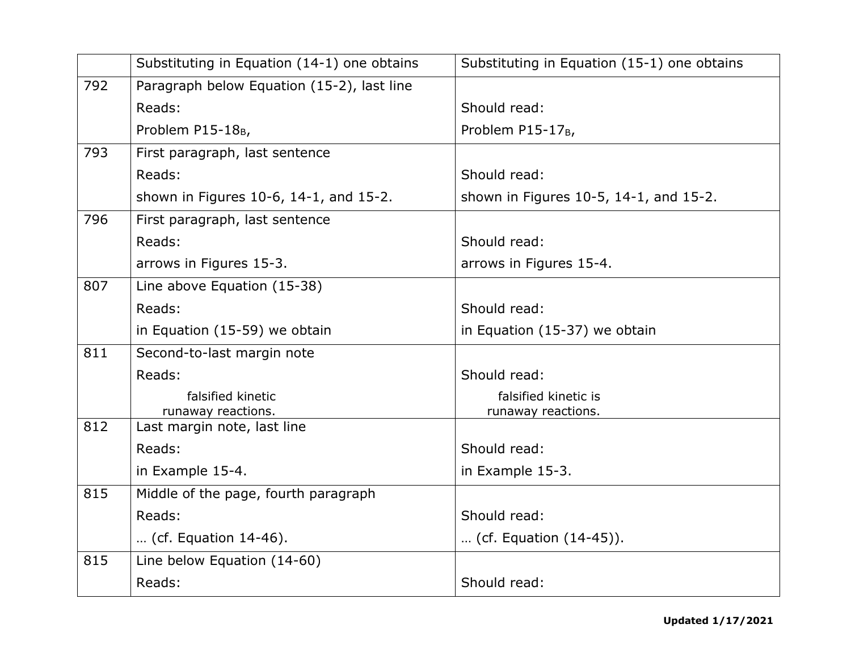|     | Substituting in Equation (14-1) one obtains       | Substituting in Equation (15-1) one obtains |
|-----|---------------------------------------------------|---------------------------------------------|
| 792 | Paragraph below Equation (15-2), last line        |                                             |
|     | Reads:                                            | Should read:                                |
|     | Problem P15-18 <sub>B</sub> ,                     | Problem P15-17 <sub>B</sub>                 |
| 793 | First paragraph, last sentence                    |                                             |
|     | Reads:                                            | Should read:                                |
|     | shown in Figures 10-6, 14-1, and 15-2.            | shown in Figures 10-5, 14-1, and 15-2.      |
| 796 | First paragraph, last sentence                    |                                             |
|     | Reads:                                            | Should read:                                |
|     | arrows in Figures 15-3.                           | arrows in Figures 15-4.                     |
| 807 | Line above Equation (15-38)                       |                                             |
|     | Reads:                                            | Should read:                                |
|     | in Equation (15-59) we obtain                     | in Equation (15-37) we obtain               |
| 811 | Second-to-last margin note                        |                                             |
|     | Reads:                                            | Should read:                                |
|     | falsified kinetic                                 | falsified kinetic is                        |
| 812 | runaway reactions.<br>Last margin note, last line | runaway reactions.                          |
|     | Reads:                                            | Should read:                                |
|     | in Example 15-4.                                  | in Example 15-3.                            |
| 815 | Middle of the page, fourth paragraph              |                                             |
|     | Reads:                                            | Should read:                                |
|     | (cf. Equation 14-46).                             | (cf. Equation $(14-45)$ ).                  |
| 815 | Line below Equation (14-60)                       |                                             |
|     | Reads:                                            | Should read:                                |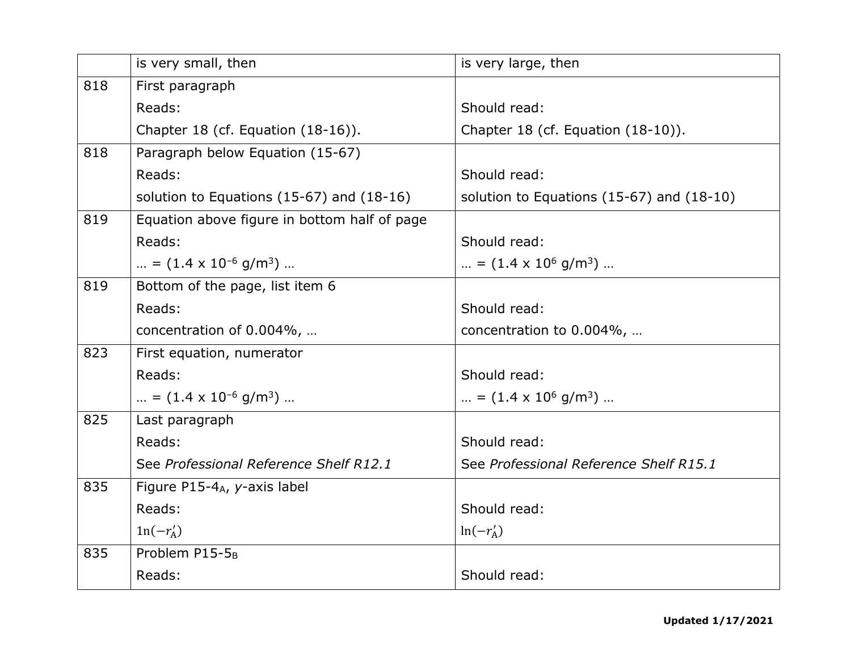|     | is very small, then                           | is very large, then                           |
|-----|-----------------------------------------------|-----------------------------------------------|
| 818 | First paragraph                               |                                               |
|     | Reads:                                        | Should read:                                  |
|     | Chapter 18 (cf. Equation (18-16)).            | Chapter 18 (cf. Equation (18-10)).            |
| 818 | Paragraph below Equation (15-67)              |                                               |
|     | Reads:                                        | Should read:                                  |
|     | solution to Equations $(15-67)$ and $(18-16)$ | solution to Equations $(15-67)$ and $(18-10)$ |
| 819 | Equation above figure in bottom half of page  |                                               |
|     | Reads:                                        | Should read:                                  |
|     | = $(1.4 \times 10^{-6} \text{ g/m}^3)$        | = $(1.4 \times 10^6 \text{ g/m}^3)$           |
| 819 | Bottom of the page, list item 6               |                                               |
|     | Reads:                                        | Should read:                                  |
|     | concentration of 0.004%,                      | concentration to 0.004%,                      |
| 823 | First equation, numerator                     |                                               |
|     | Reads:                                        | Should read:                                  |
|     | = $(1.4 \times 10^{-6} \text{ g/m}^3)$        | = $(1.4 \times 10^6 \text{ g/m}^3)$           |
| 825 | Last paragraph                                |                                               |
|     | Reads:                                        | Should read:                                  |
|     | See Professional Reference Shelf R12.1        | See Professional Reference Shelf R15.1        |
| 835 | Figure P15-4 <sub>A</sub> , y-axis label      |                                               |
|     | Reads:                                        | Should read:                                  |
|     | $ln(-r'_A)$                                   | $ln(-r'_A)$                                   |
| 835 | Problem P15-5 <sub>B</sub>                    |                                               |
|     | Reads:                                        | Should read:                                  |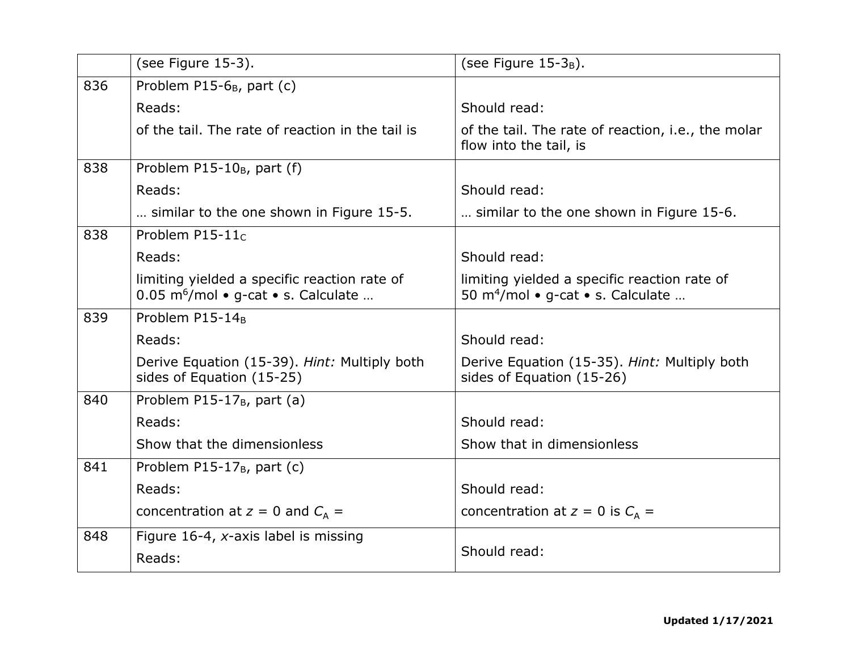|     | (see Figure 15-3).                                                                              | (see Figure $15-3_B$ ).                                                                       |
|-----|-------------------------------------------------------------------------------------------------|-----------------------------------------------------------------------------------------------|
| 836 | Problem P15-6 <sub>B</sub> , part (c)                                                           |                                                                                               |
|     | Reads:                                                                                          | Should read:                                                                                  |
|     | of the tail. The rate of reaction in the tail is                                                | of the tail. The rate of reaction, i.e., the molar<br>flow into the tail, is                  |
| 838 | Problem $P15-10_B$ , part (f)                                                                   |                                                                                               |
|     | Reads:                                                                                          | Should read:                                                                                  |
|     | similar to the one shown in Figure 15-5.                                                        | similar to the one shown in Figure 15-6.                                                      |
| 838 | Problem P15-11 $c$                                                                              |                                                                                               |
|     | Reads:                                                                                          | Should read:                                                                                  |
|     | limiting yielded a specific reaction rate of<br>0.05 m <sup>6</sup> /mol · g-cat · s. Calculate | limiting yielded a specific reaction rate of<br>50 m <sup>4</sup> /mol • g-cat • s. Calculate |
| 839 | Problem P15-14 <sub>B</sub>                                                                     |                                                                                               |
|     | Reads:                                                                                          | Should read:                                                                                  |
|     | Derive Equation (15-39). Hint: Multiply both<br>sides of Equation (15-25)                       | Derive Equation (15-35). Hint: Multiply both<br>sides of Equation (15-26)                     |
| 840 | Problem P15-17 <sub>B</sub> , part (a)                                                          |                                                                                               |
|     | Reads:                                                                                          | Should read:                                                                                  |
|     | Show that the dimensionless                                                                     | Show that in dimensionless                                                                    |
| 841 | Problem $P15-17_B$ , part (c)                                                                   |                                                                                               |
|     | Reads:                                                                                          | Should read:                                                                                  |
|     | concentration at $z = 0$ and $C_A =$                                                            | concentration at $z = 0$ is $C_A =$                                                           |
| 848 | Figure 16-4, $x$ -axis label is missing                                                         |                                                                                               |
|     | Reads:                                                                                          | Should read:                                                                                  |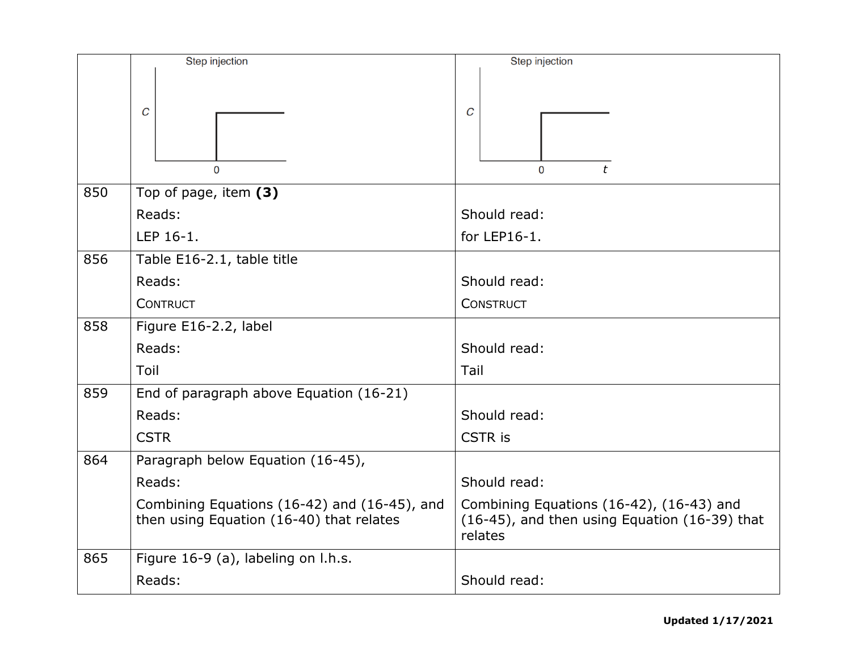|     | Step injection                                                                           | Step injection                                                                                       |
|-----|------------------------------------------------------------------------------------------|------------------------------------------------------------------------------------------------------|
|     | $\mathcal C$<br>$\Omega$                                                                 | C<br>t<br>0                                                                                          |
| 850 | Top of page, item (3)                                                                    |                                                                                                      |
|     | Reads:                                                                                   | Should read:                                                                                         |
|     | LEP 16-1.                                                                                | for LEP16-1.                                                                                         |
| 856 | Table E16-2.1, table title                                                               |                                                                                                      |
|     | Reads:                                                                                   | Should read:                                                                                         |
|     | <b>CONTRUCT</b>                                                                          | <b>CONSTRUCT</b>                                                                                     |
| 858 | Figure E16-2.2, label                                                                    |                                                                                                      |
|     | Reads:                                                                                   | Should read:                                                                                         |
|     | Toil                                                                                     | Tail                                                                                                 |
| 859 | End of paragraph above Equation (16-21)                                                  |                                                                                                      |
|     | Reads:                                                                                   | Should read:                                                                                         |
|     | <b>CSTR</b>                                                                              | <b>CSTR</b> is                                                                                       |
| 864 | Paragraph below Equation (16-45),                                                        |                                                                                                      |
|     | Reads:                                                                                   | Should read:                                                                                         |
|     | Combining Equations (16-42) and (16-45), and<br>then using Equation (16-40) that relates | Combining Equations (16-42), (16-43) and<br>(16-45), and then using Equation (16-39) that<br>relates |
| 865 | Figure 16-9 (a), labeling on l.h.s.                                                      |                                                                                                      |
|     | Reads:                                                                                   | Should read:                                                                                         |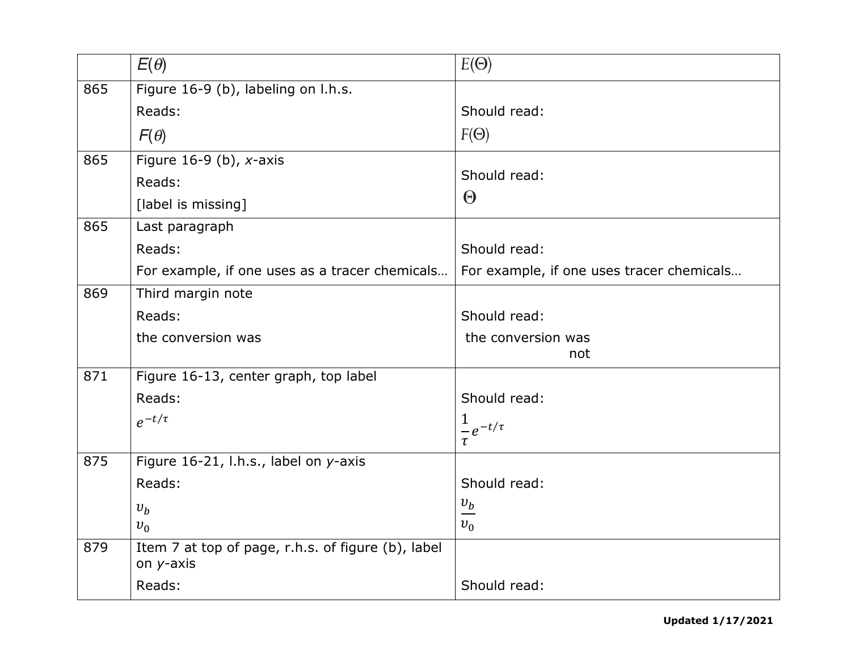|     | $E(\theta)$                                                     | $E(\Theta)$                                    |
|-----|-----------------------------------------------------------------|------------------------------------------------|
| 865 | Figure 16-9 (b), labeling on l.h.s.                             |                                                |
|     | Reads:                                                          | Should read:                                   |
|     | $F(\theta)$                                                     | $F(\Theta)$                                    |
| 865 | Figure $16-9$ (b), x-axis                                       |                                                |
|     | Reads:                                                          | Should read:                                   |
|     | [label is missing]                                              | $\Theta$                                       |
| 865 | Last paragraph                                                  |                                                |
|     | Reads:                                                          | Should read:                                   |
|     | For example, if one uses as a tracer chemicals                  | For example, if one uses tracer chemicals      |
| 869 | Third margin note                                               |                                                |
|     | Reads:                                                          | Should read:                                   |
|     | the conversion was                                              | the conversion was                             |
|     |                                                                 | not                                            |
| 871 | Figure 16-13, center graph, top label                           |                                                |
|     | Reads:                                                          | Should read:                                   |
|     | $e^{-t/\tau}$                                                   | $\mathbf 1$<br>$\frac{1}{\epsilon}e^{-t/\tau}$ |
|     |                                                                 | $\tau$                                         |
| 875 | Figure 16-21, l.h.s., label on y-axis                           |                                                |
|     | Reads:                                                          | Should read:                                   |
|     | $v_b$                                                           | $\frac{v_b}{\Box}$                             |
|     | $v_0$                                                           | $v_0$                                          |
| 879 | Item 7 at top of page, r.h.s. of figure (b), label<br>on y-axis |                                                |
|     | Reads:                                                          | Should read:                                   |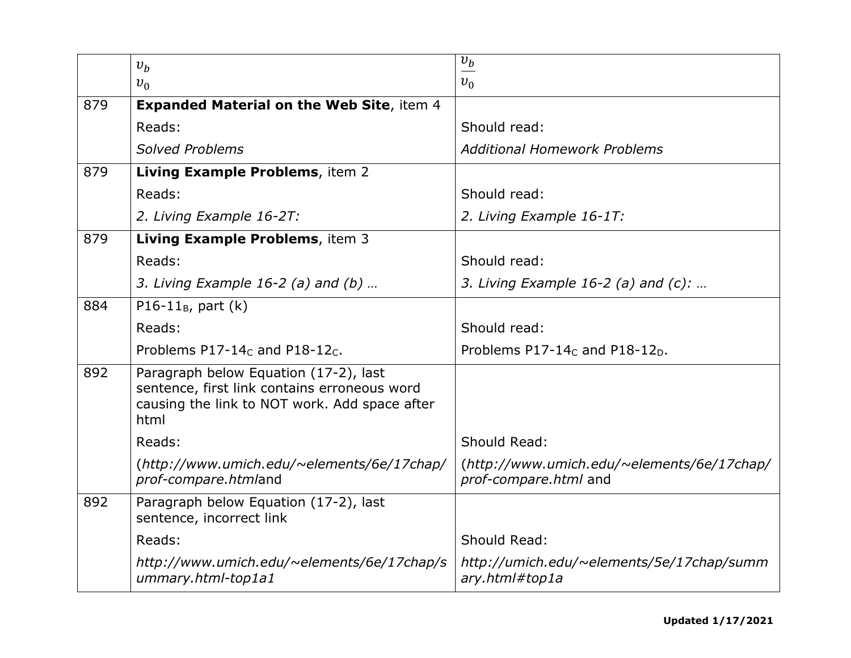|     | $v_h$                                                                                                                                          | $\overline{v_b}$                                                    |
|-----|------------------------------------------------------------------------------------------------------------------------------------------------|---------------------------------------------------------------------|
|     | $v_0$                                                                                                                                          | $v_0$                                                               |
| 879 | <b>Expanded Material on the Web Site, item 4</b>                                                                                               |                                                                     |
|     | Reads:                                                                                                                                         | Should read:                                                        |
|     | <b>Solved Problems</b>                                                                                                                         | <b>Additional Homework Problems</b>                                 |
| 879 | Living Example Problems, item 2                                                                                                                |                                                                     |
|     | Reads:                                                                                                                                         | Should read:                                                        |
|     | 2. Living Example 16-2T:                                                                                                                       | 2. Living Example 16-1T:                                            |
| 879 | Living Example Problems, item 3                                                                                                                |                                                                     |
|     | Reads:                                                                                                                                         | Should read:                                                        |
|     | 3. Living Example $16-2$ (a) and (b)                                                                                                           | 3. Living Example 16-2 (a) and $(c)$ :                              |
| 884 | $P16-11_B$ , part (k)                                                                                                                          |                                                                     |
|     | Reads:                                                                                                                                         | Should read:                                                        |
|     | Problems $P17-14c$ and $P18-12c$ .                                                                                                             | Problems P17-14 <sub>c</sub> and P18-12 <sub>D</sub> .              |
| 892 | Paragraph below Equation (17-2), last<br>sentence, first link contains erroneous word<br>causing the link to NOT work. Add space after<br>html |                                                                     |
|     | Reads:                                                                                                                                         | Should Read:                                                        |
|     | (http://www.umich.edu/~elements/6e/17chap/<br>prof-compare.htmland                                                                             | (http://www.umich.edu/~elements/6e/17chap/<br>prof-compare.html and |
| 892 | Paragraph below Equation (17-2), last<br>sentence, incorrect link                                                                              |                                                                     |
|     | Reads:                                                                                                                                         | Should Read:                                                        |
|     | http://www.umich.edu/~elements/6e/17chap/s<br>ummary.html-top1a1                                                                               | http://umich.edu/~elements/5e/17chap/summ<br>ary.html#top1a         |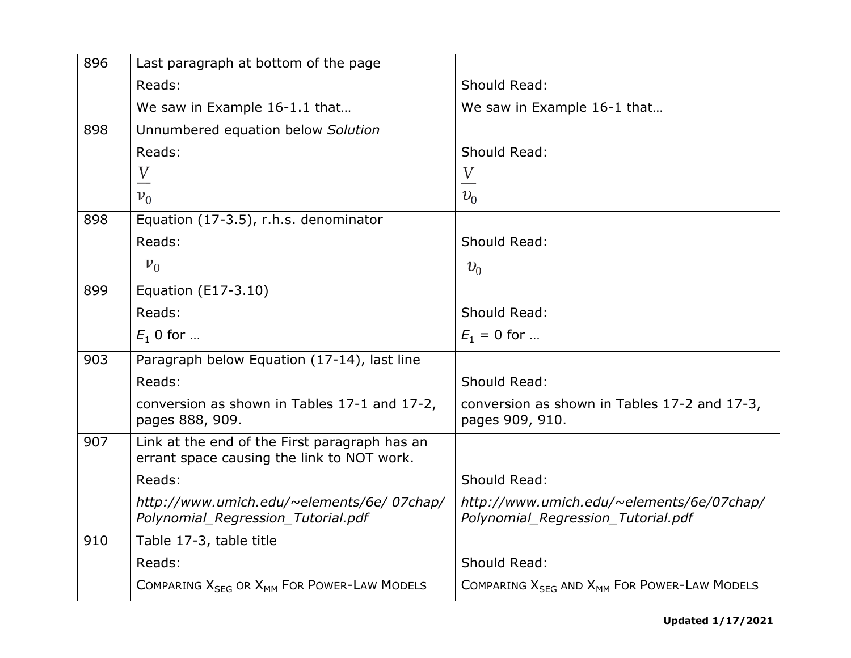| 896 | Last paragraph at bottom of the page                                                        |                                                                                 |
|-----|---------------------------------------------------------------------------------------------|---------------------------------------------------------------------------------|
|     | Reads:                                                                                      | Should Read:                                                                    |
|     | We saw in Example 16-1.1 that                                                               | We saw in Example 16-1 that                                                     |
| 898 | Unnumbered equation below Solution                                                          |                                                                                 |
|     | Reads:                                                                                      | Should Read:                                                                    |
|     | $\frac{V}{\sqrt{2}}$                                                                        | $\frac{V}{\sqrt{2}}$                                                            |
|     | $v_0$                                                                                       | $v_0$                                                                           |
| 898 | Equation (17-3.5), r.h.s. denominator                                                       |                                                                                 |
|     | Reads:                                                                                      | Should Read:                                                                    |
|     | $v_0$                                                                                       | $v_0$                                                                           |
| 899 | Equation (E17-3.10)                                                                         |                                                                                 |
|     | Reads:                                                                                      | Should Read:                                                                    |
|     | $E_1$ 0 for                                                                                 | $E_1 = 0$ for                                                                   |
| 903 | Paragraph below Equation (17-14), last line                                                 |                                                                                 |
|     | Reads:                                                                                      | Should Read:                                                                    |
|     | conversion as shown in Tables 17-1 and 17-2,<br>pages 888, 909.                             | conversion as shown in Tables 17-2 and 17-3,<br>pages 909, 910.                 |
| 907 | Link at the end of the First paragraph has an<br>errant space causing the link to NOT work. |                                                                                 |
|     | Reads:                                                                                      | Should Read:                                                                    |
|     | http://www.umich.edu/~elements/6e/07chap/<br>Polynomial_Regression_Tutorial.pdf             | http://www.umich.edu/~elements/6e/07chap/<br>Polynomial_Regression_Tutorial.pdf |
| 910 | Table 17-3, table title                                                                     |                                                                                 |
|     | Reads:                                                                                      | Should Read:                                                                    |
|     | COMPARING $X_{SFG}$ OR $X_{MM}$ For Power-Law Models                                        | COMPARING $X_{SFG}$ AND $X_{MM}$ FOR POWER-LAW MODELS                           |
|     |                                                                                             |                                                                                 |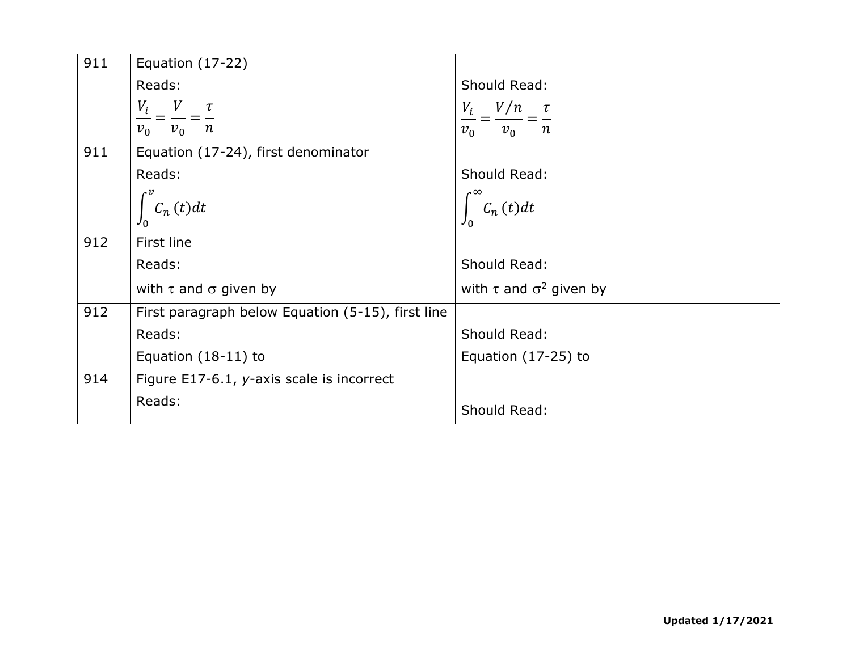| 911 | Equation $(17-22)$                                 |                                                      |
|-----|----------------------------------------------------|------------------------------------------------------|
|     | Reads:                                             | Should Read:                                         |
|     | $\frac{V_i}{v_0} = \frac{V}{v_0} = \frac{\tau}{n}$ | $\frac{V_i}{v_0} = \frac{V/n}{v_0} = \frac{\tau}{n}$ |
|     |                                                    |                                                      |
| 911 | Equation (17-24), first denominator                |                                                      |
|     | Reads:                                             | Should Read:                                         |
|     | $C_n(t)dt$                                         | $C_n(t)dt$                                           |
|     |                                                    |                                                      |
| 912 | First line                                         |                                                      |
|     | Reads:                                             | Should Read:                                         |
|     | with $\tau$ and $\sigma$ given by                  | with $\tau$ and $\sigma^2$ given by                  |
| 912 | First paragraph below Equation (5-15), first line  |                                                      |
|     | Reads:                                             | Should Read:                                         |
|     | Equation $(18-11)$ to                              | Equation $(17-25)$ to                                |
| 914 | Figure E17-6.1, y-axis scale is incorrect          |                                                      |
|     | Reads:                                             | Should Read:                                         |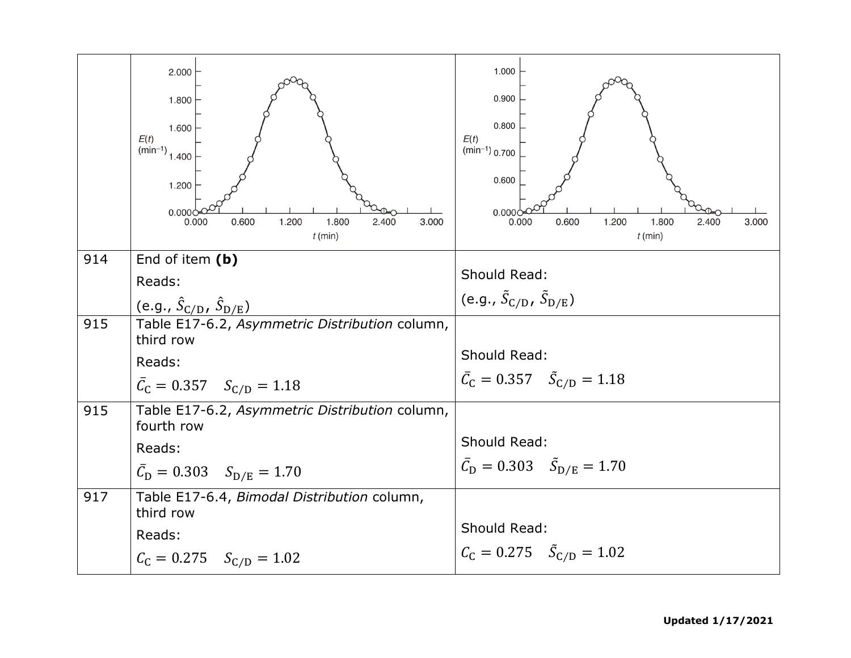|     | 2.000<br>1.800<br>1.600<br>E(t)<br>$\lim_{n \to \infty}$ 1.400<br>1.200<br>0.000 <sub>c</sub><br>0.600<br>0.000<br>1.200<br>1.800<br>2.400<br>3.000<br>$t$ (min) | 1.000<br>0.900<br>0.800<br>E(t)<br>$(min^{-1})$ 0.700<br>0.600<br>0.000(<br>0.600<br>1.200<br>1.800<br>2.400<br>0.000<br>3.000<br>$t$ (min) |
|-----|------------------------------------------------------------------------------------------------------------------------------------------------------------------|---------------------------------------------------------------------------------------------------------------------------------------------|
| 914 | End of item (b)                                                                                                                                                  | Should Read:                                                                                                                                |
|     | Reads:                                                                                                                                                           | (e.g., $\tilde{S}_{\text{C/D}}$ , $\tilde{S}_{\text{D/E}}$ )                                                                                |
|     | (e.g., $\hat{S}_{\text{C/D}}$ , $\hat{S}_{\text{D/E}}$ )                                                                                                         |                                                                                                                                             |
| 915 | Table E17-6.2, Asymmetric Distribution column,<br>third row                                                                                                      |                                                                                                                                             |
|     | Reads:                                                                                                                                                           | Should Read:                                                                                                                                |
|     | $\bar{C}_{C} = 0.357$ $S_{C/D} = 1.18$                                                                                                                           | $\bar{C}_{C} = 0.357 \quad \tilde{S}_{C/D} = 1.18$                                                                                          |
| 915 | Table E17-6.2, Asymmetric Distribution column,<br>fourth row                                                                                                     |                                                                                                                                             |
|     | Reads:                                                                                                                                                           | Should Read:                                                                                                                                |
|     | $\bar{C}_{\text{D}} = 0.303 \quad S_{\text{D/E}} = 1.70$                                                                                                         | $\bar{C}_{\rm D} = 0.303 \quad \tilde{S}_{\rm D/E} = 1.70$                                                                                  |
| 917 | Table E17-6.4, Bimodal Distribution column,<br>third row                                                                                                         |                                                                                                                                             |
|     | Reads:                                                                                                                                                           | Should Read:                                                                                                                                |
|     | $C_{\rm C} = 0.275$ $S_{\rm C/D} = 1.02$                                                                                                                         | $C_{\rm C} = 0.275$ $\tilde{S}_{\rm C/D} = 1.02$                                                                                            |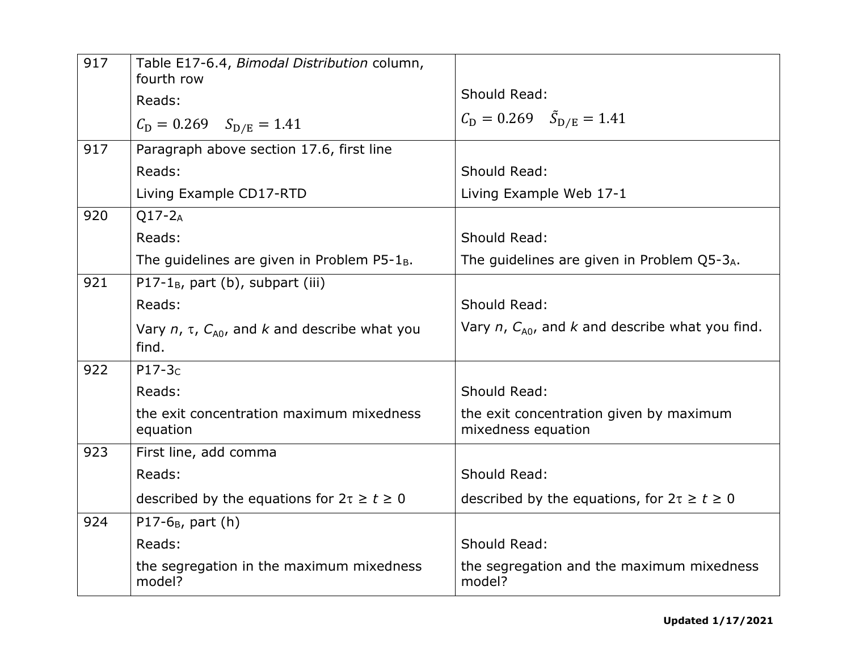| 917 | Table E17-6.4, Bimodal Distribution column,<br>fourth row<br>Reads:<br>$C_{\rm D} = 0.269$ $S_{\rm D/E} = 1.41$ | Should Read:<br>$C_{\rm D} = 0.269$ $\tilde{S}_{\rm D/E} = 1.41$ |
|-----|-----------------------------------------------------------------------------------------------------------------|------------------------------------------------------------------|
| 917 | Paragraph above section 17.6, first line                                                                        |                                                                  |
|     | Reads:                                                                                                          | Should Read:                                                     |
|     | Living Example CD17-RTD                                                                                         | Living Example Web 17-1                                          |
| 920 | $Q17-2A$                                                                                                        |                                                                  |
|     | Reads:                                                                                                          | Should Read:                                                     |
|     | The guidelines are given in Problem $P5-1_B$ .                                                                  | The guidelines are given in Problem $Q5-3_A$ .                   |
| 921 | $P17-1_B$ , part (b), subpart (iii)                                                                             |                                                                  |
|     | Reads:                                                                                                          | Should Read:                                                     |
|     | Vary $n$ , $\tau$ , $C_{A0}$ , and k and describe what you<br>find.                                             | Vary $n$ , $C_{A0}$ , and k and describe what you find.          |
| 922 | $P17-3C$                                                                                                        |                                                                  |
|     | Reads:                                                                                                          | Should Read:                                                     |
|     | the exit concentration maximum mixedness<br>equation                                                            | the exit concentration given by maximum<br>mixedness equation    |
| 923 | First line, add comma                                                                                           |                                                                  |
|     | Reads:                                                                                                          | Should Read:                                                     |
|     | described by the equations for $2\tau \ge t \ge 0$                                                              | described by the equations, for $2\tau \ge t \ge 0$              |
| 924 | $P17-6_B$ , part (h)                                                                                            |                                                                  |
|     | Reads:                                                                                                          | Should Read:                                                     |
|     | the segregation in the maximum mixedness<br>model?                                                              | the segregation and the maximum mixedness<br>model?              |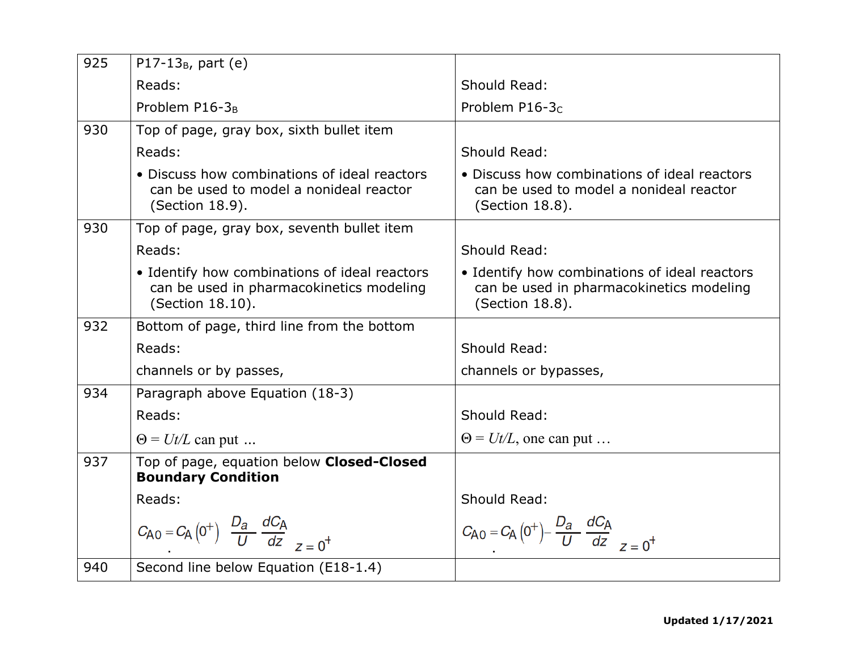| 925 | P17-13 $_{B}$ , part (e)                                                                                      |                                                                                                              |
|-----|---------------------------------------------------------------------------------------------------------------|--------------------------------------------------------------------------------------------------------------|
|     | Reads:                                                                                                        | Should Read:                                                                                                 |
|     | Problem P16-3 <sub>B</sub>                                                                                    | Problem $P16-3c$                                                                                             |
| 930 | Top of page, gray box, sixth bullet item                                                                      |                                                                                                              |
|     | Reads:                                                                                                        | Should Read:                                                                                                 |
|     | • Discuss how combinations of ideal reactors<br>can be used to model a nonideal reactor<br>(Section 18.9).    | • Discuss how combinations of ideal reactors<br>can be used to model a nonideal reactor<br>(Section 18.8).   |
| 930 | Top of page, gray box, seventh bullet item                                                                    |                                                                                                              |
|     | Reads:                                                                                                        | Should Read:                                                                                                 |
|     | • Identify how combinations of ideal reactors<br>can be used in pharmacokinetics modeling<br>(Section 18.10). | • Identify how combinations of ideal reactors<br>can be used in pharmacokinetics modeling<br>(Section 18.8). |
| 932 | Bottom of page, third line from the bottom                                                                    |                                                                                                              |
|     | Reads:                                                                                                        | Should Read:                                                                                                 |
|     | channels or by passes,                                                                                        | channels or bypasses,                                                                                        |
| 934 | Paragraph above Equation (18-3)                                                                               |                                                                                                              |
|     | Reads:                                                                                                        | Should Read:                                                                                                 |
|     | $\Theta = U t / L$ can put                                                                                    | $\Theta = U t / L$ , one can put                                                                             |
| 937 | Top of page, equation below Closed-Closed<br><b>Boundary Condition</b>                                        |                                                                                                              |
|     | Reads:                                                                                                        | Should Read:                                                                                                 |
|     | $C_{\rm A0} = C_{\rm A} (0^+) \frac{D_a}{U} \frac{dC_{\rm A}}{dz}$                                            | $C_{\text{A}0} = C_{\text{A}} (0^+) - \frac{D_a}{U} \frac{dC_{\text{A}}}{dz}$                                |
| 940 | Second line below Equation (E18-1.4)                                                                          |                                                                                                              |
|     |                                                                                                               |                                                                                                              |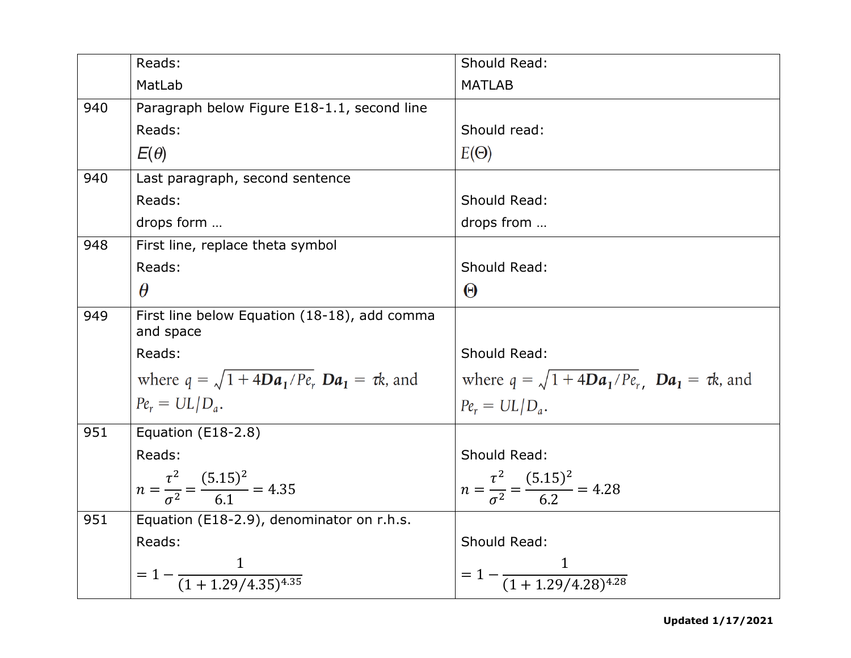|     | Reads:                                                      | Should Read:                                                   |
|-----|-------------------------------------------------------------|----------------------------------------------------------------|
|     | MatLab                                                      | <b>MATLAB</b>                                                  |
| 940 | Paragraph below Figure E18-1.1, second line                 |                                                                |
|     | Reads:                                                      | Should read:                                                   |
|     | $E(\theta)$                                                 | $E(\Theta)$                                                    |
| 940 | Last paragraph, second sentence                             |                                                                |
|     | Reads:                                                      | Should Read:                                                   |
|     | drops form                                                  | drops from                                                     |
| 948 | First line, replace theta symbol                            |                                                                |
|     | Reads:                                                      | Should Read:                                                   |
|     | $\theta$                                                    | $\Theta$                                                       |
| 949 | First line below Equation (18-18), add comma<br>and space   |                                                                |
|     | Reads:                                                      | Should Read:                                                   |
|     | where $q = \sqrt{1 + 4Da_1/P_e}$ , $Da_1 = \tau k$ , and    | where $q = \sqrt{1 + 4Da_1/P_{\rm r}}$ , $Da_1 = \tau k$ , and |
|     | $Pe_r = UL/D_a$ .                                           | $Pe_r = UL/D_a.$                                               |
| 951 | Equation (E18-2.8)                                          |                                                                |
|     | Reads:                                                      | Should Read:                                                   |
|     | $n = \frac{\tau^2}{\sigma^2} = \frac{(5.15)^2}{6.1} = 4.35$ | $n = \frac{\tau^2}{\sigma^2} = \frac{(5.15)^2}{6.2} = 4.28$    |
| 951 | Equation (E18-2.9), denominator on r.h.s.                   |                                                                |
|     | Reads:                                                      | Should Read:                                                   |
|     | $= 1 - \frac{1}{(1 + 1.29/4.35)^{4.35}}$                    | $= 1 - \frac{1}{(1 + 1.29/4.28)^{4.28}}$                       |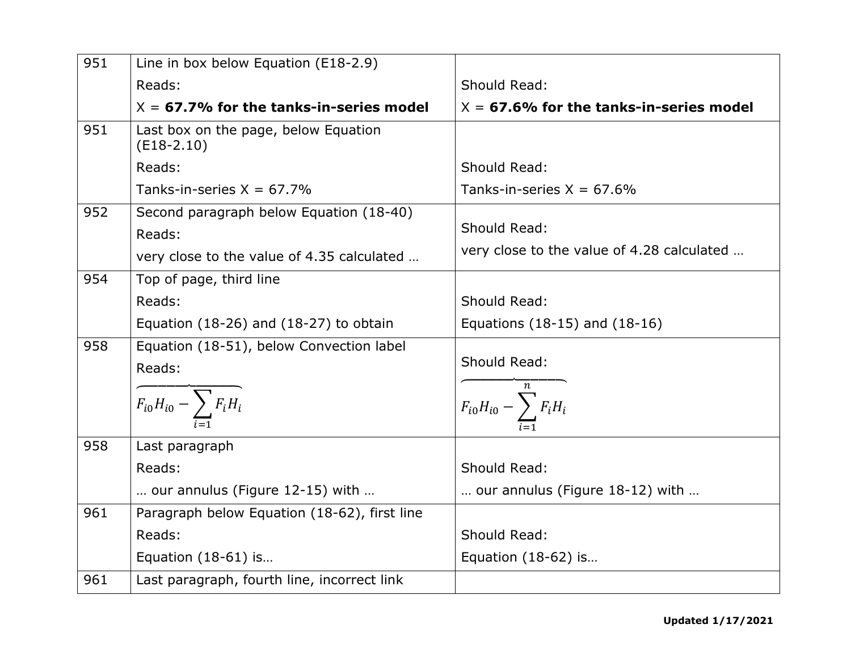| 951 | Line in box below Equation (E18-2.9)                                                            |                                                            |
|-----|-------------------------------------------------------------------------------------------------|------------------------------------------------------------|
|     | Reads:                                                                                          | Should Read:                                               |
|     | $X = 67.7\%$ for the tanks-in-series model                                                      | $X = 67.6\%$ for the tanks-in-series model                 |
| 951 | Last box on the page, below Equation<br>$(E18-2.10)$                                            |                                                            |
|     | Reads:                                                                                          | Should Read:                                               |
|     | Tanks-in-series $X = 67.7\%$                                                                    | Tanks-in-series $X = 67.6\%$                               |
| 952 | Second paragraph below Equation (18-40)<br>Reads:<br>very close to the value of 4.35 calculated | Should Read:<br>very close to the value of 4.28 calculated |
| 954 | Top of page, third line                                                                         |                                                            |
|     | Reads:                                                                                          | Should Read:                                               |
|     | Equation $(18-26)$ and $(18-27)$ to obtain                                                      | Equations (18-15) and (18-16)                              |
| 958 | Equation (18-51), below Convection label<br>Reads:<br>$\frac{1}{F_{i0}H_{i0}-\sum_{i=1}F_iH_i}$ | Should Read:<br>$F_{i0}H_{i0} - \sum_{i=1}^{n} F_{i}H_{i}$ |
| 958 | Last paragraph                                                                                  |                                                            |
|     | Reads:                                                                                          | Should Read:                                               |
|     | our annulus (Figure 12-15) with                                                                 | our annulus (Figure 18-12) with                            |
| 961 | Paragraph below Equation (18-62), first line                                                    |                                                            |
|     | Reads:                                                                                          | Should Read:                                               |
|     | Equation (18-61) is                                                                             | Equation (18-62) is                                        |
| 961 | Last paragraph, fourth line, incorrect link                                                     |                                                            |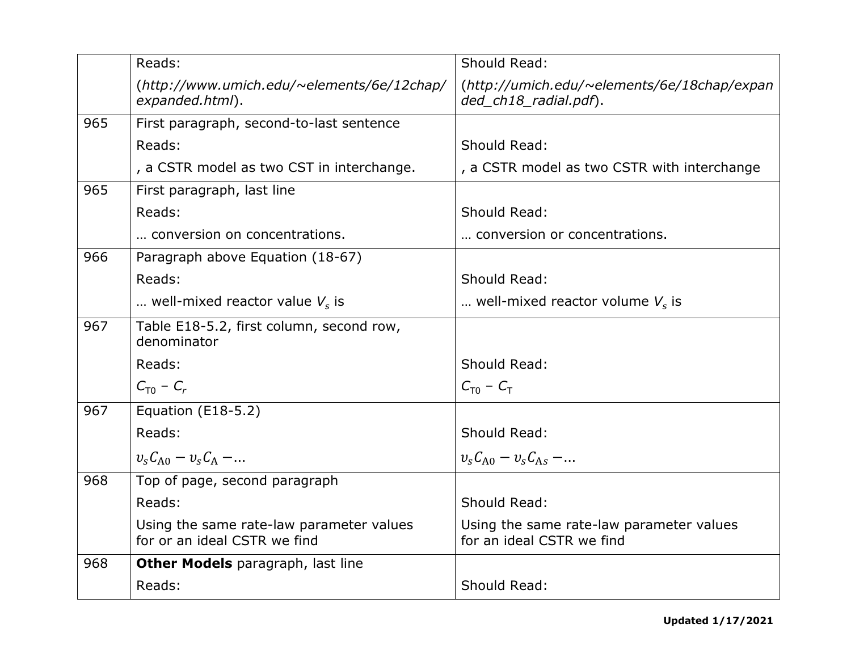|     | Reads:                                                                   | Should Read:                                                          |
|-----|--------------------------------------------------------------------------|-----------------------------------------------------------------------|
|     | (http://www.umich.edu/~elements/6e/12chap/<br>expanded.html).            | (http://umich.edu/~elements/6e/18chap/expan<br>ded_ch18_radial.pdf).  |
| 965 | First paragraph, second-to-last sentence                                 |                                                                       |
|     | Reads:                                                                   | Should Read:                                                          |
|     | , a CSTR model as two CST in interchange.                                | , a CSTR model as two CSTR with interchange                           |
| 965 | First paragraph, last line                                               |                                                                       |
|     | Reads:                                                                   | Should Read:                                                          |
|     | conversion on concentrations.                                            | conversion or concentrations.                                         |
| 966 | Paragraph above Equation (18-67)                                         |                                                                       |
|     | Reads:                                                                   | Should Read:                                                          |
|     | well-mixed reactor value $V_s$ is                                        | well-mixed reactor volume $V_s$ is                                    |
| 967 | Table E18-5.2, first column, second row,<br>denominator                  |                                                                       |
|     | Reads:                                                                   | Should Read:                                                          |
|     | $C_{\text{T}0}$ – $C_{r}$                                                | $C_{T0} - C_{T}$                                                      |
| 967 | Equation (E18-5.2)                                                       |                                                                       |
|     | Reads:                                                                   | Should Read:                                                          |
|     | $v_s C_{A0} - v_s C_A - $                                                | $v_s C_{A0} - v_s C_{As} - $                                          |
| 968 | Top of page, second paragraph                                            |                                                                       |
|     | Reads:                                                                   | Should Read:                                                          |
|     | Using the same rate-law parameter values<br>for or an ideal CSTR we find | Using the same rate-law parameter values<br>for an ideal CSTR we find |
| 968 | <b>Other Models</b> paragraph, last line                                 |                                                                       |
|     | Reads:                                                                   | Should Read:                                                          |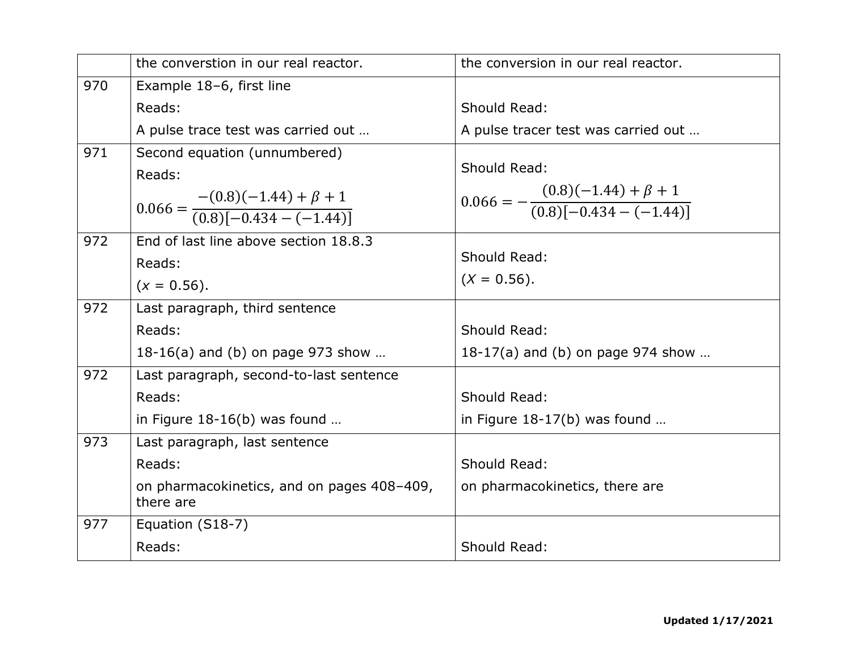|     | the converstion in our real reactor.                                | the conversion in our real reactor.                                 |
|-----|---------------------------------------------------------------------|---------------------------------------------------------------------|
| 970 | Example 18-6, first line                                            |                                                                     |
|     | Reads:                                                              | Should Read:                                                        |
|     | A pulse trace test was carried out                                  | A pulse tracer test was carried out                                 |
| 971 | Second equation (unnumbered)                                        |                                                                     |
|     | Reads:                                                              | Should Read:                                                        |
|     |                                                                     | $0.066 = -\frac{(0.8)(-1.44) + \beta + 1}{(0.8)[-0.434 - (-1.44)]}$ |
|     | $0.066 = \frac{-(0.8)(-1.44) + \beta + 1}{(0.8)(-0.434 - (-1.44))}$ |                                                                     |
| 972 | End of last line above section 18.8.3                               |                                                                     |
|     | Reads:                                                              | Should Read:                                                        |
|     | $(x = 0.56)$ .                                                      | $(X = 0.56)$ .                                                      |
| 972 | Last paragraph, third sentence                                      |                                                                     |
|     | Reads:                                                              | Should Read:                                                        |
|     | 18-16(a) and (b) on page $973$ show                                 | 18-17(a) and (b) on page $974$ show                                 |
| 972 | Last paragraph, second-to-last sentence                             |                                                                     |
|     | Reads:                                                              | Should Read:                                                        |
|     | in Figure $18-16(b)$ was found                                      | in Figure $18-17(b)$ was found                                      |
| 973 | Last paragraph, last sentence                                       |                                                                     |
|     | Reads:                                                              | Should Read:                                                        |
|     | on pharmacokinetics, and on pages 408-409,<br>there are             | on pharmacokinetics, there are                                      |
| 977 | Equation (S18-7)                                                    |                                                                     |
|     | Reads:                                                              | Should Read:                                                        |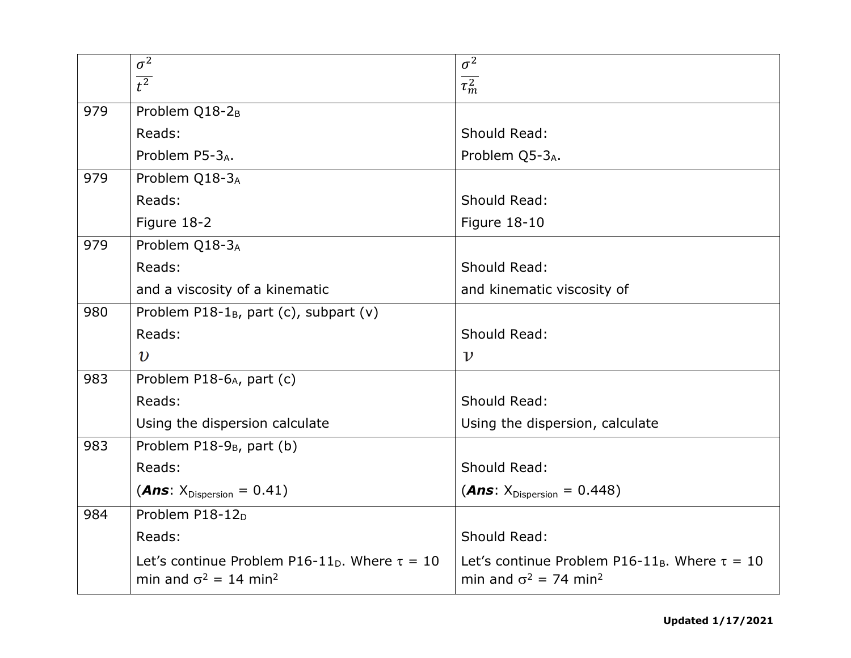|     | $\sigma^2$                                                                                                 | $\sigma^2$                                                                                                 |
|-----|------------------------------------------------------------------------------------------------------------|------------------------------------------------------------------------------------------------------------|
|     | $\overline{t^2}$                                                                                           | $\overline{\tau_m^2}$                                                                                      |
| 979 | Problem Q18-2 <sub>B</sub>                                                                                 |                                                                                                            |
|     | Reads:                                                                                                     | Should Read:                                                                                               |
|     | Problem P5-3A.                                                                                             | Problem Q5-3A.                                                                                             |
| 979 | Problem Q18-3A                                                                                             |                                                                                                            |
|     | Reads:                                                                                                     | Should Read:                                                                                               |
|     | Figure 18-2                                                                                                | Figure 18-10                                                                                               |
| 979 | Problem Q18-3A                                                                                             |                                                                                                            |
|     | Reads:                                                                                                     | Should Read:                                                                                               |
|     | and a viscosity of a kinematic                                                                             | and kinematic viscosity of                                                                                 |
| 980 | Problem P18-1 $_B$ , part (c), subpart (v)                                                                 |                                                                                                            |
|     | Reads:                                                                                                     | Should Read:                                                                                               |
|     | $\boldsymbol{v}$                                                                                           | $\boldsymbol{\nu}$                                                                                         |
| 983 | Problem P18-6 <sub>A</sub> , part (c)                                                                      |                                                                                                            |
|     | Reads:                                                                                                     | Should Read:                                                                                               |
|     | Using the dispersion calculate                                                                             | Using the dispersion, calculate                                                                            |
| 983 | Problem P18-9 <sub>B</sub> , part (b)                                                                      |                                                                                                            |
|     | Reads:                                                                                                     | Should Read:                                                                                               |
|     | ( <i>Ans</i> : $X_{Disperson} = 0.41$ )                                                                    | ( <i>Ans</i> : $X_{Disperson} = 0.448$ )                                                                   |
| 984 | Problem P18-12 <sub>D</sub>                                                                                |                                                                                                            |
|     | Reads:                                                                                                     | Should Read:                                                                                               |
|     | Let's continue Problem P16-11 <sub>D</sub> . Where $\tau = 10$<br>min and $\sigma^2 = 14$ min <sup>2</sup> | Let's continue Problem P16-11 <sub>B</sub> . Where $\tau = 10$<br>min and $\sigma^2$ = 74 min <sup>2</sup> |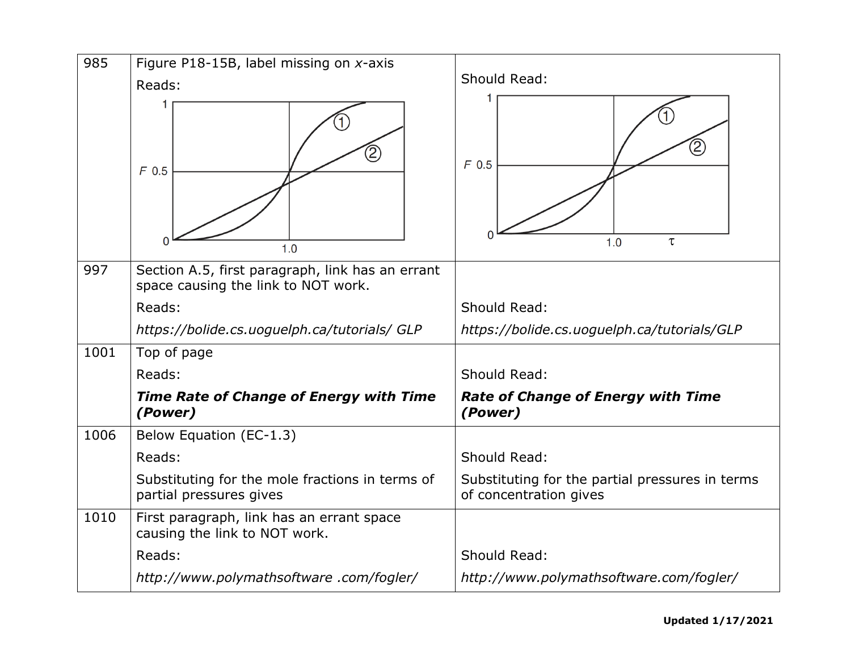| 985  | Figure P18-15B, label missing on x-axis                                     |                                                                           |
|------|-----------------------------------------------------------------------------|---------------------------------------------------------------------------|
|      | Reads:                                                                      | Should Read:                                                              |
|      | $\mathcal{Z}% _{M_{1},M_{2}}^{\alpha,\beta}(\varepsilon)$<br>$F$ 0.5<br>1.0 | 2<br>$F$ 0.5<br>1.0<br>τ                                                  |
| 997  | Section A.5, first paragraph, link has an errant                            |                                                                           |
|      | space causing the link to NOT work.                                         |                                                                           |
|      | Reads:                                                                      | Should Read:                                                              |
|      | https://bolide.cs.uoguelph.ca/tutorials/ GLP                                | https://bolide.cs.uoguelph.ca/tutorials/GLP                               |
| 1001 | Top of page                                                                 |                                                                           |
|      | Reads:                                                                      | Should Read:                                                              |
|      | <b>Time Rate of Change of Energy with Time</b><br>(Power)                   | <b>Rate of Change of Energy with Time</b><br>(Power)                      |
| 1006 | Below Equation (EC-1.3)                                                     |                                                                           |
|      | Reads:                                                                      | Should Read:                                                              |
|      | Substituting for the mole fractions in terms of<br>partial pressures gives  | Substituting for the partial pressures in terms<br>of concentration gives |
| 1010 | First paragraph, link has an errant space<br>causing the link to NOT work.  |                                                                           |
|      | Reads:                                                                      | Should Read:                                                              |
|      | http://www.polymathsoftware.com/fogler/                                     | http://www.polymathsoftware.com/fogler/                                   |